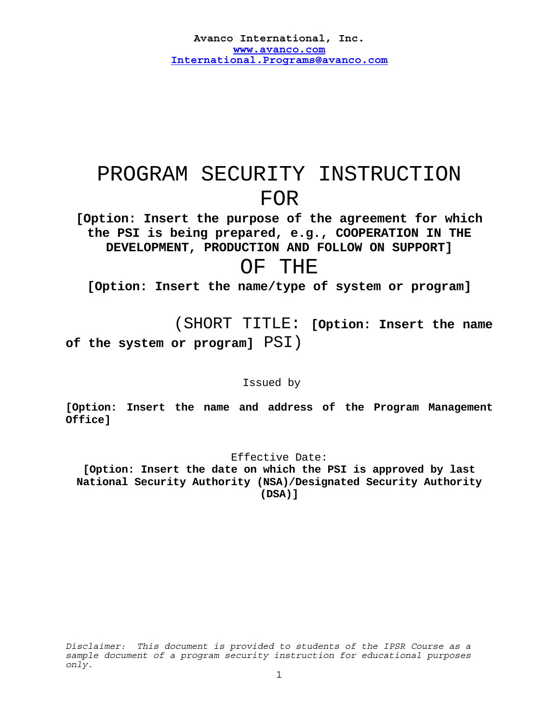# PROGRAM SECURITY INSTRUCTION FOR **[Option: Insert the purpose of the agreement for which**

**the PSI is being prepared, e.g., COOPERATION IN THE DEVELOPMENT, PRODUCTION AND FOLLOW ON SUPPORT]** 

# OF THE

**[Option: Insert the name/type of system or program]** 

 (SHORT TITLE: **[Option: Insert the name of the system or program]** PSI)

Issued by

**[Option: Insert the name and address of the Program Management Office]** 

# Effective Date:

**[Option: Insert the date on which the PSI is approved by last National Security Authority (NSA)/Designated Security Authority (DSA)]**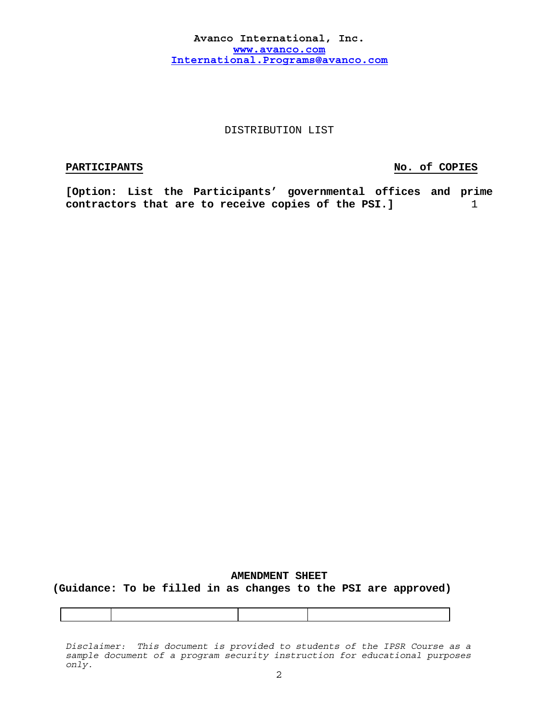# DISTRIBUTION LIST

# **PARTICIPANTS** No. of COPIES

**[Option: List the Participants' governmental offices and prime**  contractors that are to receive copies of the PSI.]  $1$ 

# **AMENDMENT SHEET (Guidance: To be filled in as changes to the PSI are approved)**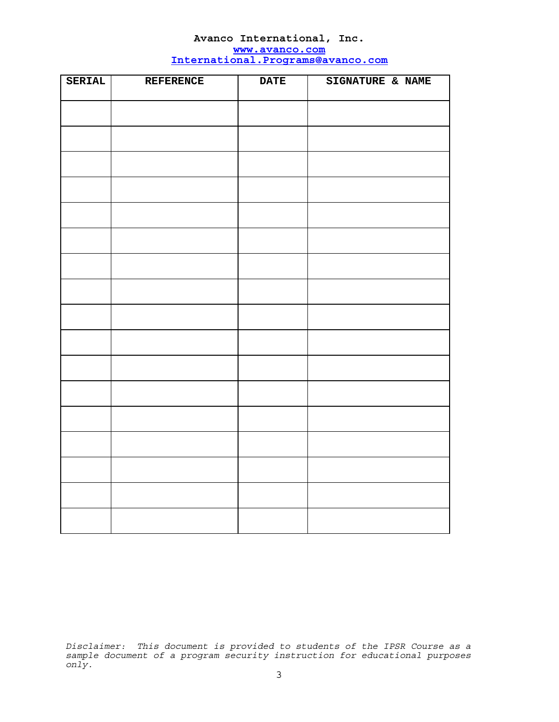| SERIAL | <b>REFERENCE</b> | <b>DATE</b> | SIGNATURE & NAME |
|--------|------------------|-------------|------------------|
|        |                  |             |                  |
|        |                  |             |                  |
|        |                  |             |                  |
|        |                  |             |                  |
|        |                  |             |                  |
|        |                  |             |                  |
|        |                  |             |                  |
|        |                  |             |                  |
|        |                  |             |                  |
|        |                  |             |                  |
|        |                  |             |                  |
|        |                  |             |                  |
|        |                  |             |                  |
|        |                  |             |                  |
|        |                  |             |                  |
|        |                  |             |                  |
|        |                  |             |                  |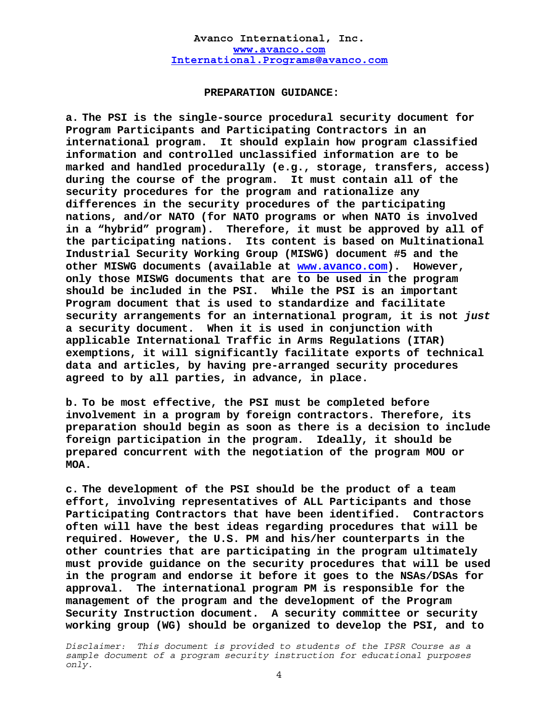#### **PREPARATION GUIDANCE:**

**a. The PSI is the single-source procedural security document for Program Participants and Participating Contractors in an international program. It should explain how program classified information and controlled unclassified information are to be marked and handled procedurally (e.g., storage, transfers, access) during the course of the program. It must contain all of the security procedures for the program and rationalize any differences in the security procedures of the participating nations, and/or NATO (for NATO programs or when NATO is involved in a "hybrid" program). Therefore, it must be approved by all of the participating nations. Its content is based on Multinational Industrial Security Working Group (MISWG) document #5 and the other MISWG documents (available at www.avanco.com). However, only those MISWG documents that are to be used in the program should be included in the PSI. While the PSI is an important Program document that is used to standardize and facilitate security arrangements for an international program, it is not** *just* **a security document. When it is used in conjunction with applicable International Traffic in Arms Regulations (ITAR) exemptions, it will significantly facilitate exports of technical data and articles, by having pre-arranged security procedures agreed to by all parties, in advance, in place.** 

**b. To be most effective, the PSI must be completed before involvement in a program by foreign contractors. Therefore, its preparation should begin as soon as there is a decision to include foreign participation in the program. Ideally, it should be prepared concurrent with the negotiation of the program MOU or MOA.** 

**c. The development of the PSI should be the product of a team effort, involving representatives of ALL Participants and those Participating Contractors that have been identified. Contractors often will have the best ideas regarding procedures that will be required. However, the U.S. PM and his/her counterparts in the other countries that are participating in the program ultimately must provide guidance on the security procedures that will be used in the program and endorse it before it goes to the NSAs/DSAs for approval. The international program PM is responsible for the management of the program and the development of the Program Security Instruction document. A security committee or security working group (WG) should be organized to develop the PSI, and to**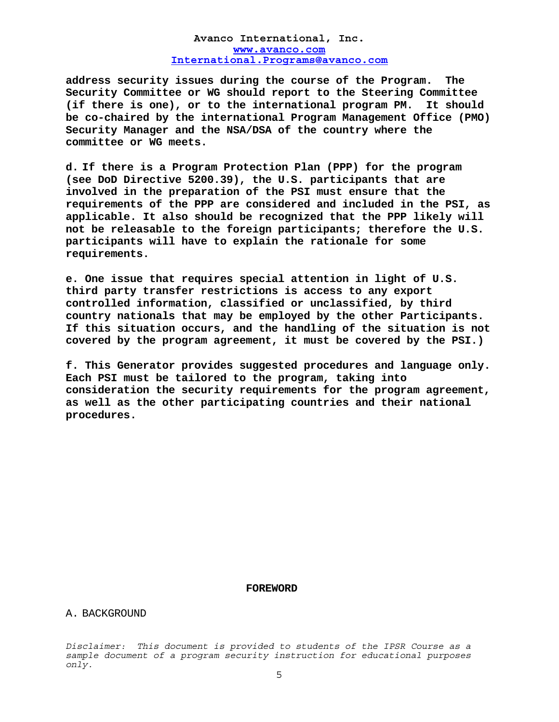**address security issues during the course of the Program. The Security Committee or WG should report to the Steering Committee (if there is one), or to the international program PM. It should be co-chaired by the international Program Management Office (PMO) Security Manager and the NSA/DSA of the country where the committee or WG meets.** 

**d. If there is a Program Protection Plan (PPP) for the program (see DoD Directive 5200.39), the U.S. participants that are involved in the preparation of the PSI must ensure that the requirements of the PPP are considered and included in the PSI, as applicable. It also should be recognized that the PPP likely will not be releasable to the foreign participants; therefore the U.S. participants will have to explain the rationale for some requirements.** 

**e. One issue that requires special attention in light of U.S. third party transfer restrictions is access to any export controlled information, classified or unclassified, by third country nationals that may be employed by the other Participants. If this situation occurs, and the handling of the situation is not covered by the program agreement, it must be covered by the PSI.)** 

**f. This Generator provides suggested procedures and language only. Each PSI must be tailored to the program, taking into consideration the security requirements for the program agreement, as well as the other participating countries and their national procedures.** 

#### **FOREWORD**

A. BACKGROUND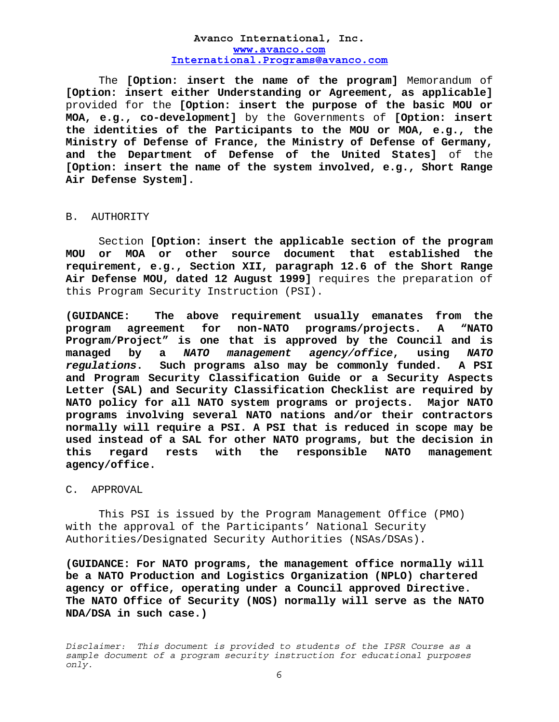The **[Option: insert the name of the program]** Memorandum of **[Option: insert either Understanding or Agreement, as applicable]** provided for the **[Option: insert the purpose of the basic MOU or MOA, e.g., co-development]** by the Governments of **[Option: insert the identities of the Participants to the MOU or MOA, e.g., the Ministry of Defense of France, the Ministry of Defense of Germany, and the Department of Defense of the United States]** of the **[Option: insert the name of the system involved, e.g., Short Range Air Defense System].** 

#### B. AUTHORITY

Section **[Option: insert the applicable section of the program MOU or MOA or other source document that established the requirement, e.g., Section XII, paragraph 12.6 of the Short Range Air Defense MOU, dated 12 August 1999]** requires the preparation of this Program Security Instruction (PSI).

**(GUIDANCE: The above requirement usually emanates from the program agreement for non-NATO programs/projects. A "NATO Program/Project" is one that is approved by the Council and is managed by a** *NATO management agency/office***, using** *NATO regulations***. Such programs also may be commonly funded. A PSI and Program Security Classification Guide or a Security Aspects Letter (SAL) and Security Classification Checklist are required by NATO policy for all NATO system programs or projects. Major NATO programs involving several NATO nations and/or their contractors normally will require a PSI. A PSI that is reduced in scope may be used instead of a SAL for other NATO programs, but the decision in this regard rests with the responsible NATO management agency/office.** 

# C. APPROVAL

This PSI is issued by the Program Management Office (PMO) with the approval of the Participants' National Security Authorities/Designated Security Authorities (NSAs/DSAs).

**(GUIDANCE: For NATO programs, the management office normally will be a NATO Production and Logistics Organization (NPLO) chartered agency or office, operating under a Council approved Directive. The NATO Office of Security (NOS) normally will serve as the NATO NDA/DSA in such case.)**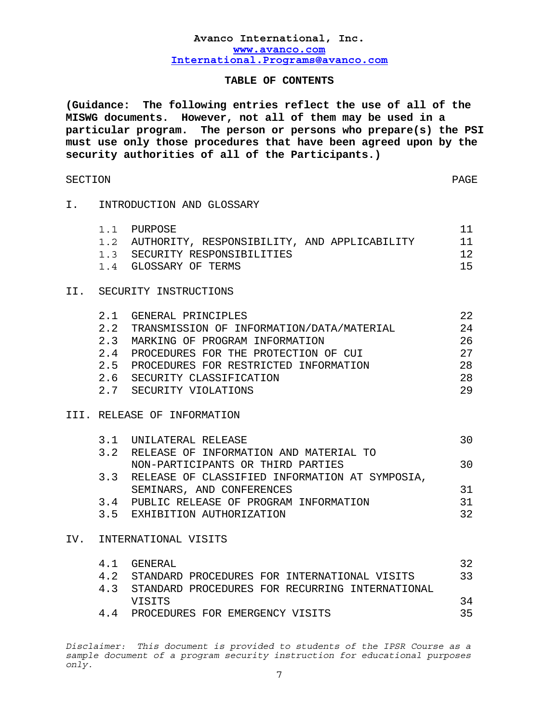# **TABLE OF CONTENTS**

**(Guidance: The following entries reflect the use of all of the MISWG documents. However, not all of them may be used in a particular program. The person or persons who prepare(s) the PSI must use only those procedures that have been agreed upon by the security authorities of all of the Participants.)** 

# SECTION PAGE

### I. INTRODUCTION AND GLOSSARY

| 1.1 PURPOSE                                      |     |
|--------------------------------------------------|-----|
| 1.2 AUTHORITY, RESPONSIBILITY, AND APPLICABILITY | -11 |
| 1.3 SECURITY RESPONSIBILITIES                    | 12  |
| 1.4 GLOSSARY OF TERMS                            | 15  |

# II. SECURITY INSTRUCTIONS

| 2.1 | GENERAL PRINCIPLES                        | 22 |
|-----|-------------------------------------------|----|
| 2.2 | TRANSMISSION OF INFORMATION/DATA/MATERIAL | 24 |
| 2.3 | MARKING OF PROGRAM INFORMATION            | 26 |
| 2.4 | PROCEDURES FOR THE PROTECTION OF CUI      | 27 |
|     | 2.5 PROCEDURES FOR RESTRICTED INFORMATION | 28 |
|     | 2.6 SECURITY CLASSIFICATION               | 28 |
| 2.7 | SECURITY VIOLATIONS                       | 29 |

# III. RELEASE OF INFORMATION

|  | 3.1 UNILATERAL RELEASE                             | 30 |
|--|----------------------------------------------------|----|
|  | 3.2 RELEASE OF INFORMATION AND MATERIAL TO         |    |
|  | NON-PARTICIPANTS OR THIRD PARTIES                  | 30 |
|  | 3.3 RELEASE OF CLASSIFIED INFORMATION AT SYMPOSIA, |    |
|  | SEMINARS, AND CONFERENCES                          | 31 |
|  | 3.4 PUBLIC RELEASE OF PROGRAM INFORMATION          | 31 |
|  | 3.5 EXHIBITION AUTHORIZATION                       | つつ |

# IV. INTERNATIONAL VISITS

| 4. 1 | GENERAL                                             | 32 |
|------|-----------------------------------------------------|----|
|      | 4.2 STANDARD PROCEDURES FOR INTERNATIONAL VISITS    | 33 |
|      | 4.3 STANDARD PROCEDURES FOR RECURRING INTERNATIONAL |    |
|      | VISITS                                              | 34 |
|      | PROCEDURES FOR EMERGENCY VISITS                     | マヒ |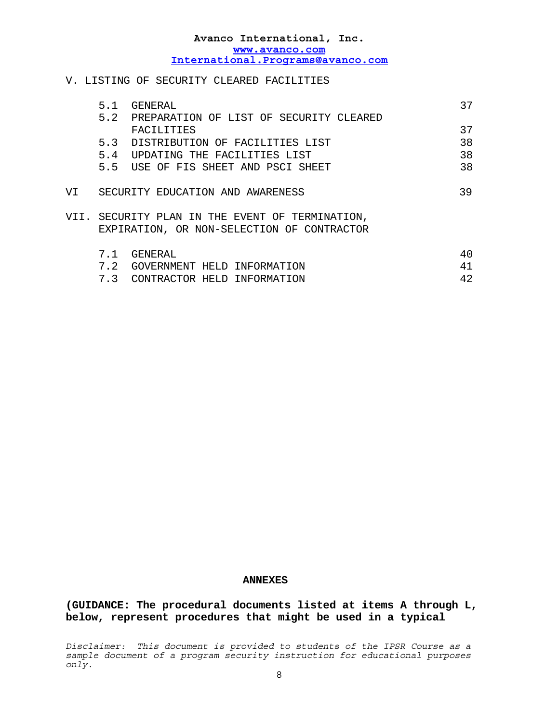# V. LISTING OF SECURITY CLEARED FACILITIES

|      | 5.1     | GENERAL                                     | 37 |
|------|---------|---------------------------------------------|----|
|      |         | 5.2 PREPARATION OF LIST OF SECURITY CLEARED |    |
|      |         | FACILITIES                                  | 37 |
|      | 5.3     | DISTRIBUTION OF FACILITIES LIST             | 38 |
|      | 5.4     | UPDATING THE FACILITIES LIST                | 38 |
|      | $5.5 -$ | USE OF FIS SHEET AND PSCI SHEET             | 38 |
|      |         |                                             |    |
| VI   |         | SECURITY EDUCATION AND AWARENESS            | 39 |
|      |         |                                             |    |
| VTT. |         | SECURITY PLAN IN THE EVENT OF TERMINATION,  |    |
|      |         | EXPIRATION, OR NON-SELECTION OF CONTRACTOR  |    |
|      |         |                                             |    |
|      | 7.1     | GENERAL                                     | 40 |
|      | 7.2     | GOVERNMENT HELD<br>INFORMATION              | 41 |
|      | 7.3     | CONTRACTOR HELD INFORMATION                 | 42 |
|      |         |                                             |    |

#### **ANNEXES**

**(GUIDANCE: The procedural documents listed at items A through L, below, represent procedures that might be used in a typical**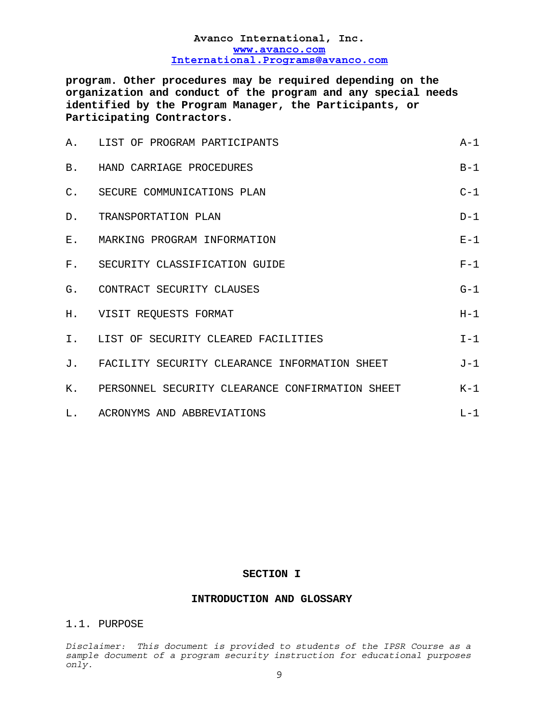**program. Other procedures may be required depending on the organization and conduct of the program and any special needs identified by the Program Manager, the Participants, or Participating Contractors.** 

|                | A. LIST OF PROGRAM PARTICIPANTS                    | $A-1$ |
|----------------|----------------------------------------------------|-------|
| B.             | HAND CARRIAGE PROCEDURES                           | $B-1$ |
| $\mathsf{C}$ . | SECURE COMMUNICATIONS PLAN                         | $C-1$ |
| $D$ .          | TRANSPORTATION PLAN                                | $D-1$ |
|                | E. MARKING PROGRAM INFORMATION                     | $E-1$ |
|                | F. SECURITY CLASSIFICATION GUIDE                   | $F-1$ |
| G.             | CONTRACT SECURITY CLAUSES                          | $G-1$ |
|                | H. VISIT REQUESTS FORMAT                           | $H-1$ |
|                | I. LIST OF SECURITY CLEARED FACILITIES             | $I-1$ |
| J.             | FACILITY SECURITY CLEARANCE INFORMATION SHEET      | J-1   |
|                | K. PERSONNEL SECURITY CLEARANCE CONFIRMATION SHEET | $K-1$ |
|                | L. ACRONYMS AND ABBREVIATIONS                      | $L-1$ |

#### **SECTION I**

#### **INTRODUCTION AND GLOSSARY**

# 1.1. PURPOSE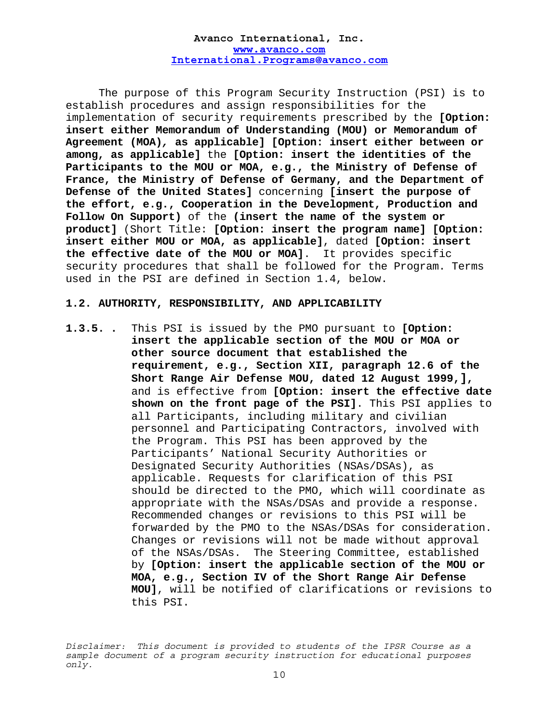The purpose of this Program Security Instruction (PSI) is to establish procedures and assign responsibilities for the implementation of security requirements prescribed by the **[Option: insert either Memorandum of Understanding (MOU) or Memorandum of Agreement (MOA)***,* **as applicable] [Option: insert either between or among, as applicable]** the **[Option: insert the identities of the Participants to the MOU or MOA, e.g., the Ministry of Defense of France, the Ministry of Defense of Germany, and the Department of Defense of the United States]** concerning **[insert the purpose of the effort, e.g., Cooperation in the Development, Production and Follow On Support)** of the **(insert the name of the system or product]** (Short Title: **[Option: insert the program name] [Option: insert either MOU or MOA, as applicable]**, dated **[Option: insert the effective date of the MOU or MOA]**. It provides specific security procedures that shall be followed for the Program. Terms used in the PSI are defined in Section 1.4, below.

#### **1.2. AUTHORITY, RESPONSIBILITY, AND APPLICABILITY**

**1.3.5..** This PSI is issued by the PMO pursuant to **[Option: insert the applicable section of the MOU or MOA or other source document that established the requirement, e.g., Section XII, paragraph 12.6 of the Short Range Air Defense MOU, dated 12 August 1999,],** and is effective from **[Option: insert the effective date shown on the front page of the PSI]**. This PSI applies to all Participants, including military and civilian personnel and Participating Contractors, involved with the Program. This PSI has been approved by the Participants' National Security Authorities or Designated Security Authorities (NSAs/DSAs), as applicable. Requests for clarification of this PSI should be directed to the PMO, which will coordinate as appropriate with the NSAs/DSAs and provide a response. Recommended changes or revisions to this PSI will be forwarded by the PMO to the NSAs/DSAs for consideration. Changes or revisions will not be made without approval of the NSAs/DSAs. The Steering Committee, established by **[Option: insert the applicable section of the MOU or MOA, e.g., Section IV of the Short Range Air Defense MOU]**, will be notified of clarifications or revisions to this PSI.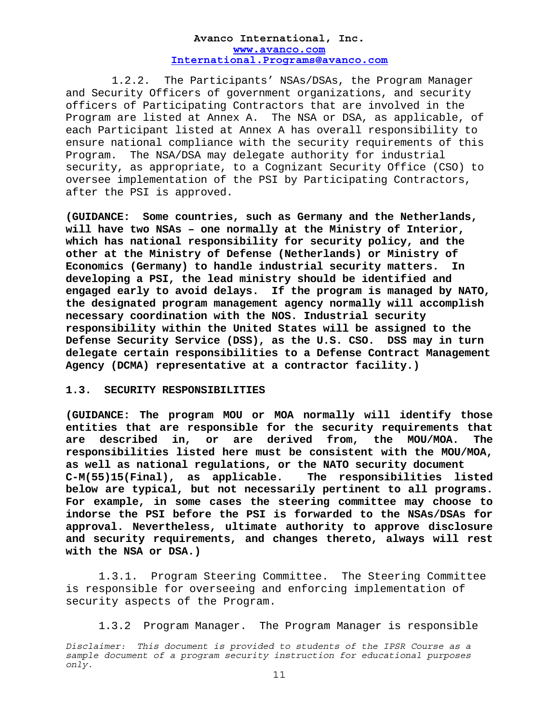1.2.2. The Participants' NSAs/DSAs, the Program Manager and Security Officers of government organizations, and security officers of Participating Contractors that are involved in the Program are listed at Annex A. The NSA or DSA, as applicable, of each Participant listed at Annex A has overall responsibility to ensure national compliance with the security requirements of this Program. The NSA/DSA may delegate authority for industrial security, as appropriate, to a Cognizant Security Office (CSO) to oversee implementation of the PSI by Participating Contractors, after the PSI is approved.

**(GUIDANCE: Some countries, such as Germany and the Netherlands, will have two NSAs – one normally at the Ministry of Interior, which has national responsibility for security policy, and the other at the Ministry of Defense (Netherlands) or Ministry of Economics (Germany) to handle industrial security matters. In developing a PSI, the lead ministry should be identified and engaged early to avoid delays. If the program is managed by NATO, the designated program management agency normally will accomplish necessary coordination with the NOS. Industrial security responsibility within the United States will be assigned to the Defense Security Service (DSS), as the U.S. CSO. DSS may in turn delegate certain responsibilities to a Defense Contract Management Agency (DCMA) representative at a contractor facility.)** 

#### **1.3. SECURITY RESPONSIBILITIES**

**(GUIDANCE: The program MOU or MOA normally will identify those entities that are responsible for the security requirements that are described in, or are derived from, the MOU/MOA. The responsibilities listed here must be consistent with the MOU/MOA, as well as national regulations, or the NATO security document C-M(55)15(Final), as applicable. The responsibilities listed below are typical, but not necessarily pertinent to all programs. For example, in some cases the steering committee may choose to indorse the PSI before the PSI is forwarded to the NSAs/DSAs for approval. Nevertheless, ultimate authority to approve disclosure and security requirements, and changes thereto, always will rest with the NSA or DSA.)** 

 1.3.1. Program Steering Committee. The Steering Committee is responsible for overseeing and enforcing implementation of security aspects of the Program.

1.3.2Program Manager. The Program Manager is responsible

*Disclaimer: This document is provided to students of the IPSR Course as a sample document of a program security instruction for educational purposes only.*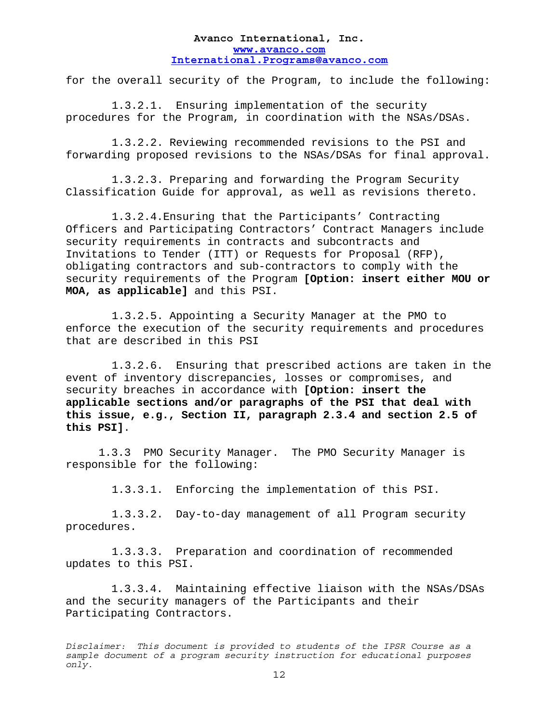for the overall security of the Program, to include the following:

1.3.2.1. Ensuring implementation of the security procedures for the Program, in coordination with the NSAs/DSAs.

1.3.2.2. Reviewing recommended revisions to the PSI and forwarding proposed revisions to the NSAs/DSAs for final approval.

1.3.2.3. Preparing and forwarding the Program Security Classification Guide for approval, as well as revisions thereto.

1.3.2.4.Ensuring that the Participants' Contracting Officers and Participating Contractors' Contract Managers include security requirements in contracts and subcontracts and Invitations to Tender (ITT) or Requests for Proposal (RFP), obligating contractors and sub-contractors to comply with the security requirements of the Program **[Option: insert either MOU or MOA, as applicable]** and this PSI.

1.3.2.5. Appointing a Security Manager at the PMO to enforce the execution of the security requirements and procedures that are described in this PSI

1.3.2.6. Ensuring that prescribed actions are taken in the event of inventory discrepancies, losses or compromises, and security breaches in accordance with **[Option: insert the applicable sections and/or paragraphs of the PSI that deal with this issue, e.g., Section II, paragraph 2.3.4 and section 2.5 of this PSI]**.

1.3.3 PMO Security Manager. The PMO Security Manager is responsible for the following:

1.3.3.1. Enforcing the implementation of this PSI.

1.3.3.2. Day-to-day management of all Program security procedures.

1.3.3.3. Preparation and coordination of recommended updates to this PSI.

 1.3.3.4. Maintaining effective liaison with the NSAs/DSAs and the security managers of the Participants and their Participating Contractors.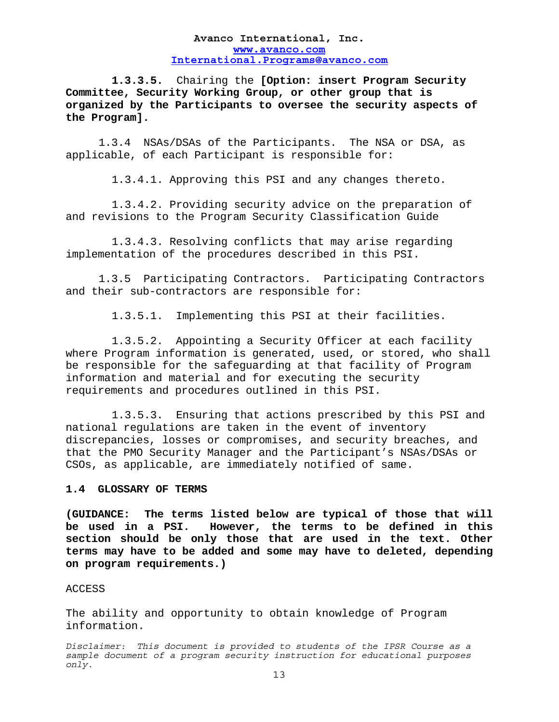**1.3.3.5.** Chairing the **[Option: insert Program Security Committee, Security Working Group, or other group that is organized by the Participants to oversee the security aspects of the Program].** 

 1.3.4 NSAs/DSAs of the Participants. The NSA or DSA, as applicable, of each Participant is responsible for:

1.3.4.1. Approving this PSI and any changes thereto.

1.3.4.2. Providing security advice on the preparation of and revisions to the Program Security Classification Guide

1.3.4.3. Resolving conflicts that may arise regarding implementation of the procedures described in this PSI.

 1.3.5 Participating Contractors. Participating Contractors and their sub-contractors are responsible for:

1.3.5.1. Implementing this PSI at their facilities.

1.3.5.2. Appointing a Security Officer at each facility where Program information is generated, used, or stored, who shall be responsible for the safeguarding at that facility of Program information and material and for executing the security requirements and procedures outlined in this PSI.

1.3.5.3. Ensuring that actions prescribed by this PSI and national regulations are taken in the event of inventory discrepancies, losses or compromises, and security breaches, and that the PMO Security Manager and the Participant's NSAs/DSAs or CSOs, as applicable, are immediately notified of same.

#### **1.4 GLOSSARY OF TERMS**

**(GUIDANCE: The terms listed below are typical of those that will be used in a PSI. However, the terms to be defined in this section should be only those that are used in the text. Other terms may have to be added and some may have to deleted, depending on program requirements.)** 

#### ACCESS

The ability and opportunity to obtain knowledge of Program information.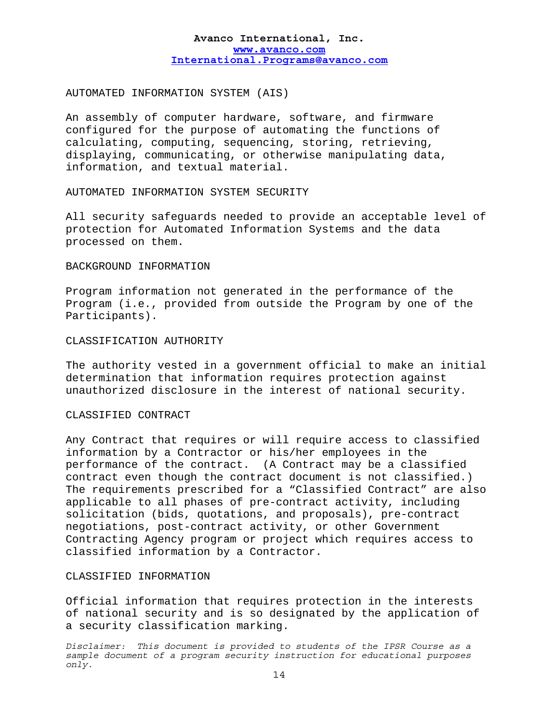# AUTOMATED INFORMATION SYSTEM (AIS)

An assembly of computer hardware, software, and firmware configured for the purpose of automating the functions of calculating, computing, sequencing, storing, retrieving, displaying, communicating, or otherwise manipulating data, information, and textual material.

AUTOMATED INFORMATION SYSTEM SECURITY

All security safeguards needed to provide an acceptable level of protection for Automated Information Systems and the data processed on them.

#### BACKGROUND INFORMATION

Program information not generated in the performance of the Program (i.e., provided from outside the Program by one of the Participants).

## CLASSIFICATION AUTHORITY

The authority vested in a government official to make an initial determination that information requires protection against unauthorized disclosure in the interest of national security.

#### CLASSIFIED CONTRACT

Any Contract that requires or will require access to classified information by a Contractor or his/her employees in the performance of the contract. (A Contract may be a classified contract even though the contract document is not classified.) The requirements prescribed for a "Classified Contract" are also applicable to all phases of pre-contract activity, including solicitation (bids, quotations, and proposals), pre-contract negotiations, post-contract activity, or other Government Contracting Agency program or project which requires access to classified information by a Contractor.

# CLASSIFIED INFORMATION

Official information that requires protection in the interests of national security and is so designated by the application of a security classification marking.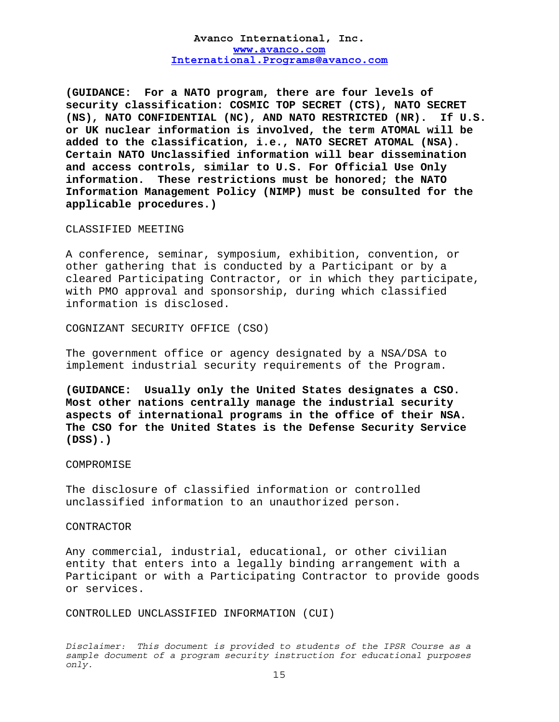**(GUIDANCE: For a NATO program, there are four levels of security classification: COSMIC TOP SECRET (CTS), NATO SECRET (NS), NATO CONFIDENTIAL (NC), AND NATO RESTRICTED (NR). If U.S. or UK nuclear information is involved, the term ATOMAL will be added to the classification, i.e., NATO SECRET ATOMAL (NSA). Certain NATO Unclassified information will bear dissemination and access controls, similar to U.S. For Official Use Only information. These restrictions must be honored; the NATO Information Management Policy (NIMP) must be consulted for the applicable procedures.)** 

#### CLASSIFIED MEETING

A conference, seminar, symposium, exhibition, convention, or other gathering that is conducted by a Participant or by a cleared Participating Contractor, or in which they participate, with PMO approval and sponsorship, during which classified information is disclosed.

COGNIZANT SECURITY OFFICE (CSO)

The government office or agency designated by a NSA/DSA to implement industrial security requirements of the Program.

**(GUIDANCE: Usually only the United States designates a CSO. Most other nations centrally manage the industrial security aspects of international programs in the office of their NSA. The CSO for the United States is the Defense Security Service (DSS).)** 

#### **COMPROMISE**

The disclosure of classified information or controlled unclassified information to an unauthorized person.

#### CONTRACTOR

Any commercial, industrial, educational, or other civilian entity that enters into a legally binding arrangement with a Participant or with a Participating Contractor to provide goods or services.

CONTROLLED UNCLASSIFIED INFORMATION (CUI)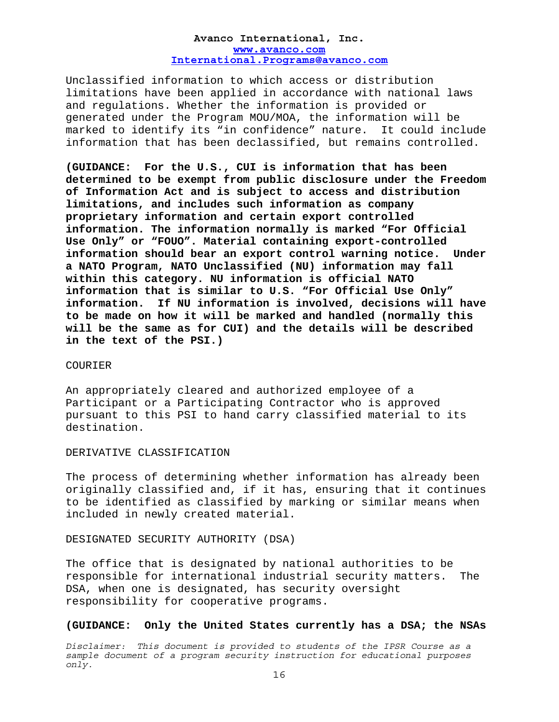Unclassified information to which access or distribution limitations have been applied in accordance with national laws and regulations. Whether the information is provided or generated under the Program MOU/MOA, the information will be marked to identify its "in confidence" nature. It could include information that has been declassified, but remains controlled.

**(GUIDANCE: For the U.S., CUI is information that has been determined to be exempt from public disclosure under the Freedom of Information Act and is subject to access and distribution limitations, and includes such information as company proprietary information and certain export controlled information. The information normally is marked "For Official Use Only" or "FOUO". Material containing export-controlled information should bear an export control warning notice. Under a NATO Program, NATO Unclassified (NU) information may fall within this category. NU information is official NATO information that is similar to U.S. "For Official Use Only" information. If NU information is involved, decisions will have to be made on how it will be marked and handled (normally this will be the same as for CUI) and the details will be described in the text of the PSI.)** 

#### COURIER

An appropriately cleared and authorized employee of a Participant or a Participating Contractor who is approved pursuant to this PSI to hand carry classified material to its destination.

#### DERIVATIVE CLASSIFICATION

The process of determining whether information has already been originally classified and, if it has, ensuring that it continues to be identified as classified by marking or similar means when included in newly created material.

DESIGNATED SECURITY AUTHORITY (DSA)

The office that is designated by national authorities to be responsible for international industrial security matters. The DSA, when one is designated, has security oversight responsibility for cooperative programs.

#### **(GUIDANCE: Only the United States currently has a DSA; the NSAs**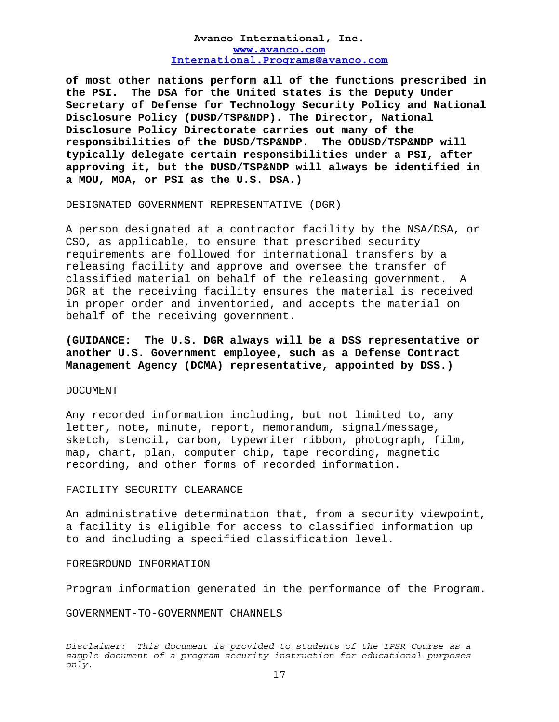**of most other nations perform all of the functions prescribed in the PSI. The DSA for the United states is the Deputy Under Secretary of Defense for Technology Security Policy and National Disclosure Policy (DUSD/TSP&NDP). The Director, National Disclosure Policy Directorate carries out many of the responsibilities of the DUSD/TSP&NDP. The ODUSD/TSP&NDP will typically delegate certain responsibilities under a PSI, after approving it, but the DUSD/TSP&NDP will always be identified in a MOU, MOA, or PSI as the U.S. DSA.)** 

DESIGNATED GOVERNMENT REPRESENTATIVE (DGR)

A person designated at a contractor facility by the NSA/DSA, or CSO, as applicable, to ensure that prescribed security requirements are followed for international transfers by a releasing facility and approve and oversee the transfer of classified material on behalf of the releasing government. A DGR at the receiving facility ensures the material is received in proper order and inventoried, and accepts the material on behalf of the receiving government.

**(GUIDANCE: The U.S. DGR always will be a DSS representative or another U.S. Government employee, such as a Defense Contract Management Agency (DCMA) representative, appointed by DSS.)** 

#### DOCUMENT

Any recorded information including, but not limited to, any letter, note, minute, report, memorandum, signal/message, sketch, stencil, carbon, typewriter ribbon, photograph, film, map, chart, plan, computer chip, tape recording, magnetic recording, and other forms of recorded information.

#### FACILITY SECURITY CLEARANCE

An administrative determination that, from a security viewpoint, a facility is eligible for access to classified information up to and including a specified classification level.

#### FOREGROUND INFORMATION

Program information generated in the performance of the Program.

GOVERNMENT-TO-GOVERNMENT CHANNELS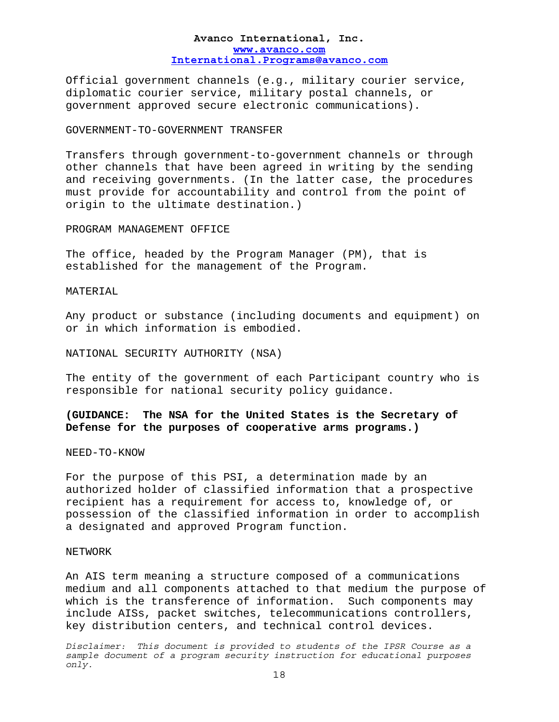Official government channels (e.g., military courier service, diplomatic courier service, military postal channels, or government approved secure electronic communications).

#### GOVERNMENT-TO-GOVERNMENT TRANSFER

Transfers through government-to-government channels or through other channels that have been agreed in writing by the sending and receiving governments. (In the latter case, the procedures must provide for accountability and control from the point of origin to the ultimate destination.)

#### PROGRAM MANAGEMENT OFFICE

The office, headed by the Program Manager (PM), that is established for the management of the Program.

MATERIAL

Any product or substance (including documents and equipment) on or in which information is embodied.

NATIONAL SECURITY AUTHORITY (NSA)

The entity of the government of each Participant country who is responsible for national security policy guidance.

**(GUIDANCE: The NSA for the United States is the Secretary of Defense for the purposes of cooperative arms programs.)** 

NEED-TO-KNOW

For the purpose of this PSI, a determination made by an authorized holder of classified information that a prospective recipient has a requirement for access to, knowledge of, or possession of the classified information in order to accomplish a designated and approved Program function.

# NETWORK

An AIS term meaning a structure composed of a communications medium and all components attached to that medium the purpose of which is the transference of information. Such components may include AISs, packet switches, telecommunications controllers, key distribution centers, and technical control devices.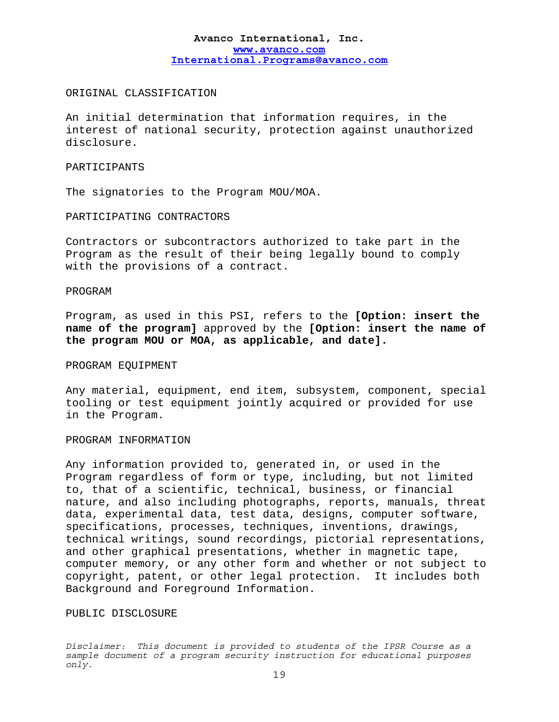#### ORIGINAL CLASSIFICATION

An initial determination that information requires, in the interest of national security, protection against unauthorized disclosure.

# PARTICIPANTS

The signatories to the Program MOU/MOA.

PARTICIPATING CONTRACTORS

Contractors or subcontractors authorized to take part in the Program as the result of their being legally bound to comply with the provisions of a contract.

#### PROGRAM

Program, as used in this PSI, refers to the **[Option: insert the name of the program]** approved by the **[Option: insert the name of the program MOU or MOA, as applicable, and date].** 

#### PROGRAM EQUIPMENT

Any material, equipment, end item, subsystem, component, special tooling or test equipment jointly acquired or provided for use in the Program.

#### PROGRAM INFORMATION

Any information provided to, generated in, or used in the Program regardless of form or type, including, but not limited to, that of a scientific, technical, business, or financial nature, and also including photographs, reports, manuals, threat data, experimental data, test data, designs, computer software, specifications, processes, techniques, inventions, drawings, technical writings, sound recordings, pictorial representations, and other graphical presentations, whether in magnetic tape, computer memory, or any other form and whether or not subject to copyright, patent, or other legal protection. It includes both Background and Foreground Information.

#### PUBLIC DISCLOSURE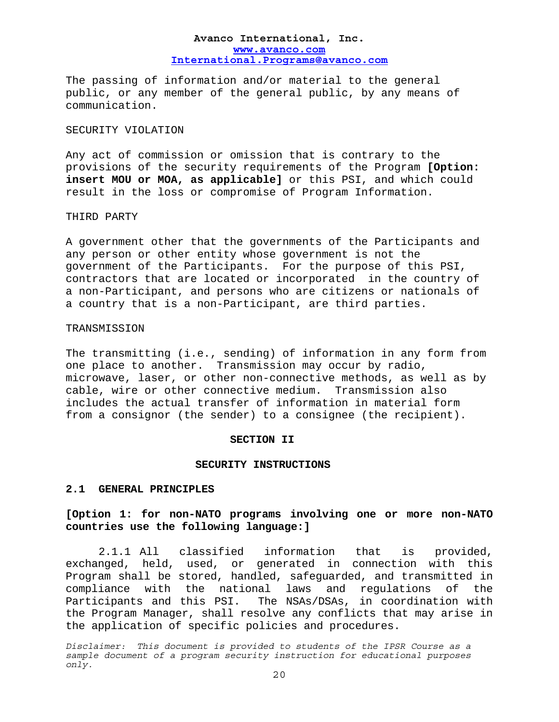The passing of information and/or material to the general public, or any member of the general public, by any means of communication.

# SECURITY VIOLATION

Any act of commission or omission that is contrary to the provisions of the security requirements of the Program **[Option: insert MOU or MOA, as applicable]** or this PSI, and which could result in the loss or compromise of Program Information.

#### THIRD PARTY

A government other that the governments of the Participants and any person or other entity whose government is not the government of the Participants. For the purpose of this PSI, contractors that are located or incorporated in the country of a non-Participant, and persons who are citizens or nationals of a country that is a non-Participant, are third parties.

#### TRANSMISSION

The transmitting (i.e., sending) of information in any form from one place to another. Transmission may occur by radio, microwave, laser, or other non-connective methods, as well as by cable, wire or other connective medium. Transmission also includes the actual transfer of information in material form from a consignor (the sender) to a consignee (the recipient).

#### **SECTION II**

#### **SECURITY INSTRUCTIONS**

#### **2.1 GENERAL PRINCIPLES**

# **[Option 1: for non-NATO programs involving one or more non-NATO countries use the following language:]**

2.1.1 All classified information that is provided, exchanged, held, used, or generated in connection with this Program shall be stored, handled, safeguarded, and transmitted in compliance with the national laws and regulations of the Participants and this PSI. The NSAs/DSAs, in coordination with the Program Manager, shall resolve any conflicts that may arise in the application of specific policies and procedures.

*Disclaimer: This document is provided to students of the IPSR Course as a sample document of a program security instruction for educational purposes only.*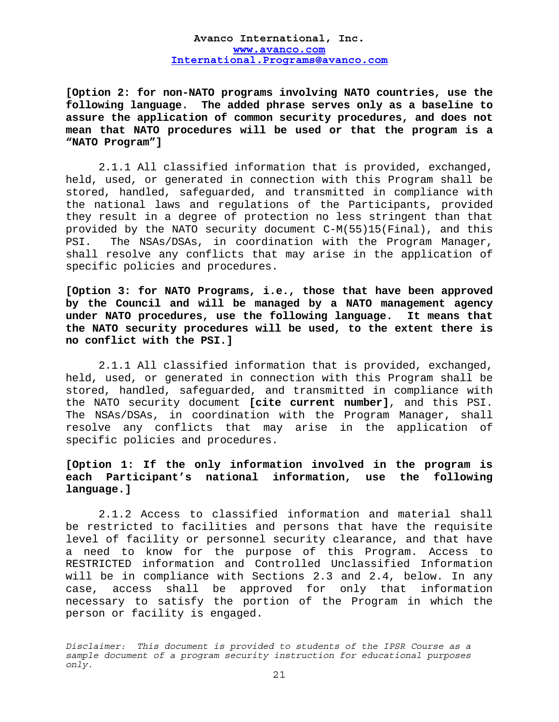**[Option 2: for non-NATO programs involving NATO countries, use the following language. The added phrase serves only as a baseline to assure the application of common security procedures, and does not mean that NATO procedures will be used or that the program is a "NATO Program"]** 

2.1.1 All classified information that is provided, exchanged, held, used, or generated in connection with this Program shall be stored, handled, safeguarded, and transmitted in compliance with the national laws and regulations of the Participants, provided they result in a degree of protection no less stringent than that provided by the NATO security document C-M(55)15(Final), and this PSI. The NSAs/DSAs, in coordination with the Program Manager, shall resolve any conflicts that may arise in the application of specific policies and procedures.

**[Option 3: for NATO Programs, i.e., those that have been approved by the Council and will be managed by a NATO management agency under NATO procedures, use the following language. It means that the NATO security procedures will be used, to the extent there is no conflict with the PSI.]** 

2.1.1 All classified information that is provided, exchanged, held, used, or generated in connection with this Program shall be stored, handled, safeguarded, and transmitted in compliance with the NATO security document **[cite current number]**, and this PSI. The NSAs/DSAs, in coordination with the Program Manager, shall resolve any conflicts that may arise in the application of specific policies and procedures.

# **[Option 1: If the only information involved in the program is each Participant's national information, use the following language.]**

2.1.2 Access to classified information and material shall be restricted to facilities and persons that have the requisite level of facility or personnel security clearance, and that have a need to know for the purpose of this Program. Access to RESTRICTED information and Controlled Unclassified Information will be in compliance with Sections 2.3 and 2.4, below. In any case, access shall be approved for only that information necessary to satisfy the portion of the Program in which the person or facility is engaged.

*Disclaimer: This document is provided to students of the IPSR Course as a sample document of a program security instruction for educational purposes only.*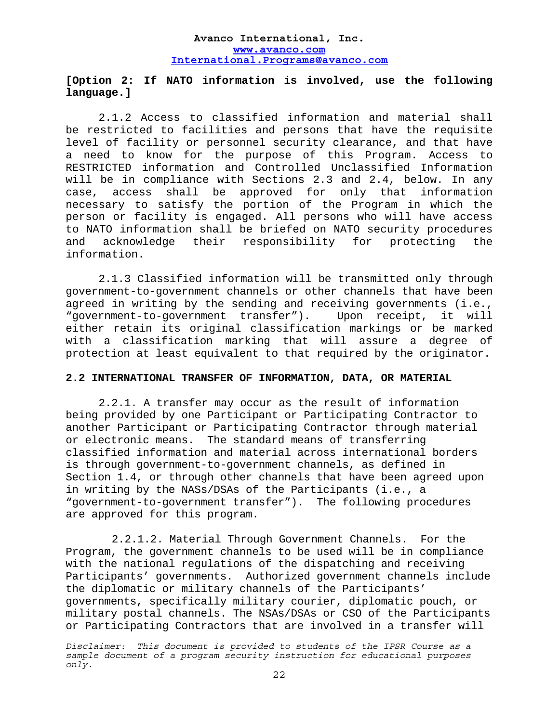# **[Option 2: If NATO information is involved, use the following language.]**

2.1.2 Access to classified information and material shall be restricted to facilities and persons that have the requisite level of facility or personnel security clearance, and that have a need to know for the purpose of this Program. Access to RESTRICTED information and Controlled Unclassified Information will be in compliance with Sections 2.3 and 2.4, below. In any case, access shall be approved for only that information necessary to satisfy the portion of the Program in which the person or facility is engaged. All persons who will have access to NATO information shall be briefed on NATO security procedures and acknowledge their responsibility for protecting the information.

2.1.3 Classified information will be transmitted only through government-to-government channels or other channels that have been agreed in writing by the sending and receiving governments (i.e., "government-to-government transfer"). Upon receipt, it will either retain its original classification markings or be marked with a classification marking that will assure a degree of protection at least equivalent to that required by the originator.

# **2.2 INTERNATIONAL TRANSFER OF INFORMATION, DATA, OR MATERIAL**

2.2.1. A transfer may occur as the result of information being provided by one Participant or Participating Contractor to another Participant or Participating Contractor through material or electronic means. The standard means of transferring classified information and material across international borders is through government-to-government channels, as defined in Section 1.4, or through other channels that have been agreed upon in writing by the NASs/DSAs of the Participants (i.e., a "government-to-government transfer"). The following procedures are approved for this program.

2.2.1.2. Material Through Government Channels. For the Program, the government channels to be used will be in compliance with the national regulations of the dispatching and receiving Participants' governments. Authorized government channels include the diplomatic or military channels of the Participants' governments, specifically military courier, diplomatic pouch, or military postal channels. The NSAs/DSAs or CSO of the Participants or Participating Contractors that are involved in a transfer will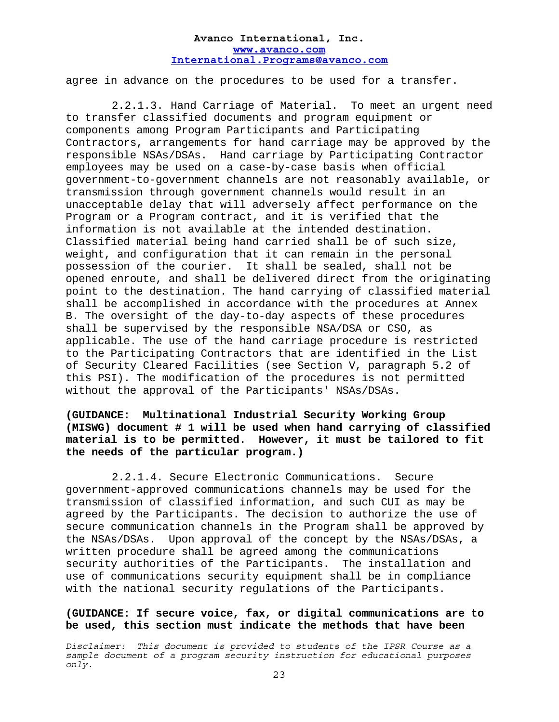agree in advance on the procedures to be used for a transfer.

2.2.1.3. Hand Carriage of Material. To meet an urgent need to transfer classified documents and program equipment or components among Program Participants and Participating Contractors, arrangements for hand carriage may be approved by the responsible NSAs/DSAs. Hand carriage by Participating Contractor employees may be used on a case-by-case basis when official government-to-government channels are not reasonably available, or transmission through government channels would result in an unacceptable delay that will adversely affect performance on the Program or a Program contract, and it is verified that the information is not available at the intended destination. Classified material being hand carried shall be of such size, weight, and configuration that it can remain in the personal possession of the courier. It shall be sealed, shall not be opened enroute, and shall be delivered direct from the originating point to the destination. The hand carrying of classified material shall be accomplished in accordance with the procedures at Annex B. The oversight of the day-to-day aspects of these procedures shall be supervised by the responsible NSA/DSA or CSO, as applicable. The use of the hand carriage procedure is restricted to the Participating Contractors that are identified in the List of Security Cleared Facilities (see Section V, paragraph 5.2 of this PSI). The modification of the procedures is not permitted without the approval of the Participants' NSAs/DSAs.

# **(GUIDANCE: Multinational Industrial Security Working Group (MISWG) document # 1 will be used when hand carrying of classified material is to be permitted. However, it must be tailored to fit the needs of the particular program.)**

2.2.1.4. Secure Electronic Communications. Secure government-approved communications channels may be used for the transmission of classified information, and such CUI as may be agreed by the Participants. The decision to authorize the use of secure communication channels in the Program shall be approved by the NSAs/DSAs. Upon approval of the concept by the NSAs/DSAs, a written procedure shall be agreed among the communications security authorities of the Participants. The installation and use of communications security equipment shall be in compliance with the national security regulations of the Participants.

# **(GUIDANCE: If secure voice, fax, or digital communications are to be used, this section must indicate the methods that have been**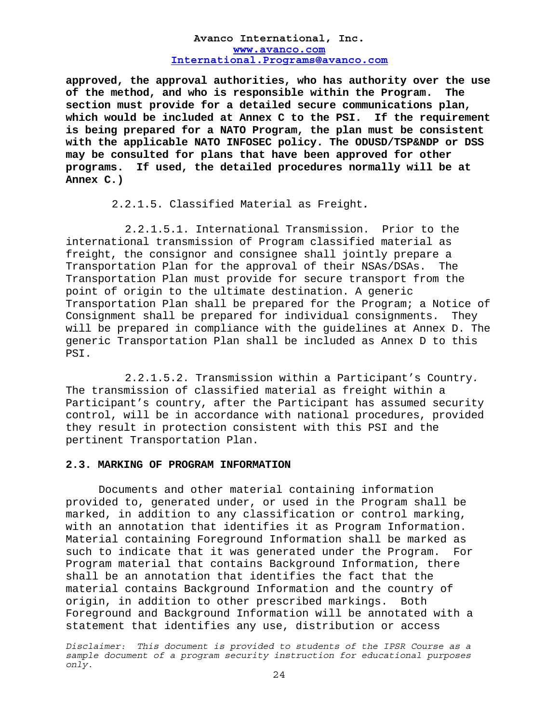**approved, the approval authorities, who has authority over the use of the method, and who is responsible within the Program. The section must provide for a detailed secure communications plan, which would be included at Annex C to the PSI. If the requirement is being prepared for a NATO Program, the plan must be consistent with the applicable NATO INFOSEC policy. The ODUSD/TSP&NDP or DSS may be consulted for plans that have been approved for other programs. If used, the detailed procedures normally will be at Annex C.)** 

2.2.1.5. Classified Material as Freight*.*

2.2.1.5.1. International Transmission. Prior to the international transmission of Program classified material as freight, the consignor and consignee shall jointly prepare a Transportation Plan for the approval of their NSAs/DSAs. The Transportation Plan must provide for secure transport from the point of origin to the ultimate destination. A generic Transportation Plan shall be prepared for the Program; a Notice of Consignment shall be prepared for individual consignments. They will be prepared in compliance with the guidelines at Annex D. The generic Transportation Plan shall be included as Annex D to this PSI.

2.2.1.5.2. Transmission within a Participant's Country*.* The transmission of classified material as freight within a Participant's country, after the Participant has assumed security control, will be in accordance with national procedures, provided they result in protection consistent with this PSI and the pertinent Transportation Plan.

#### **2.3. MARKING OF PROGRAM INFORMATION**

Documents and other material containing information provided to, generated under, or used in the Program shall be marked, in addition to any classification or control marking, with an annotation that identifies it as Program Information. Material containing Foreground Information shall be marked as such to indicate that it was generated under the Program. For Program material that contains Background Information, there shall be an annotation that identifies the fact that the material contains Background Information and the country of origin, in addition to other prescribed markings. Both Foreground and Background Information will be annotated with a statement that identifies any use, distribution or access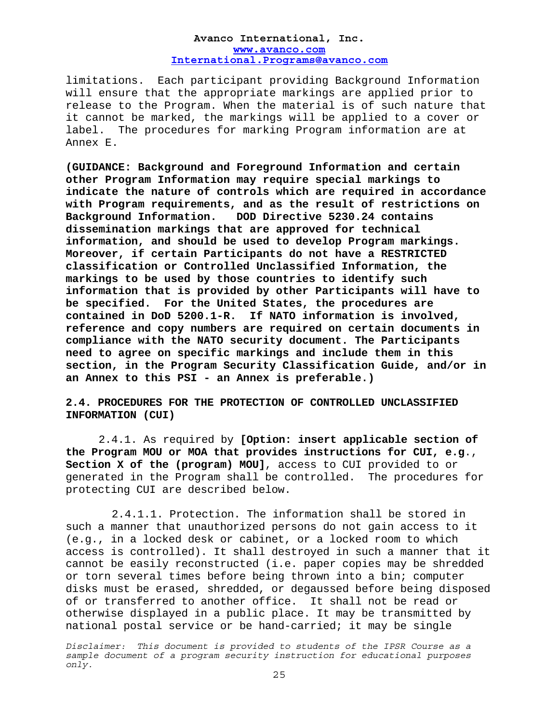limitations. Each participant providing Background Information will ensure that the appropriate markings are applied prior to release to the Program. When the material is of such nature that it cannot be marked, the markings will be applied to a cover or label. The procedures for marking Program information are at Annex E.

**(GUIDANCE: Background and Foreground Information and certain other Program Information may require special markings to indicate the nature of controls which are required in accordance with Program requirements, and as the result of restrictions on Background Information. DOD Directive 5230.24 contains dissemination markings that are approved for technical information, and should be used to develop Program markings. Moreover, if certain Participants do not have a RESTRICTED classification or Controlled Unclassified Information, the markings to be used by those countries to identify such information that is provided by other Participants will have to be specified. For the United States, the procedures are contained in DoD 5200.1-R. If NATO information is involved, reference and copy numbers are required on certain documents in compliance with the NATO security document. The Participants need to agree on specific markings and include them in this section, in the Program Security Classification Guide, and/or in an Annex to this PSI - an Annex is preferable.)** 

# **2.4. PROCEDURES FOR THE PROTECTION OF CONTROLLED UNCLASSIFIED INFORMATION (CUI)**

 2.4.1. As required by **[Option: insert applicable section of the Program MOU or MOA that provides instructions for CUI, e.g**., **Section X of the (program) MOU]**, access to CUI provided to or generated in the Program shall be controlled. The procedures for protecting CUI are described below.

2.4.1.1. Protection. The information shall be stored in such a manner that unauthorized persons do not gain access to it (e.g., in a locked desk or cabinet, or a locked room to which access is controlled). It shall destroyed in such a manner that it cannot be easily reconstructed (i.e. paper copies may be shredded or torn several times before being thrown into a bin; computer disks must be erased, shredded, or degaussed before being disposed of or transferred to another office. It shall not be read or otherwise displayed in a public place. It may be transmitted by national postal service or be hand-carried; it may be single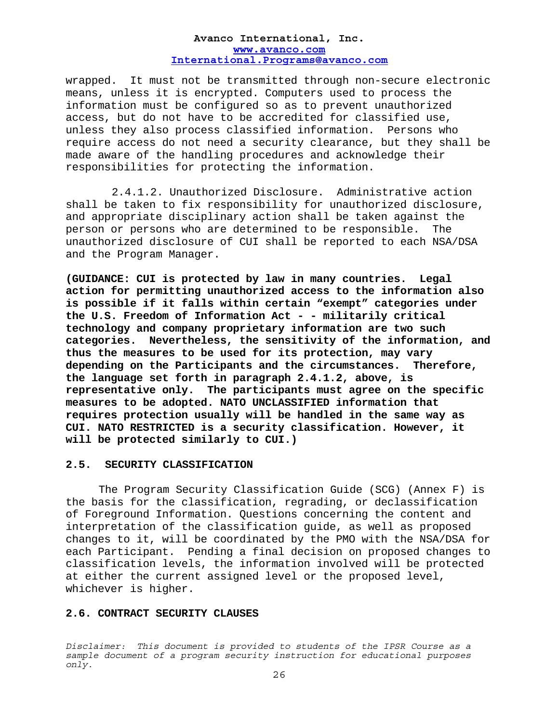wrapped. It must not be transmitted through non-secure electronic means, unless it is encrypted. Computers used to process the information must be configured so as to prevent unauthorized access, but do not have to be accredited for classified use, unless they also process classified information. Persons who require access do not need a security clearance, but they shall be made aware of the handling procedures and acknowledge their responsibilities for protecting the information.

2.4.1.2. Unauthorized Disclosure. Administrative action shall be taken to fix responsibility for unauthorized disclosure, and appropriate disciplinary action shall be taken against the person or persons who are determined to be responsible. The unauthorized disclosure of CUI shall be reported to each NSA/DSA and the Program Manager.

**(GUIDANCE: CUI is protected by law in many countries. Legal action for permitting unauthorized access to the information also is possible if it falls within certain "exempt" categories under the U.S. Freedom of Information Act - - militarily critical technology and company proprietary information are two such categories. Nevertheless, the sensitivity of the information, and thus the measures to be used for its protection, may vary depending on the Participants and the circumstances. Therefore, the language set forth in paragraph 2.4.1.2, above, is representative only. The participants must agree on the specific measures to be adopted. NATO UNCLASSIFIED information that requires protection usually will be handled in the same way as CUI. NATO RESTRICTED is a security classification. However, it will be protected similarly to CUI.)** 

#### **2.5. SECURITY CLASSIFICATION**

 The Program Security Classification Guide (SCG) (Annex F) is the basis for the classification, regrading, or declassification of Foreground Information. Questions concerning the content and interpretation of the classification guide, as well as proposed changes to it, will be coordinated by the PMO with the NSA/DSA for each Participant. Pending a final decision on proposed changes to classification levels, the information involved will be protected at either the current assigned level or the proposed level, whichever is higher.

#### **2.6. CONTRACT SECURITY CLAUSES**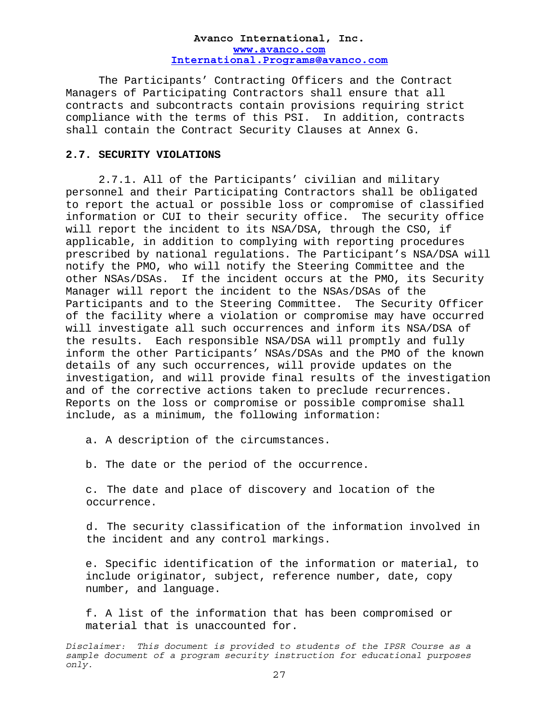The Participants' Contracting Officers and the Contract Managers of Participating Contractors shall ensure that all contracts and subcontracts contain provisions requiring strict compliance with the terms of this PSI. In addition, contracts shall contain the Contract Security Clauses at Annex G.

#### **2.7. SECURITY VIOLATIONS**

2.7.1. All of the Participants' civilian and military personnel and their Participating Contractors shall be obligated to report the actual or possible loss or compromise of classified information or CUI to their security office. The security office will report the incident to its NSA/DSA, through the CSO, if applicable, in addition to complying with reporting procedures prescribed by national regulations. The Participant's NSA/DSA will notify the PMO, who will notify the Steering Committee and the other NSAs/DSAs. If the incident occurs at the PMO, its Security Manager will report the incident to the NSAs/DSAs of the Participants and to the Steering Committee. The Security Officer of the facility where a violation or compromise may have occurred will investigate all such occurrences and inform its NSA/DSA of the results. Each responsible NSA/DSA will promptly and fully inform the other Participants' NSAs/DSAs and the PMO of the known details of any such occurrences, will provide updates on the investigation, and will provide final results of the investigation and of the corrective actions taken to preclude recurrences. Reports on the loss or compromise or possible compromise shall include, as a minimum, the following information:

a. A description of the circumstances.

b. The date or the period of the occurrence.

c. The date and place of discovery and location of the occurrence.

d. The security classification of the information involved in the incident and any control markings.

e. Specific identification of the information or material, to include originator, subject, reference number, date, copy number, and language.

f. A list of the information that has been compromised or material that is unaccounted for.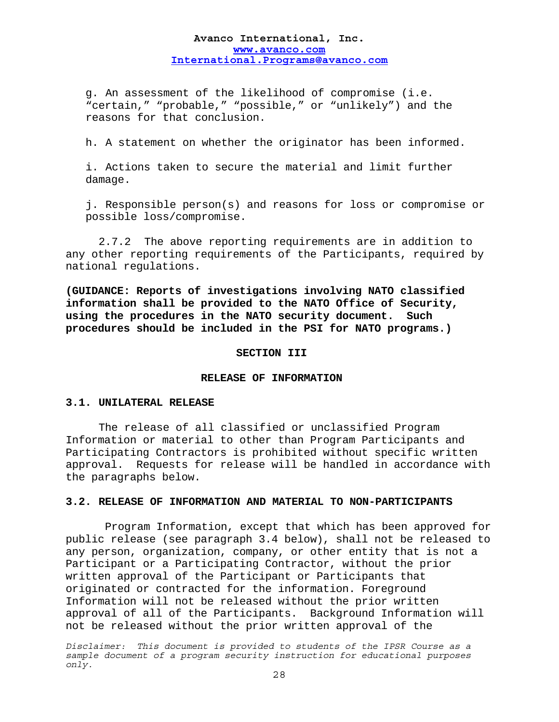g. An assessment of the likelihood of compromise (i.e. "certain," "probable," "possible," or "unlikely") and the reasons for that conclusion.

h. A statement on whether the originator has been informed.

i. Actions taken to secure the material and limit further damage.

j. Responsible person(s) and reasons for loss or compromise or possible loss/compromise.

 2.7.2 The above reporting requirements are in addition to any other reporting requirements of the Participants, required by national regulations.

**(GUIDANCE: Reports of investigations involving NATO classified information shall be provided to the NATO Office of Security, using the procedures in the NATO security document. Such procedures should be included in the PSI for NATO programs.)** 

#### **SECTION III**

#### **RELEASE OF INFORMATION**

#### **3.1. UNILATERAL RELEASE**

 The release of all classified or unclassified Program Information or material to other than Program Participants and Participating Contractors is prohibited without specific written approval. Requests for release will be handled in accordance with the paragraphs below.

# **3.2. RELEASE OF INFORMATION AND MATERIAL TO NON-PARTICIPANTS**

 Program Information, except that which has been approved for public release (see paragraph 3.4 below), shall not be released to any person, organization, company, or other entity that is not a Participant or a Participating Contractor, without the prior written approval of the Participant or Participants that originated or contracted for the information. Foreground Information will not be released without the prior written approval of all of the Participants. Background Information will not be released without the prior written approval of the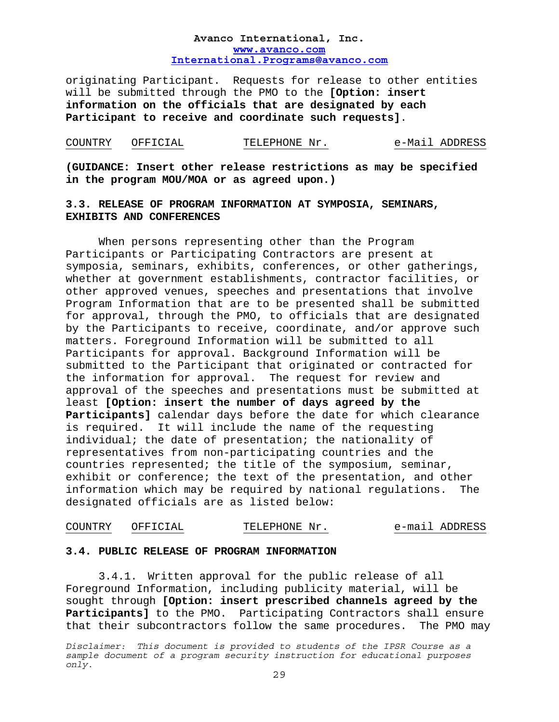originating Participant. Requests for release to other entities will be submitted through the PMO to the **[Option: insert information on the officials that are designated by each Participant to receive and coordinate such requests]**.

# COUNTRY OFFICIAL TELEPHONE Nr. e-Mail ADDRESS

**(GUIDANCE: Insert other release restrictions as may be specified in the program MOU/MOA or as agreed upon.)** 

# **3.3. RELEASE OF PROGRAM INFORMATION AT SYMPOSIA, SEMINARS, EXHIBITS AND CONFERENCES**

When persons representing other than the Program Participants or Participating Contractors are present at symposia, seminars, exhibits, conferences, or other gatherings, whether at government establishments, contractor facilities, or other approved venues, speeches and presentations that involve Program Information that are to be presented shall be submitted for approval, through the PMO, to officials that are designated by the Participants to receive, coordinate, and/or approve such matters. Foreground Information will be submitted to all Participants for approval. Background Information will be submitted to the Participant that originated or contracted for the information for approval. The request for review and approval of the speeches and presentations must be submitted at least **[Option: insert the number of days agreed by the Participants]** calendar days before the date for which clearance is required. It will include the name of the requesting individual; the date of presentation; the nationality of representatives from non-participating countries and the countries represented; the title of the symposium, seminar, exhibit or conference; the text of the presentation, and other information which may be required by national regulations. The designated officials are as listed below:

# COUNTRY OFFICIAL TELEPHONE Nr. e-mail ADDRESS

#### **3.4. PUBLIC RELEASE OF PROGRAM INFORMATION**

3.4.1. Written approval for the public release of all Foreground Information, including publicity material, will be sought through **[Option: insert prescribed channels agreed by the Participants]** to the PMO. Participating Contractors shall ensure that their subcontractors follow the same procedures. The PMO may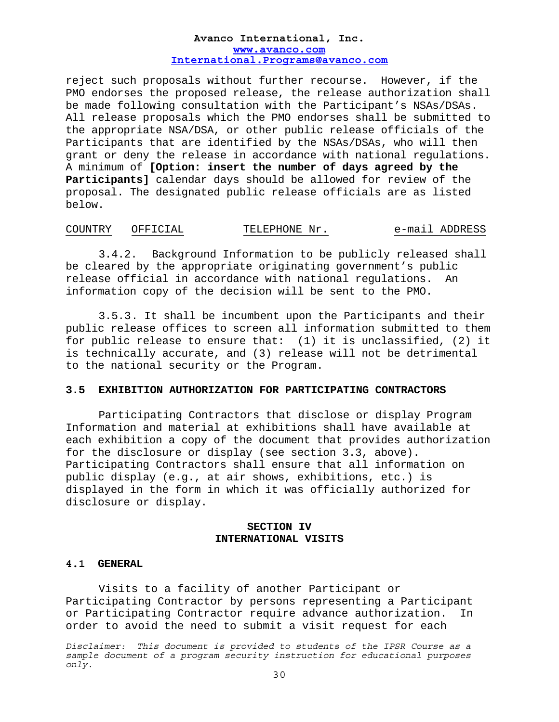reject such proposals without further recourse. However, if the PMO endorses the proposed release, the release authorization shall be made following consultation with the Participant's NSAs/DSAs. All release proposals which the PMO endorses shall be submitted to the appropriate NSA/DSA, or other public release officials of the Participants that are identified by the NSAs/DSAs, who will then grant or deny the release in accordance with national regulations. A minimum of **[Option: insert the number of days agreed by the Participants]** calendar days should be allowed for review of the proposal. The designated public release officials are as listed below.

# COUNTRY OFFICIAL TELEPHONE Nr. e-mail ADDRESS

3.4.2. Background Information to be publicly released shall be cleared by the appropriate originating government's public release official in accordance with national regulations. An information copy of the decision will be sent to the PMO.

 3.5.3 . It shall be incumbent upon the Participants and their public release offices to screen all information submitted to them for public release to ensure that: (1) it is unclassified, (2) it is technically accurate, and (3) release will not be detrimental to the national security or the Program.

# **3.5 EXHIBITION AUTHORIZATION FOR PARTICIPATING CONTRACTORS**

 Participating Contractors that disclose or display Program Information and material at exhibitions shall have available at each exhibition a copy of the document that provides authorization for the disclosure or display (see section 3.3, above). Participating Contractors shall ensure that all information on public display (e.g., at air shows, exhibitions, etc.) is displayed in the form in which it was officially authorized for disclosure or display.

# **SECTION IV INTERNATIONAL VISITS**

#### **4.1 GENERAL**

 Visits to a facility of another Participant or Participating Contractor by persons representing a Participant or Participating Contractor require advance authorization. In order to avoid the need to submit a visit request for each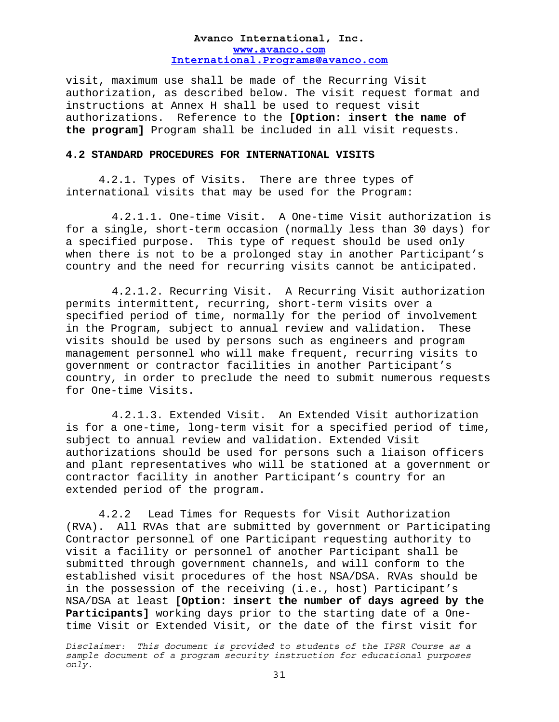visit, maximum use shall be made of the Recurring Visit authorization, as described below. The visit request format and instructions at Annex H shall be used to request visit authorizations. Reference to the **[Option: insert the name of the program]** Program shall be included in all visit requests.

#### **4.2 STANDARD PROCEDURES FOR INTERNATIONAL VISITS**

 4.2.1. Types of Visits. There are three types of international visits that may be used for the Program:

4.2.1.1. One-time Visit. A One-time Visit authorization is for a single, short-term occasion (normally less than 30 days) for a specified purpose. This type of request should be used only when there is not to be a prolonged stay in another Participant's country and the need for recurring visits cannot be anticipated.

4.2.1.2. Recurring Visit. A Recurring Visit authorization permits intermittent, recurring, short-term visits over a specified period of time, normally for the period of involvement in the Program, subject to annual review and validation. These visits should be used by persons such as engineers and program management personnel who will make frequent, recurring visits to government or contractor facilities in another Participant's country, in order to preclude the need to submit numerous requests for One-time Visits.

4.2.1.3. Extended Visit. An Extended Visit authorization is for a one-time, long-term visit for a specified period of time, subject to annual review and validation. Extended Visit authorizations should be used for persons such a liaison officers and plant representatives who will be stationed at a government or contractor facility in another Participant's country for an extended period of the program.

4.2.2 Lead Times for Requests for Visit Authorization (RVA). All RVAs that are submitted by government or Participating Contractor personnel of one Participant requesting authority to visit a facility or personnel of another Participant shall be submitted through government channels, and will conform to the established visit procedures of the host NSA/DSA. RVAs should be in the possession of the receiving (i.e., host) Participant's NSA/DSA at least **[Option: insert the number of days agreed by the Participants]** working days prior to the starting date of a Onetime Visit or Extended Visit, or the date of the first visit for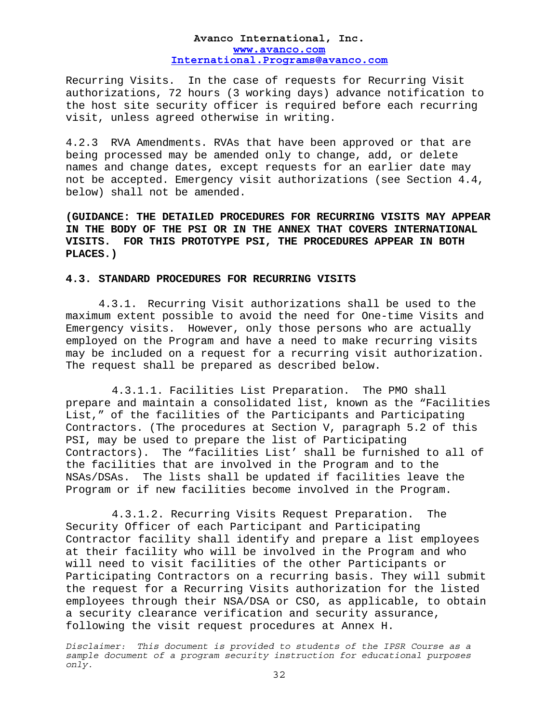Recurring Visits. In the case of requests for Recurring Visit authorizations, 72 hours (3 working days) advance notification to the host site security officer is required before each recurring visit, unless agreed otherwise in writing.

4.2.3 RVA Amendments. RVAs that have been approved or that are being processed may be amended only to change, add, or delete names and change dates, except requests for an earlier date may not be accepted. Emergency visit authorizations (see Section 4.4, below) shall not be amended.

**(GUIDANCE: THE DETAILED PROCEDURES FOR RECURRING VISITS MAY APPEAR IN THE BODY OF THE PSI OR IN THE ANNEX THAT COVERS INTERNATIONAL VISITS. FOR THIS PROTOTYPE PSI, THE PROCEDURES APPEAR IN BOTH PLACES.)** 

#### **4.3. STANDARD PROCEDURES FOR RECURRING VISITS**

4.3.1. Recurring Visit authorizations shall be used to the maximum extent possible to avoid the need for One-time Visits and Emergency visits. However, only those persons who are actually employed on the Program and have a need to make recurring visits may be included on a request for a recurring visit authorization. The request shall be prepared as described below.

4.3.1.1. Facilities List Preparation. The PMO shall prepare and maintain a consolidated list, known as the "Facilities List," of the facilities of the Participants and Participating Contractors. (The procedures at Section V, paragraph 5.2 of this PSI, may be used to prepare the list of Participating Contractors). The "facilities List' shall be furnished to all of the facilities that are involved in the Program and to the NSAs/DSAs. The lists shall be updated if facilities leave the Program or if new facilities become involved in the Program.

4.3.1.2. Recurring Visits Request Preparation. The Security Officer of each Participant and Participating Contractor facility shall identify and prepare a list employees at their facility who will be involved in the Program and who will need to visit facilities of the other Participants or Participating Contractors on a recurring basis. They will submit the request for a Recurring Visits authorization for the listed employees through their NSA/DSA or CSO, as applicable, to obtain a security clearance verification and security assurance, following the visit request procedures at Annex H.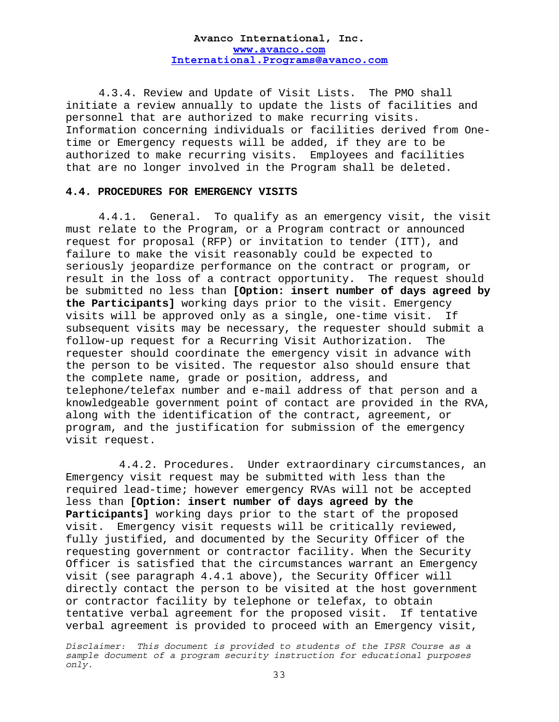4.3.4. Review and Update of Visit Lists. The PMO shall initiate a review annually to update the lists of facilities and personnel that are authorized to make recurring visits. Information concerning individuals or facilities derived from Onetime or Emergency requests will be added, if they are to be authorized to make recurring visits. Employees and facilities that are no longer involved in the Program shall be deleted.

#### **4.4. PROCEDURES FOR EMERGENCY VISITS**

4.4.1. General. To qualify as an emergency visit, the visit must relate to the Program, or a Program contract or announced request for proposal (RFP) or invitation to tender (ITT), and failure to make the visit reasonably could be expected to seriously jeopardize performance on the contract or program, or result in the loss of a contract opportunity. The request should be submitted no less than **[Option: insert number of days agreed by the Participants]** working days prior to the visit. Emergency visits will be approved only as a single, one-time visit. If subsequent visits may be necessary, the requester should submit a follow-up request for a Recurring Visit Authorization. The requester should coordinate the emergency visit in advance with the person to be visited. The requestor also should ensure that the complete name, grade or position, address, and telephone/telefax number and e-mail address of that person and a knowledgeable government point of contact are provided in the RVA, along with the identification of the contract, agreement, or program, and the justification for submission of the emergency visit request.

 4.4.2. Procedures. Under extraordinary circumstances, an Emergency visit request may be submitted with less than the required lead-time; however emergency RVAs will not be accepted less than **[Option: insert number of days agreed by the Participants]** working days prior to the start of the proposed visit. Emergency visit requests will be critically reviewed, fully justified, and documented by the Security Officer of the requesting government or contractor facility. When the Security Officer is satisfied that the circumstances warrant an Emergency visit (see paragraph 4.4.1 above), the Security Officer will directly contact the person to be visited at the host government or contractor facility by telephone or telefax, to obtain tentative verbal agreement for the proposed visit. If tentative verbal agreement is provided to proceed with an Emergency visit,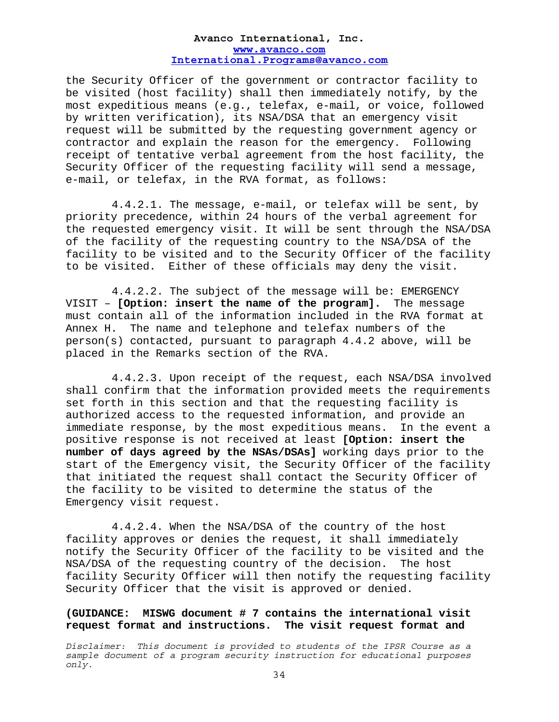the Security Officer of the government or contractor facility to be visited (host facility) shall then immediately notify, by the most expeditious means (e.g., telefax, e-mail, or voice, followed by written verification), its NSA/DSA that an emergency visit request will be submitted by the requesting government agency or contractor and explain the reason for the emergency. Following receipt of tentative verbal agreement from the host facility, the Security Officer of the requesting facility will send a message, e-mail, or telefax, in the RVA format, as follows:

4.4.2.1. The message, e-mail, or telefax will be sent, by priority precedence, within 24 hours of the verbal agreement for the requested emergency visit. It will be sent through the NSA/DSA of the facility of the requesting country to the NSA/DSA of the facility to be visited and to the Security Officer of the facility to be visited. Either of these officials may deny the visit.

4.4.2.2. The subject of the message will be: EMERGENCY VISIT – **[Option: insert the name of the program].** The message must contain all of the information included in the RVA format at Annex H. The name and telephone and telefax numbers of the person(s) contacted, pursuant to paragraph 4.4.2 above, will be placed in the Remarks section of the RVA.

4.4.2.3. Upon receipt of the request, each NSA/DSA involved shall confirm that the information provided meets the requirements set forth in this section and that the requesting facility is authorized access to the requested information, and provide an immediate response, by the most expeditious means. In the event a positive response is not received at least **[Option: insert the number of days agreed by the NSAs/DSAs]** working days prior to the start of the Emergency visit, the Security Officer of the facility that initiated the request shall contact the Security Officer of the facility to be visited to determine the status of the Emergency visit request.

4.4.2.4. When the NSA/DSA of the country of the host facility approves or denies the request, it shall immediately notify the Security Officer of the facility to be visited and the NSA/DSA of the requesting country of the decision. The host facility Security Officer will then notify the requesting facility Security Officer that the visit is approved or denied.

**(GUIDANCE: MISWG document # 7 contains the international visit request format and instructions. The visit request format and**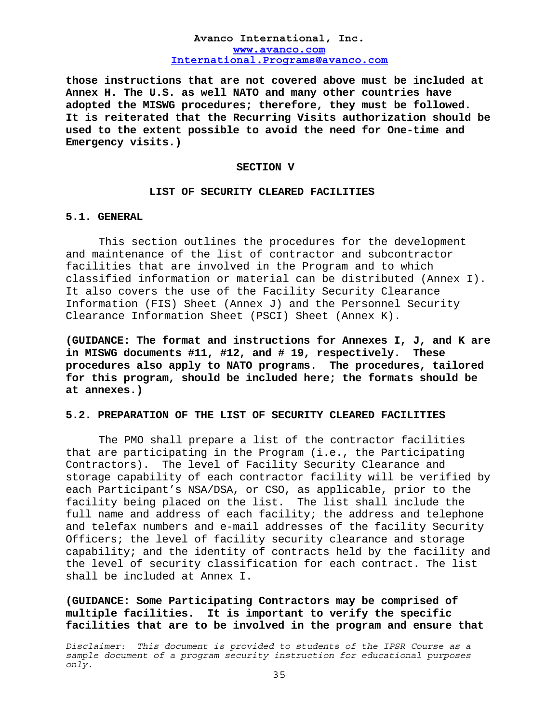**those instructions that are not covered above must be included at Annex H. The U.S. as well NATO and many other countries have adopted the MISWG procedures; therefore, they must be followed. It is reiterated that the Recurring Visits authorization should be used to the extent possible to avoid the need for One-time and Emergency visits.)**

#### **SECTION V**

#### **LIST OF SECURITY CLEARED FACILITIES**

# **5.1. GENERAL**

This section outlines the procedures for the development and maintenance of the list of contractor and subcontractor facilities that are involved in the Program and to which classified information or material can be distributed (Annex I). It also covers the use of the Facility Security Clearance Information (FIS) Sheet (Annex J) and the Personnel Security Clearance Information Sheet (PSCI) Sheet (Annex K).

**(GUIDANCE: The format and instructions for Annexes I, J, and K are in MISWG documents #11, #12, and # 19, respectively. These procedures also apply to NATO programs. The procedures, tailored for this program, should be included here; the formats should be at annexes.)** 

#### **5.2. PREPARATION OF THE LIST OF SECURITY CLEARED FACILITIES**

The PMO shall prepare a list of the contractor facilities that are participating in the Program (i.e., the Participating Contractors). The level of Facility Security Clearance and storage capability of each contractor facility will be verified by each Participant's NSA/DSA, or CSO, as applicable, prior to the facility being placed on the list. The list shall include the full name and address of each facility; the address and telephone and telefax numbers and e-mail addresses of the facility Security Officers; the level of facility security clearance and storage capability; and the identity of contracts held by the facility and the level of security classification for each contract. The list shall be included at Annex I.

**(GUIDANCE: Some Participating Contractors may be comprised of multiple facilities. It is important to verify the specific facilities that are to be involved in the program and ensure that**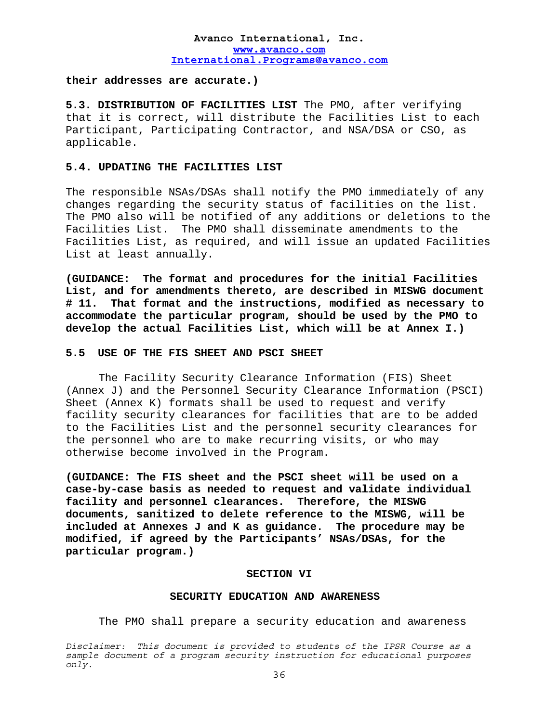#### **their addresses are accurate.)**

**5.3. DISTRIBUTION OF FACILITIES LIST** The PMO, after verifying that it is correct, will distribute the Facilities List to each Participant, Participating Contractor, and NSA/DSA or CSO, as applicable.

#### **5.4. UPDATING THE FACILITIES LIST**

The responsible NSAs/DSAs shall notify the PMO immediately of any changes regarding the security status of facilities on the list. The PMO also will be notified of any additions or deletions to the Facilities List. The PMO shall disseminate amendments to the Facilities List, as required, and will issue an updated Facilities List at least annually.

**(GUIDANCE: The format and procedures for the initial Facilities List, and for amendments thereto, are described in MISWG document # 11. That format and the instructions, modified as necessary to accommodate the particular program, should be used by the PMO to develop the actual Facilities List, which will be at Annex I.)** 

#### **5.5 USE OF THE FIS SHEET AND PSCI SHEET**

 The Facility Security Clearance Information (FIS) Sheet (Annex J) and the Personnel Security Clearance Information (PSCI) Sheet (Annex K) formats shall be used to request and verify facility security clearances for facilities that are to be added to the Facilities List and the personnel security clearances for the personnel who are to make recurring visits, or who may otherwise become involved in the Program.

**(GUIDANCE: The FIS sheet and the PSCI sheet will be used on a case-by-case basis as needed to request and validate individual facility and personnel clearances. Therefore, the MISWG documents, sanitized to delete reference to the MISWG, will be included at Annexes J and K as guidance. The procedure may be modified, if agreed by the Participants' NSAs/DSAs, for the particular program.)** 

#### **SECTION VI**

#### **SECURITY EDUCATION AND AWARENESS**

The PMO shall prepare a security education and awareness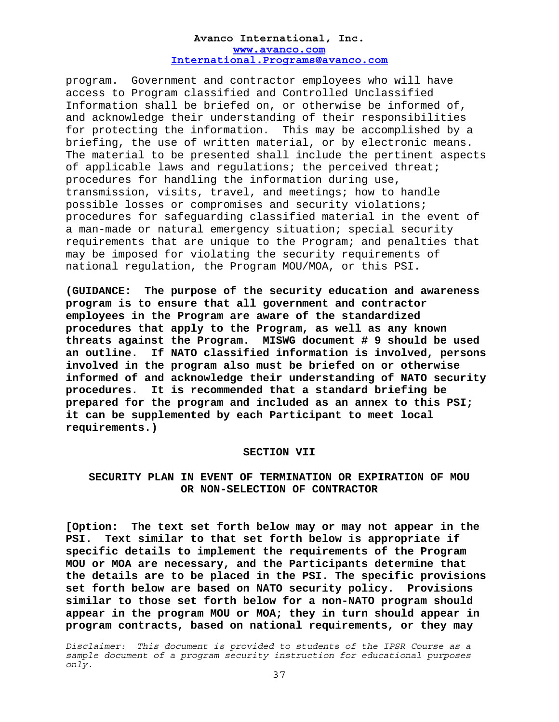program. Government and contractor employees who will have access to Program classified and Controlled Unclassified Information shall be briefed on, or otherwise be informed of, and acknowledge their understanding of their responsibilities for protecting the information. This may be accomplished by a briefing, the use of written material, or by electronic means. The material to be presented shall include the pertinent aspects of applicable laws and regulations; the perceived threat; procedures for handling the information during use, transmission, visits, travel, and meetings; how to handle possible losses or compromises and security violations; procedures for safeguarding classified material in the event of a man-made or natural emergency situation; special security requirements that are unique to the Program; and penalties that may be imposed for violating the security requirements of national regulation, the Program MOU/MOA, or this PSI.

**(GUIDANCE: The purpose of the security education and awareness program is to ensure that all government and contractor employees in the Program are aware of the standardized procedures that apply to the Program, as well as any known threats against the Program. MISWG document # 9 should be used an outline. If NATO classified information is involved, persons involved in the program also must be briefed on or otherwise informed of and acknowledge their understanding of NATO security procedures. It is recommended that a standard briefing be prepared for the program and included as an annex to this PSI; it can be supplemented by each Participant to meet local requirements.)**

#### **SECTION VII**

## **SECURITY PLAN IN EVENT OF TERMINATION OR EXPIRATION OF MOU OR NON-SELECTION OF CONTRACTOR**

**[Option: The text set forth below may or may not appear in the PSI. Text similar to that set forth below is appropriate if specific details to implement the requirements of the Program MOU or MOA are necessary, and the Participants determine that the details are to be placed in the PSI. The specific provisions set forth below are based on NATO security policy. Provisions similar to those set forth below for a non-NATO program should appear in the program MOU or MOA; they in turn should appear in program contracts, based on national requirements, or they may**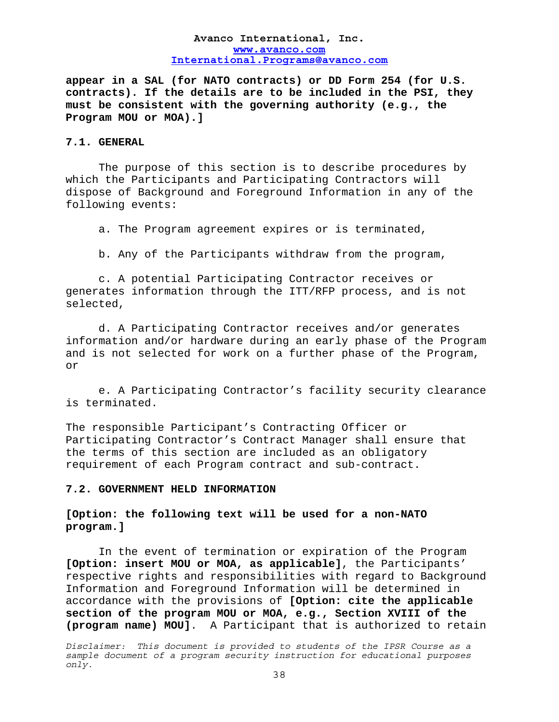**appear in a SAL (for NATO contracts) or DD Form 254 (for U.S. contracts). If the details are to be included in the PSI, they must be consistent with the governing authority (e.g., the Program MOU or MOA).]** 

### **7.1. GENERAL**

The purpose of this section is to describe procedures by which the Participants and Participating Contractors will dispose of Background and Foreground Information in any of the following events:

a. The Program agreement expires or is terminated,

b. Any of the Participants withdraw from the program,

c. A potential Participating Contractor receives or generates information through the ITT/RFP process, and is not selected,

d. A Participating Contractor receives and/or generates information and/or hardware during an early phase of the Program and is not selected for work on a further phase of the Program, or

e. A Participating Contractor's facility security clearance is terminated.

The responsible Participant's Contracting Officer or Participating Contractor's Contract Manager shall ensure that the terms of this section are included as an obligatory requirement of each Program contract and sub-contract.

#### **7.2. GOVERNMENT HELD INFORMATION**

## **[Option: the following text will be used for a non-NATO program.]**

In the event of termination or expiration of the Program **[Option: insert MOU or MOA, as applicable]**, the Participants' respective rights and responsibilities with regard to Background Information and Foreground Information will be determined in accordance with the provisions of **[Option: cite the applicable section of the program MOU or MOA, e.g., Section XVIII of the (program name) MOU]**. A Participant that is authorized to retain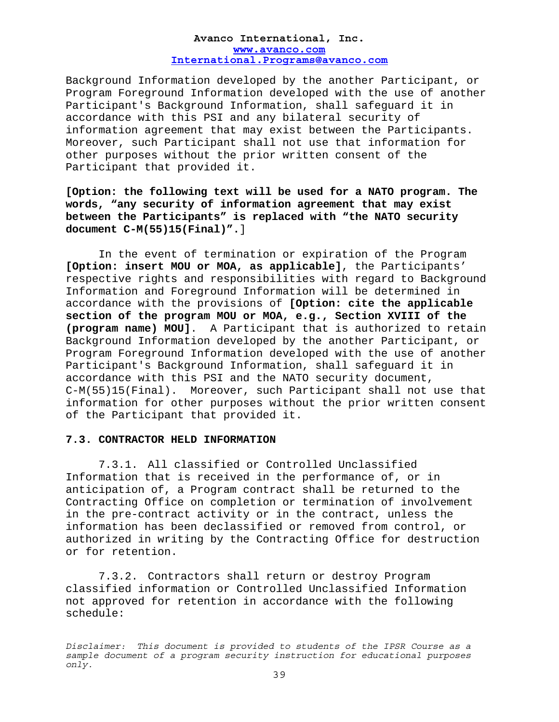Background Information developed by the another Participant, or Program Foreground Information developed with the use of another Participant's Background Information, shall safeguard it in accordance with this PSI and any bilateral security of information agreement that may exist between the Participants. Moreover, such Participant shall not use that information for other purposes without the prior written consent of the Participant that provided it.

**[Option: the following text will be used for a NATO program. The words, "any security of information agreement that may exist between the Participants" is replaced with "the NATO security document C-M(55)15(Final)".**]

In the event of termination or expiration of the Program **[Option: insert MOU or MOA, as applicable]**, the Participants' respective rights and responsibilities with regard to Background Information and Foreground Information will be determined in accordance with the provisions of **[Option: cite the applicable section of the program MOU or MOA, e.g., Section XVIII of the (program name) MOU]**. A Participant that is authorized to retain Background Information developed by the another Participant, or Program Foreground Information developed with the use of another Participant's Background Information, shall safeguard it in accordance with this PSI and the NATO security document, C-M(55)15(Final). Moreover, such Participant shall not use that information for other purposes without the prior written consent of the Participant that provided it.

## **7.3. CONTRACTOR HELD INFORMATION**

7.3.1. All classified or Controlled Unclassified Information that is received in the performance of, or in anticipation of, a Program contract shall be returned to the Contracting Office on completion or termination of involvement in the pre-contract activity or in the contract, unless the information has been declassified or removed from control, or authorized in writing by the Contracting Office for destruction or for retention.

7.3.2. Contractors shall return or destroy Program classified information or Controlled Unclassified Information not approved for retention in accordance with the following schedule: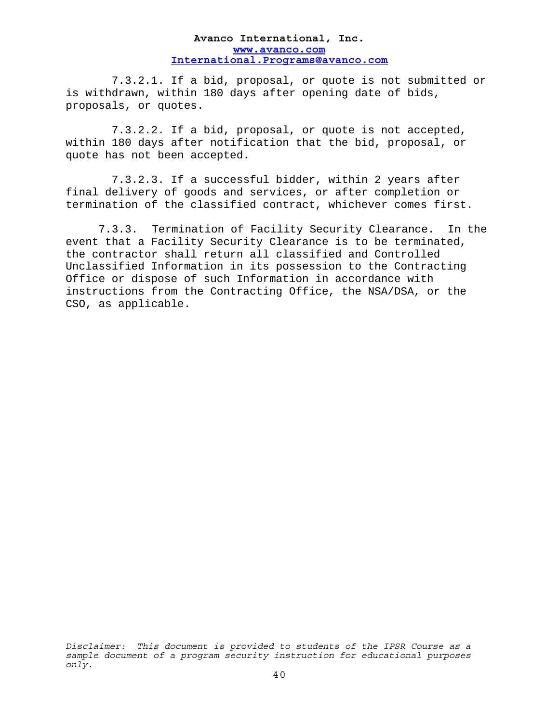7.3.2.1. If a bid, proposal, or quote is not submitted or is withdrawn, within 180 days after opening date of bids, proposals, or quotes.

7.3.2.2. If a bid, proposal, or quote is not accepted, within 180 days after notification that the bid, proposal, or quote has not been accepted.

7.3.2.3. If a successful bidder, within 2 years after final delivery of goods and services, or after completion or termination of the classified contract, whichever comes first.

7.3.3. Termination of Facility Security Clearance. In the event that a Facility Security Clearance is to be terminated, the contractor shall return all classified and Controlled Unclassified Information in its possession to the Contracting Office or dispose of such Information in accordance with instructions from the Contracting Office, the NSA/DSA, or the CSO, as applicable.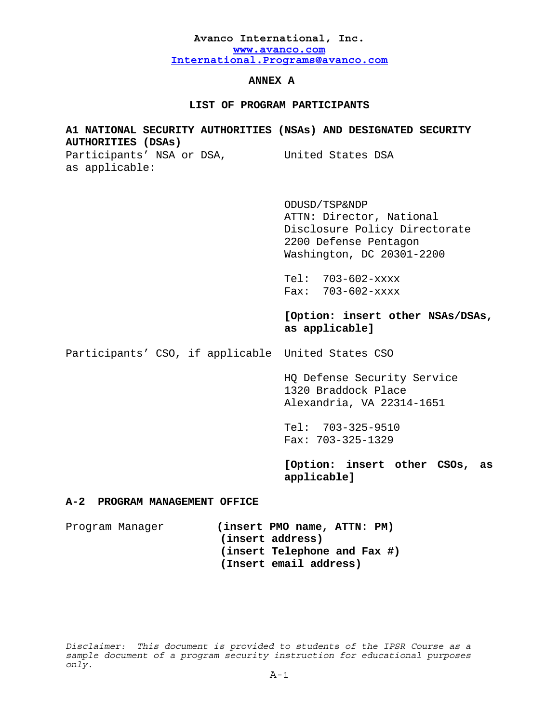## **ANNEX A**

## **LIST OF PROGRAM PARTICIPANTS**

# **A1 NATIONAL SECURITY AUTHORITIES (NSAs) AND DESIGNATED SECURITY AUTHORITIES (DSAs)** Participants' NSA or DSA, United States DSA as applicable:

 ODUSD/TSP&NDP ATTN: Director, National Disclosure Policy Directorate 2200 Defense Pentagon Washington, DC 20301-2200

Tel: 703-602-xxxx Fax: 703-602-xxxx

**[Option: insert other NSAs/DSAs, as applicable]** 

Participants' CSO, if applicable United States CSO

 HQ Defense Security Service 1320 Braddock Place Alexandria, VA 22314-1651

Tel: 703-325-9510 Fax: 703-325-1329

**[Option: insert other CSOs, as applicable]** 

## **A-2 PROGRAM MANAGEMENT OFFICE**

Program Manager **(insert PMO name, ATTN: PM) (insert address) (insert Telephone and Fax #) (Insert email address)**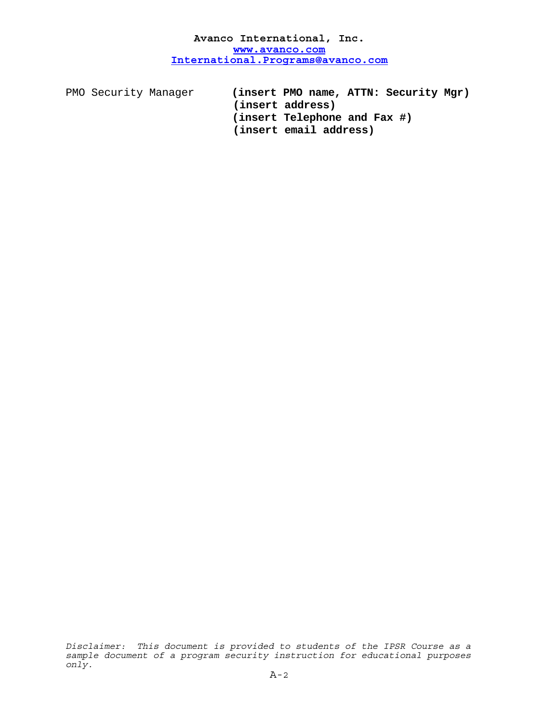PMO Security Manager **(insert PMO name, ATTN: Security Mgr) (insert address) (insert Telephone and Fax #) (insert email address)**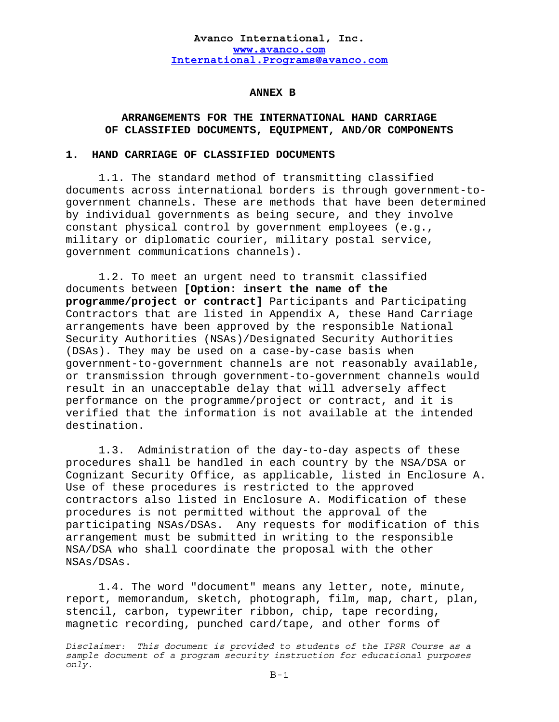### **ANNEX B**

## **ARRANGEMENTS FOR THE INTERNATIONAL HAND CARRIAGE OF CLASSIFIED DOCUMENTS, EQUIPMENT, AND/OR COMPONENTS**

### **1. HAND CARRIAGE OF CLASSIFIED DOCUMENTS**

1.1. The standard method of transmitting classified documents across international borders is through government-togovernment channels. These are methods that have been determined by individual governments as being secure, and they involve constant physical control by government employees (e.g., military or diplomatic courier, military postal service, government communications channels).

1.2. To meet an urgent need to transmit classified documents between **[Option: insert the name of the programme/project or contract]** Participants and Participating Contractors that are listed in Appendix A, these Hand Carriage arrangements have been approved by the responsible National Security Authorities (NSAs)/Designated Security Authorities (DSAs). They may be used on a case-by-case basis when government-to-government channels are not reasonably available, or transmission through government-to-government channels would result in an unacceptable delay that will adversely affect performance on the programme/project or contract, and it is verified that the information is not available at the intended destination.

 1.3. Administration of the day-to-day aspects of these procedures shall be handled in each country by the NSA/DSA or Cognizant Security Office, as applicable, listed in Enclosure A. Use of these procedures is restricted to the approved contractors also listed in Enclosure A. Modification of these procedures is not permitted without the approval of the participating NSAs/DSAs. Any requests for modification of this arrangement must be submitted in writing to the responsible NSA/DSA who shall coordinate the proposal with the other NSAs/DSAs.

 1.4. The word "document" means any letter, note, minute, report, memorandum, sketch, photograph, film, map, chart, plan, stencil, carbon, typewriter ribbon, chip, tape recording, magnetic recording, punched card/tape, and other forms of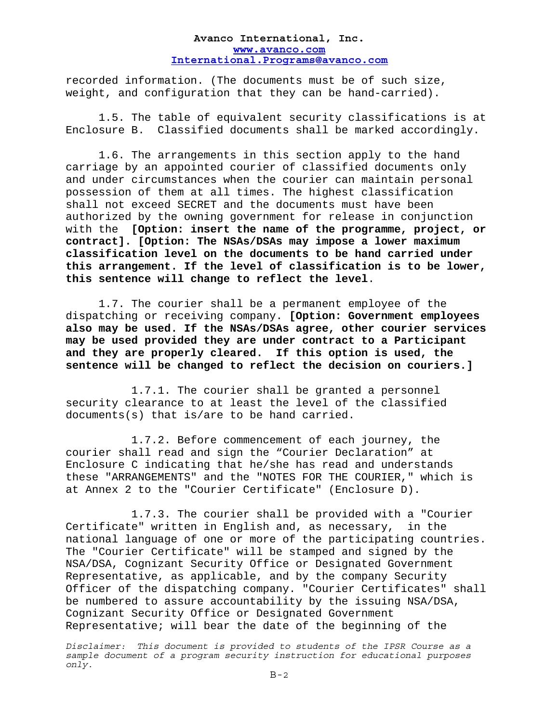recorded information. (The documents must be of such size, weight, and configuration that they can be hand-carried).

 1.5. The table of equivalent security classifications is at Enclosure B. Classified documents shall be marked accordingly.

 1.6. The arrangements in this section apply to the hand carriage by an appointed courier of classified documents only and under circumstances when the courier can maintain personal possession of them at all times. The highest classification shall not exceed SECRET and the documents must have been authorized by the owning government for release in conjunction with the **[Option: insert the name of the programme, project, or contract]. [Option: The NSAs/DSAs may impose a lower maximum classification level on the documents to be hand carried under this arrangement. If the level of classification is to be lower, this sentence will change to reflect the level**.

 1.7. The courier shall be a permanent employee of the dispatching or receiving company. **[Option: Government employees also may be used. If the NSAs/DSAs agree, other courier services may be used provided they are under contract to a Participant and they are properly cleared. If this option is used, the sentence will be changed to reflect the decision on couriers.]** 

 1.7.1. The courier shall be granted a personnel security clearance to at least the level of the classified documents(s) that is/are to be hand carried.

 1.7.2. Before commencement of each journey, the courier shall read and sign the "Courier Declaration" at Enclosure C indicating that he/she has read and understands these "ARRANGEMENTS" and the "NOTES FOR THE COURIER," which is at Annex 2 to the "Courier Certificate" (Enclosure D).

 1.7.3. The courier shall be provided with a "Courier Certificate" written in English and, as necessary, in the national language of one or more of the participating countries. The "Courier Certificate" will be stamped and signed by the NSA/DSA, Cognizant Security Office or Designated Government Representative, as applicable, and by the company Security Officer of the dispatching company. "Courier Certificates" shall be numbered to assure accountability by the issuing NSA/DSA, Cognizant Security Office or Designated Government Representative; will bear the date of the beginning of the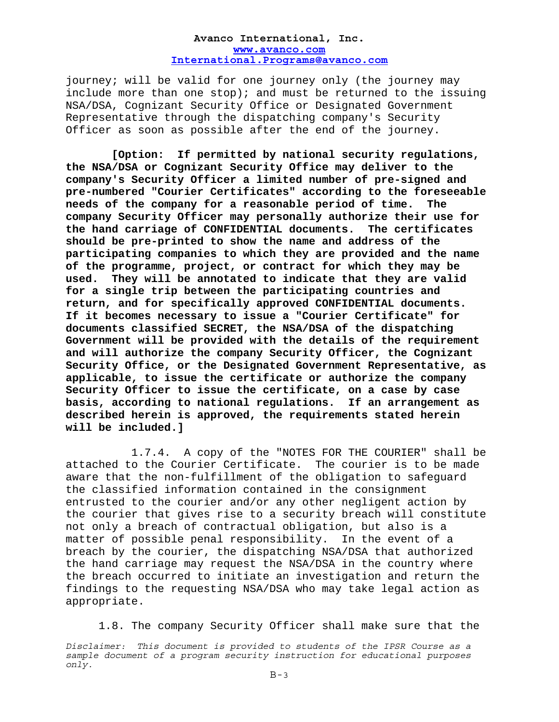journey; will be valid for one journey only (the journey may include more than one  $stop)$ ; and must be returned to the issuing NSA/DSA, Cognizant Security Office or Designated Government Representative through the dispatching company's Security Officer as soon as possible after the end of the journey.

 **[Option: If permitted by national security regulations, the NSA/DSA or Cognizant Security Office may deliver to the company's Security Officer a limited number of pre-signed and pre-numbered "Courier Certificates" according to the foreseeable needs of the company for a reasonable period of time. The company Security Officer may personally authorize their use for the hand carriage of CONFIDENTIAL documents. The certificates should be pre-printed to show the name and address of the participating companies to which they are provided and the name of the programme, project, or contract for which they may be used. They will be annotated to indicate that they are valid for a single trip between the participating countries and return, and for specifically approved CONFIDENTIAL documents. If it becomes necessary to issue a "Courier Certificate" for documents classified SECRET, the NSA/DSA of the dispatching Government will be provided with the details of the requirement and will authorize the company Security Officer, the Cognizant Security Office, or the Designated Government Representative, as applicable, to issue the certificate or authorize the company Security Officer to issue the certificate, on a case by case basis, according to national regulations. If an arrangement as described herein is approved, the requirements stated herein will be included.]** 

 1.7.4. A copy of the "NOTES FOR THE COURIER" shall be attached to the Courier Certificate. The courier is to be made aware that the non-fulfillment of the obligation to safeguard the classified information contained in the consignment entrusted to the courier and/or any other negligent action by the courier that gives rise to a security breach will constitute not only a breach of contractual obligation, but also is a matter of possible penal responsibility. In the event of a breach by the courier, the dispatching NSA/DSA that authorized the hand carriage may request the NSA/DSA in the country where the breach occurred to initiate an investigation and return the findings to the requesting NSA/DSA who may take legal action as appropriate.

1.8. The company Security Officer shall make sure that the

*Disclaimer: This document is provided to students of the IPSR Course as a sample document of a program security instruction for educational purposes only.*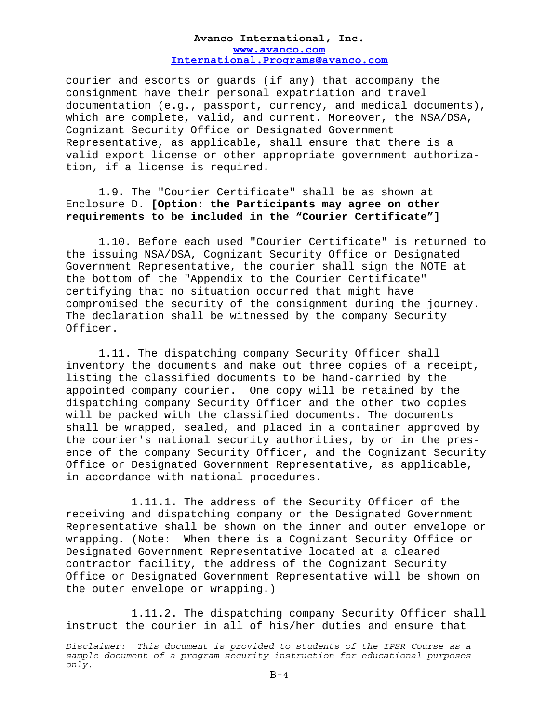courier and escorts or guards (if any) that accompany the consignment have their personal expatriation and travel documentation (e.g., passport, currency, and medical documents), which are complete, valid, and current. Moreover, the NSA/DSA, Cognizant Security Office or Designated Government Representative, as applicable, shall ensure that there is a valid export license or other appropriate government authorization, if a license is required.

 1.9. The "Courier Certificate" shall be as shown at Enclosure D. **[Option: the Participants may agree on other requirements to be included in the "Courier Certificate"]** 

 1.10. Before each used "Courier Certificate" is returned to the issuing NSA/DSA, Cognizant Security Office or Designated Government Representative, the courier shall sign the NOTE at the bottom of the "Appendix to the Courier Certificate" certifying that no situation occurred that might have compromised the security of the consignment during the journey. The declaration shall be witnessed by the company Security Officer.

 1.11. The dispatching company Security Officer shall inventory the documents and make out three copies of a receipt, listing the classified documents to be hand-carried by the appointed company courier. One copy will be retained by the dispatching company Security Officer and the other two copies will be packed with the classified documents. The documents shall be wrapped, sealed, and placed in a container approved by the courier's national security authorities, by or in the presence of the company Security Officer, and the Cognizant Security Office or Designated Government Representative, as applicable, in accordance with national procedures.

 1.11.1. The address of the Security Officer of the receiving and dispatching company or the Designated Government Representative shall be shown on the inner and outer envelope or wrapping. (Note: When there is a Cognizant Security Office or Designated Government Representative located at a cleared contractor facility, the address of the Cognizant Security Office or Designated Government Representative will be shown on the outer envelope or wrapping.)

 1.11.2. The dispatching company Security Officer shall instruct the courier in all of his/her duties and ensure that

*Disclaimer: This document is provided to students of the IPSR Course as a sample document of a program security instruction for educational purposes only.*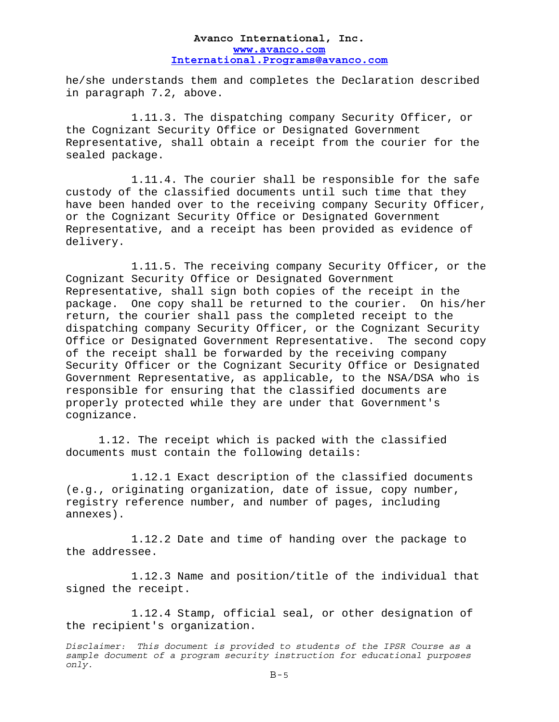he/she understands them and completes the Declaration described in paragraph 7.2, above.

 1.11.3. The dispatching company Security Officer, or the Cognizant Security Office or Designated Government Representative, shall obtain a receipt from the courier for the sealed package.

 1.11.4. The courier shall be responsible for the safe custody of the classified documents until such time that they have been handed over to the receiving company Security Officer, or the Cognizant Security Office or Designated Government Representative, and a receipt has been provided as evidence of delivery.

 1.11.5. The receiving company Security Officer, or the Cognizant Security Office or Designated Government Representative, shall sign both copies of the receipt in the package. One copy shall be returned to the courier. On his/her return, the courier shall pass the completed receipt to the dispatching company Security Officer, or the Cognizant Security Office or Designated Government Representative. The second copy of the receipt shall be forwarded by the receiving company Security Officer or the Cognizant Security Office or Designated Government Representative, as applicable, to the NSA/DSA who is responsible for ensuring that the classified documents are properly protected while they are under that Government's cognizance.

 1.12. The receipt which is packed with the classified documents must contain the following details:

 1.12.1 Exact description of the classified documents (e.g., originating organization, date of issue, copy number, registry reference number, and number of pages, including annexes).

 1.12.2 Date and time of handing over the package to the addressee.

 1.12.3 Name and position/title of the individual that signed the receipt.

 1.12.4 Stamp, official seal, or other designation of the recipient's organization.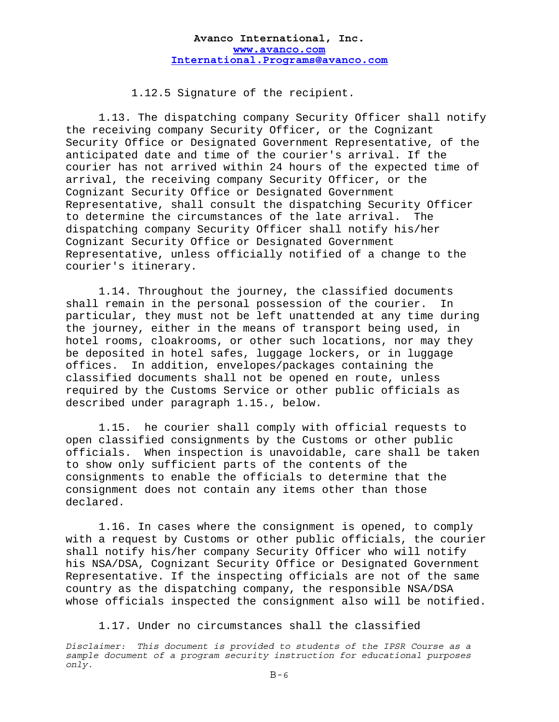1.12.5 Signature of the recipient.

 1.13. The dispatching company Security Officer shall notify the receiving company Security Officer, or the Cognizant Security Office or Designated Government Representative, of the anticipated date and time of the courier's arrival. If the courier has not arrived within 24 hours of the expected time of arrival, the receiving company Security Officer, or the Cognizant Security Office or Designated Government Representative, shall consult the dispatching Security Officer to determine the circumstances of the late arrival. The dispatching company Security Officer shall notify his/her Cognizant Security Office or Designated Government Representative, unless officially notified of a change to the courier's itinerary.

 1.14. Throughout the journey, the classified documents shall remain in the personal possession of the courier. In particular, they must not be left unattended at any time during the journey, either in the means of transport being used, in hotel rooms, cloakrooms, or other such locations, nor may they be deposited in hotel safes, luggage lockers, or in luggage offices. In addition, envelopes/packages containing the classified documents shall not be opened en route, unless required by the Customs Service or other public officials as described under paragraph 1.15., below.

 1.15. he courier shall comply with official requests to open classified consignments by the Customs or other public officials. When inspection is unavoidable, care shall be taken to show only sufficient parts of the contents of the consignments to enable the officials to determine that the consignment does not contain any items other than those declared.

 1.16. In cases where the consignment is opened, to comply with a request by Customs or other public officials, the courier shall notify his/her company Security Officer who will notify his NSA/DSA, Cognizant Security Office or Designated Government Representative. If the inspecting officials are not of the same country as the dispatching company, the responsible NSA/DSA whose officials inspected the consignment also will be notified.

1.17. Under no circumstances shall the classified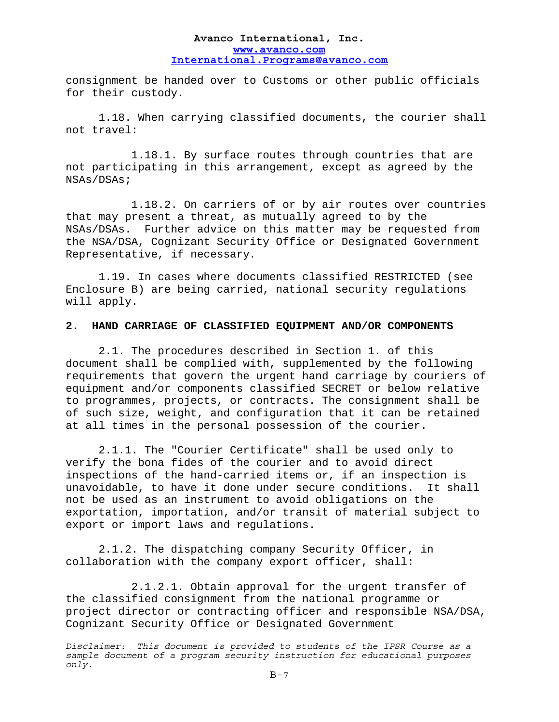consignment be handed over to Customs or other public officials for their custody.

 1.18. When carrying classified documents, the courier shall not travel:

 1.18.1. By surface routes through countries that are not participating in this arrangement, except as agreed by the NSAs/DSAs;

 1.18.2. On carriers of or by air routes over countries that may present a threat, as mutually agreed to by the NSAs/DSAs. Further advice on this matter may be requested from the NSA/DSA, Cognizant Security Office or Designated Government Representative, if necessary.

1.19. In cases where documents classified RESTRICTED (see Enclosure B) are being carried, national security regulations will apply.

## **2. HAND CARRIAGE OF CLASSIFIED EQUIPMENT AND/OR COMPONENTS**

 2.1. The procedures described in Section 1. of this document shall be complied with, supplemented by the following requirements that govern the urgent hand carriage by couriers of equipment and/or components classified SECRET or below relative to programmes, projects, or contracts. The consignment shall be of such size, weight, and configuration that it can be retained at all times in the personal possession of the courier.

 2.1.1. The "Courier Certificate" shall be used only to verify the bona fides of the courier and to avoid direct inspections of the hand-carried items or, if an inspection is unavoidable, to have it done under secure conditions. It shall not be used as an instrument to avoid obligations on the exportation, importation, and/or transit of material subject to export or import laws and regulations.

 2.1.2. The dispatching company Security Officer, in collaboration with the company export officer, shall:

 2.1.2.1. Obtain approval for the urgent transfer of the classified consignment from the national programme or project director or contracting officer and responsible NSA/DSA, Cognizant Security Office or Designated Government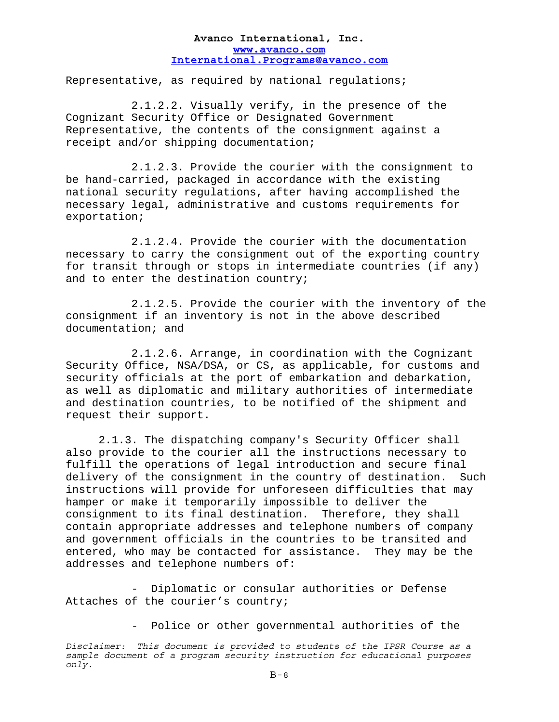Representative, as required by national regulations;

 2.1.2.2. Visually verify, in the presence of the Cognizant Security Office or Designated Government Representative, the contents of the consignment against a receipt and/or shipping documentation;

 2.1.2.3. Provide the courier with the consignment to be hand-carried, packaged in accordance with the existing national security regulations, after having accomplished the necessary legal, administrative and customs requirements for exportation;

 2.1.2.4. Provide the courier with the documentation necessary to carry the consignment out of the exporting country for transit through or stops in intermediate countries (if any) and to enter the destination country;

 2.1.2.5. Provide the courier with the inventory of the consignment if an inventory is not in the above described documentation; and

 2.1.2.6. Arrange, in coordination with the Cognizant Security Office, NSA/DSA, or CS, as applicable, for customs and security officials at the port of embarkation and debarkation, as well as diplomatic and military authorities of intermediate and destination countries, to be notified of the shipment and request their support.

 2.1.3. The dispatching company's Security Officer shall also provide to the courier all the instructions necessary to fulfill the operations of legal introduction and secure final delivery of the consignment in the country of destination. Such instructions will provide for unforeseen difficulties that may hamper or make it temporarily impossible to deliver the consignment to its final destination. Therefore, they shall contain appropriate addresses and telephone numbers of company and government officials in the countries to be transited and entered, who may be contacted for assistance. They may be the addresses and telephone numbers of:

 - Diplomatic or consular authorities or Defense Attaches of the courier's country;

- Police or other governmental authorities of the

*Disclaimer: This document is provided to students of the IPSR Course as a sample document of a program security instruction for educational purposes only.*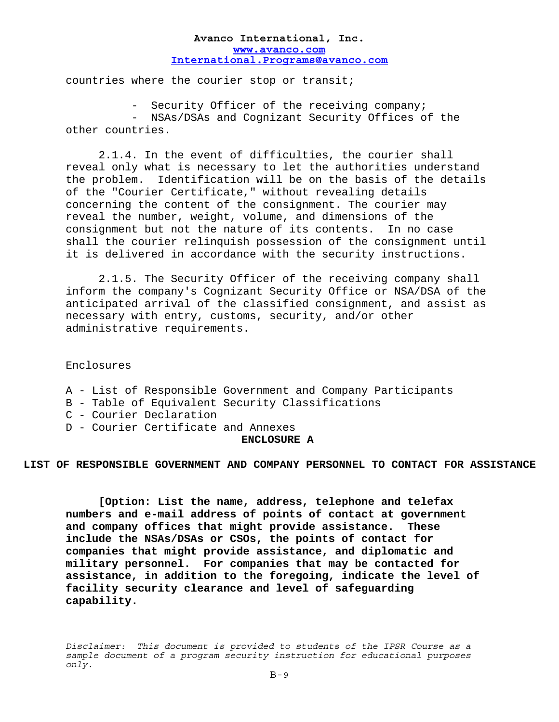countries where the courier stop or transit;

- Security Officer of the receiving company;

 - NSAs/DSAs and Cognizant Security Offices of the other countries.

 2.1.4. In the event of difficulties, the courier shall reveal only what is necessary to let the authorities understand the problem. Identification will be on the basis of the details of the "Courier Certificate," without revealing details concerning the content of the consignment. The courier may reveal the number, weight, volume, and dimensions of the consignment but not the nature of its contents. In no case shall the courier relinquish possession of the consignment until it is delivered in accordance with the security instructions.

 2.1.5. The Security Officer of the receiving company shall inform the company's Cognizant Security Office or NSA/DSA of the anticipated arrival of the classified consignment, and assist as necessary with entry, customs, security, and/or other administrative requirements.

Enclosures

- A List of Responsible Government and Company Participants
- B Table of Equivalent Security Classifications
- C Courier Declaration
- D Courier Certificate and Annexes

#### **ENCLOSURE A**

**LIST OF RESPONSIBLE GOVERNMENT AND COMPANY PERSONNEL TO CONTACT FOR ASSISTANCE**

 **[Option: List the name, address, telephone and telefax numbers and e-mail address of points of contact at government and company offices that might provide assistance. These include the NSAs/DSAs or CSOs, the points of contact for companies that might provide assistance, and diplomatic and military personnel. For companies that may be contacted for assistance, in addition to the foregoing, indicate the level of facility security clearance and level of safeguarding capability.**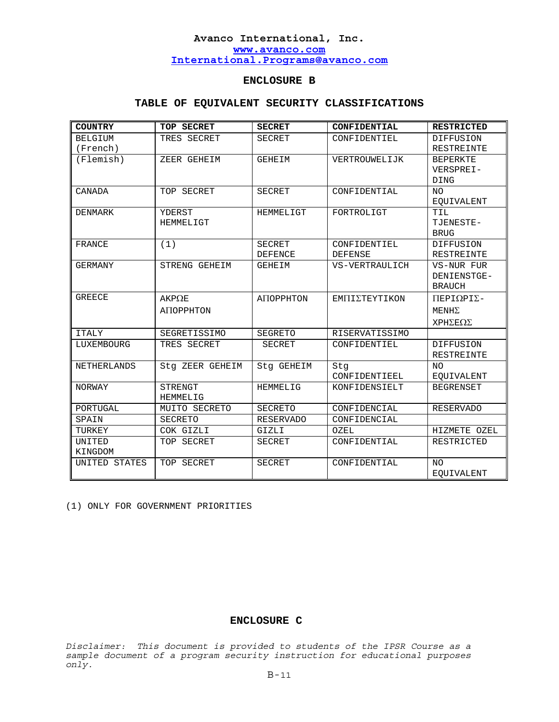## **ENCLOSURE B**

### **TABLE OF EQUIVALENT SECURITY CLASSIFICATIONS**

| <b>COUNTRY</b>     | TOP SECRET      | <b>SECRET</b>    | CONFIDENTIAL   | <b>RESTRICTED</b>                |
|--------------------|-----------------|------------------|----------------|----------------------------------|
| <b>BELGIUM</b>     | TRES SECRET     | <b>SECRET</b>    | CONFIDENTIEL   | <b>DIFFUSION</b>                 |
| (French)           |                 |                  |                | RESTREINTE                       |
| (Flemish)          | ZEER GEHEIM     | GEHEIM           | VERTROUWELIJK  | <b>BEPERKTE</b>                  |
|                    |                 |                  |                | VERSPREI-                        |
|                    |                 |                  |                | DING                             |
| CANADA             | TOP SECRET      | <b>SECRET</b>    | CONFIDENTIAL   | NO.                              |
|                    |                 |                  |                | <b>EQUIVALENT</b>                |
| DENMARK            | YDERST          | HEMMELIGT        | FORTROLIGT     | TIL                              |
|                    | HEMMELIGT       |                  |                | TJENESTE-                        |
|                    |                 |                  |                | <b>BRUG</b>                      |
| FRANCE             | (1)             | <b>SECRET</b>    | CONFIDENTIEL   | DIFFUSION                        |
|                    |                 | <b>DEFENCE</b>   | <b>DEFENSE</b> | <b>RESTREINTE</b>                |
| <b>GERMANY</b>     | STRENG GEHEIM   | GEHEIM           | VS-VERTRAULICH | VS-NUR FUR                       |
|                    |                 |                  |                | DENIENSTGE-                      |
|                    |                 |                  |                | <b>BRAUCH</b>                    |
| <b>GREECE</b>      | $AKP\Omega E$   | ANOPPHTON        | ΕΜΠΙΣΤΕΥΤΙΚΟΝ  | $\Pi$ EPI $\Omega$ PI $\Sigma$ - |
|                    | ANOPPHTON       |                  |                | $MENH\Sigma$                     |
|                    |                 |                  |                | ΧΡΗΣΕΩΣ                          |
| <b>ITALY</b>       | SEGRETISSIMO    | SEGRETO          | RISERVATISSIMO |                                  |
| LUXEMBOURG         | TRES SECRET     | SECRET           | CONFIDENTIEL   | DIFFUSION                        |
|                    |                 |                  |                | <b>RESTREINTE</b>                |
| <b>NETHERLANDS</b> | Stq ZEER GEHEIM | Stq GEHEIM       | Stq            | NΟ                               |
|                    |                 |                  | CONFIDENTIEEL  | <b>EQUIVALENT</b>                |
| NORWAY             | STRENGT         | HEMMELIG         | KONFIDENSIELT  | <b>BEGRENSET</b>                 |
|                    | HEMMELIG        |                  |                |                                  |
| PORTUGAL           | MUITO SECRETO   | <b>SECRETO</b>   | CONFIDENCIAL   | <b>RESERVADO</b>                 |
| SPAIN              | <b>SECRETO</b>  | <b>RESERVADO</b> | CONFIDENCIAL   |                                  |
| TURKEY             | COK GIZLI       | GIZLI            | OZEL           | HIZMETE OZEL                     |
| UNITED             | TOP SECRET      | <b>SECRET</b>    | CONFIDENTIAL   | <b>RESTRICTED</b>                |
| KINGDOM            |                 |                  |                |                                  |
| UNITED STATES      | TOP SECRET      | <b>SECRET</b>    | CONFIDENTIAL   | NO.                              |
|                    |                 |                  |                | <b>EOUIVALENT</b>                |

(1) ONLY FOR GOVERNMENT PRIORITIES

#### **ENCLOSURE C**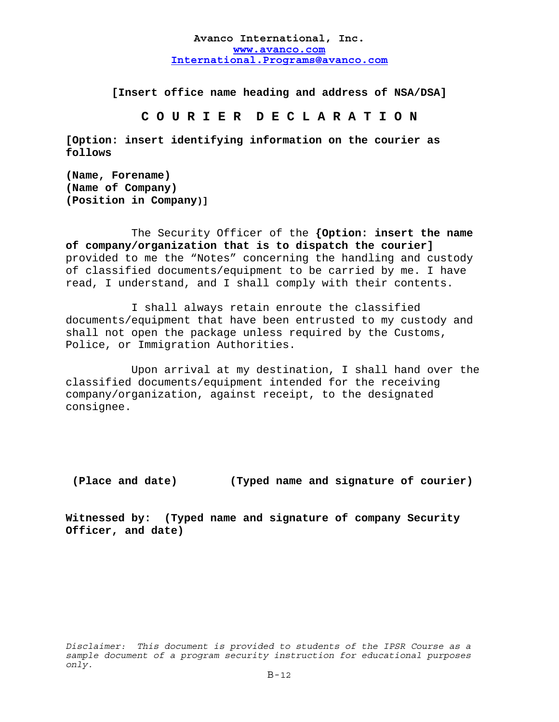**[Insert office name heading and address of NSA/DSA]**

**C O U R I E R D E C L A R A T I O N** 

**[Option: insert identifying information on the courier as follows** 

**(Name, Forename) (Name of Company) (Position in Company)]**

 The Security Officer of the **{Option: insert the name of company/organization that is to dispatch the courier]** provided to me the "Notes" concerning the handling and custody of classified documents/equipment to be carried by me. I have read, I understand, and I shall comply with their contents.

 I shall always retain enroute the classified documents/equipment that have been entrusted to my custody and shall not open the package unless required by the Customs, Police, or Immigration Authorities.

 Upon arrival at my destination, I shall hand over the classified documents/equipment intended for the receiving company/organization, against receipt, to the designated consignee.

## **(Place and date) (Typed name and signature of courier)**

**Witnessed by: (Typed name and signature of company Security Officer, and date)**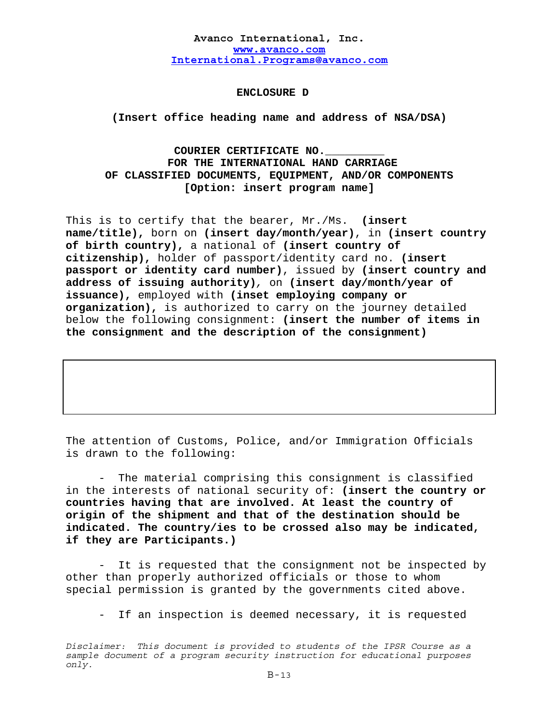## **ENCLOSURE D**

**(Insert office heading name and address of NSA/DSA)**

# **COURIER CERTIFICATE NO.\_\_\_\_\_\_\_\_\_ FOR THE INTERNATIONAL HAND CARRIAGE OF CLASSIFIED DOCUMENTS, EQUIPMENT, AND/OR COMPONENTS [Option: insert program name]**

This is to certify that the bearer, Mr./Ms. **(insert name/title),** born on **(insert day/month/year)**, in **(insert country of birth country),** a national of **(insert country of citizenship),** holder of passport/identity card no. **(insert passport or identity card number)**, issued by **(insert country and address of issuing authority)***,* on **(insert day/month/year of issuance),** employed with **(inset employing company or organization),** is authorized to carry on the journey detailed below the following consignment: **(insert the number of items in the consignment and the description of the consignment)** 

The attention of Customs, Police, and/or Immigration Officials is drawn to the following:

The material comprising this consignment is classified in the interests of national security of: **(insert the country or countries having that are involved. At least the country of origin of the shipment and that of the destination should be indicated. The country/ies to be crossed also may be indicated, if they are Participants.)** 

It is requested that the consignment not be inspected by other than properly authorized officials or those to whom special permission is granted by the governments cited above.

If an inspection is deemed necessary, it is requested

*Disclaimer: This document is provided to students of the IPSR Course as a sample document of a program security instruction for educational purposes only.*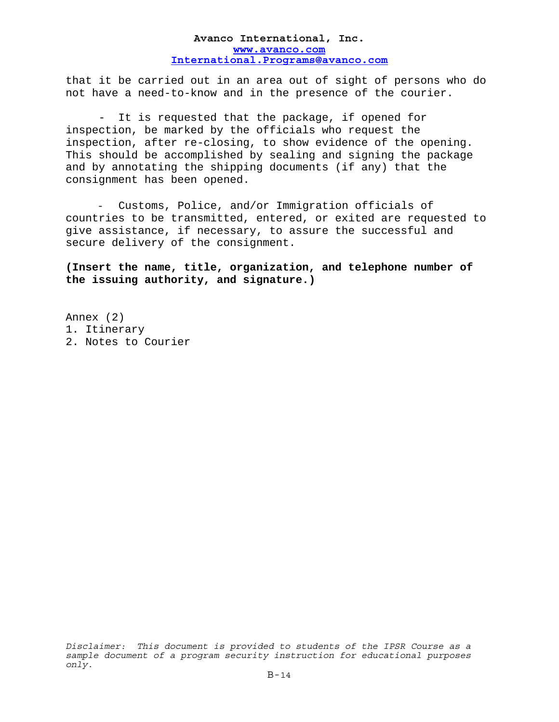that it be carried out in an area out of sight of persons who do not have a need-to-know and in the presence of the courier.

 - It is requested that the package, if opened for inspection, be marked by the officials who request the inspection, after re-closing, to show evidence of the opening. This should be accomplished by sealing and signing the package and by annotating the shipping documents (if any) that the consignment has been opened.

- Customs, Police, and/or Immigration officials of countries to be transmitted, entered, or exited are requested to give assistance, if necessary, to assure the successful and secure delivery of the consignment.

**(Insert the name, title, organization, and telephone number of the issuing authority, and signature.)** 

Annex (2) 1. Itinerary 2. Notes to Courier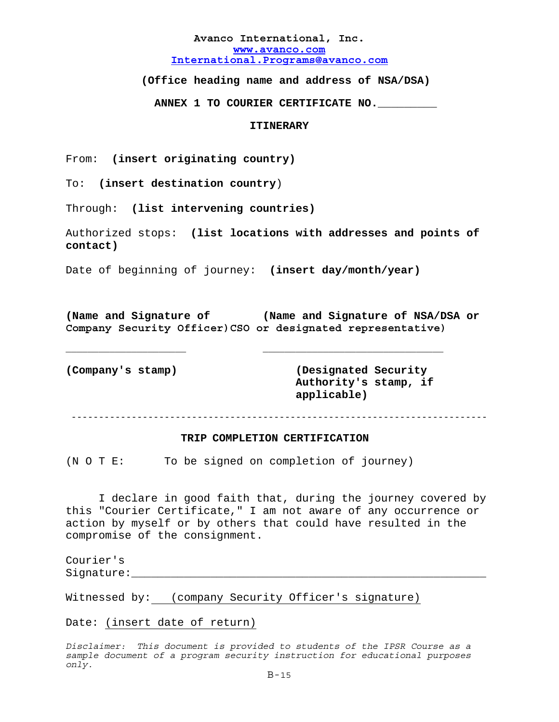**(Office heading name and address of NSA/DSA)** 

 **ANNEX 1 TO COURIER CERTIFICATE NO.\_\_\_\_\_\_\_\_\_** 

### **ITINERARY**

From: **(insert originating country)**

To: **(insert destination country**)

Through: **(list intervening countries)**

Authorized stops: **(list locations with addresses and points of contact)**

Date of beginning of journey: **(insert day/month/year)**

**(Name and Signature of (Name and Signature of NSA/DSA or Company Security Officer)CSO or designated representative)** 

\_\_\_\_\_\_\_\_\_\_\_\_\_\_\_\_\_\_\_\_\_\_ \_\_\_\_\_\_\_\_\_\_\_\_\_\_\_\_\_\_\_\_\_\_\_\_\_\_\_\_\_\_\_\_\_

**(Company's stamp) (Designated Security Authority's stamp, if applicable)** 

----------------------------------------------------------------------------

#### **TRIP COMPLETION CERTIFICATION**

(N O T E: To be signed on completion of journey)

 I declare in good faith that, during the journey covered by this "Courier Certificate," I am not aware of any occurrence or action by myself or by others that could have resulted in the compromise of the consignment.

Courier's Signature:

Witnessed by: (company Security Officer's signature)

Date: (insert date of return)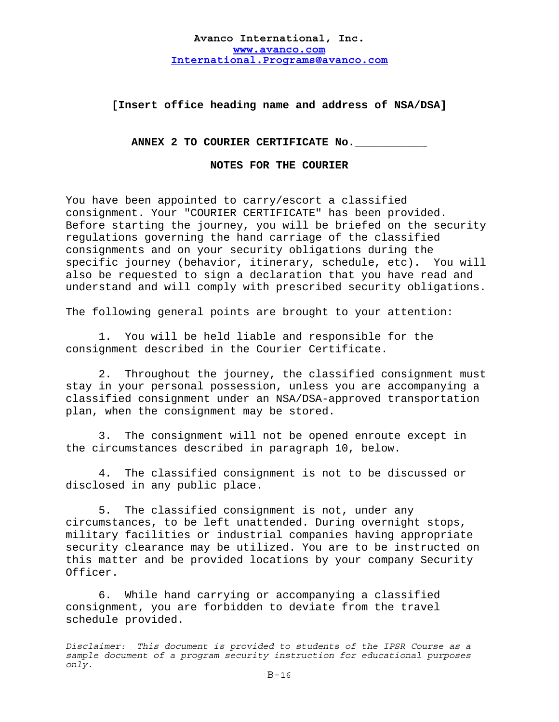## **[Insert office heading name and address of NSA/DSA]**

ANNEX 2 TO COURIER CERTIFICATE No.

**NOTES FOR THE COURIER** 

You have been appointed to carry/escort a classified consignment. Your "COURIER CERTIFICATE" has been provided. Before starting the journey, you will be briefed on the security regulations governing the hand carriage of the classified consignments and on your security obligations during the specific journey (behavior, itinerary, schedule, etc). You will also be requested to sign a declaration that you have read and understand and will comply with prescribed security obligations.

The following general points are brought to your attention:

 1. You will be held liable and responsible for the consignment described in the Courier Certificate.

 2. Throughout the journey, the classified consignment must stay in your personal possession, unless you are accompanying a classified consignment under an NSA/DSA-approved transportation plan, when the consignment may be stored.

 3. The consignment will not be opened enroute except in the circumstances described in paragraph 10, below.

 4. The classified consignment is not to be discussed or disclosed in any public place.

 5. The classified consignment is not, under any circumstances, to be left unattended. During overnight stops, military facilities or industrial companies having appropriate security clearance may be utilized. You are to be instructed on this matter and be provided locations by your company Security Officer.

 6. While hand carrying or accompanying a classified consignment, you are forbidden to deviate from the travel schedule provided.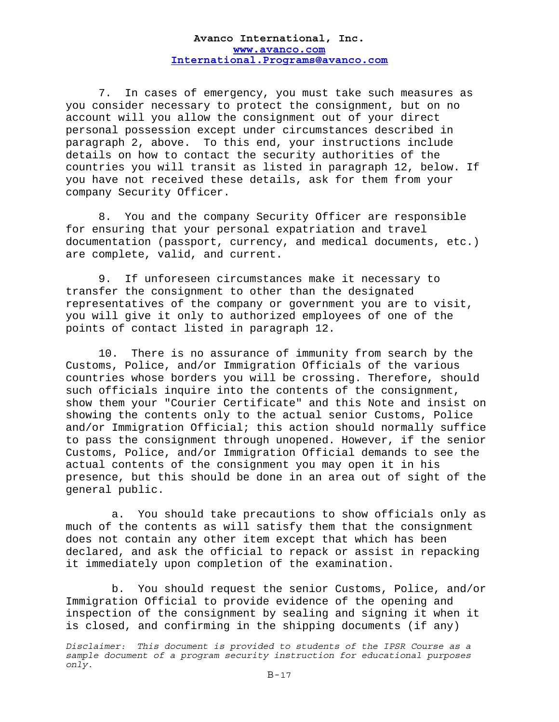7. In cases of emergency, you must take such measures as you consider necessary to protect the consignment, but on no account will you allow the consignment out of your direct personal possession except under circumstances described in paragraph 2, above. To this end, your instructions include details on how to contact the security authorities of the countries you will transit as listed in paragraph 12, below. If you have not received these details, ask for them from your company Security Officer.

 8. You and the company Security Officer are responsible for ensuring that your personal expatriation and travel documentation (passport, currency, and medical documents, etc.) are complete, valid, and current.

 9. If unforeseen circumstances make it necessary to transfer the consignment to other than the designated representatives of the company or government you are to visit, you will give it only to authorized employees of one of the points of contact listed in paragraph 12.

10. There is no assurance of immunity from search by the Customs, Police, and/or Immigration Officials of the various countries whose borders you will be crossing. Therefore, should such officials inquire into the contents of the consignment, show them your "Courier Certificate" and this Note and insist on showing the contents only to the actual senior Customs, Police and/or Immigration Official; this action should normally suffice to pass the consignment through unopened. However, if the senior Customs, Police, and/or Immigration Official demands to see the actual contents of the consignment you may open it in his presence, but this should be done in an area out of sight of the general public.

a. You should take precautions to show officials only as much of the contents as will satisfy them that the consignment does not contain any other item except that which has been declared, and ask the official to repack or assist in repacking it immediately upon completion of the examination.

b. You should request the senior Customs, Police, and/or Immigration Official to provide evidence of the opening and inspection of the consignment by sealing and signing it when it is closed, and confirming in the shipping documents (if any)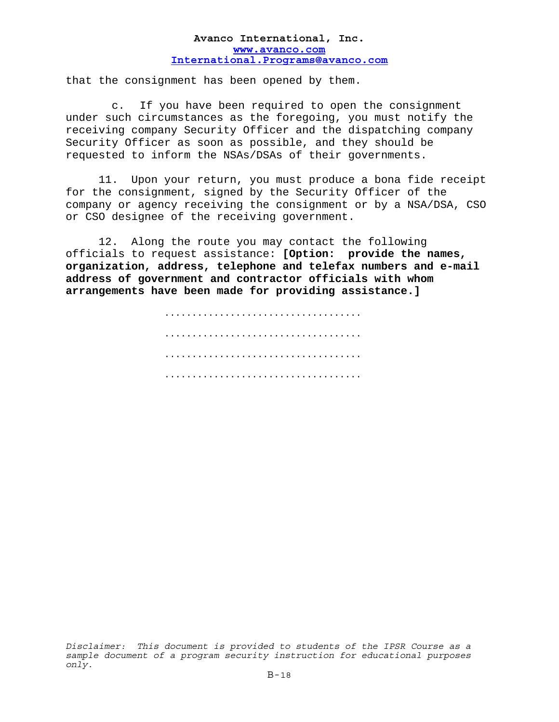that the consignment has been opened by them.

c. If you have been required to open the consignment under such circumstances as the foregoing, you must notify the receiving company Security Officer and the dispatching company Security Officer as soon as possible, and they should be requested to inform the NSAs/DSAs of their governments.

 11. Upon your return, you must produce a bona fide receipt for the consignment, signed by the Security Officer of the company or agency receiving the consignment or by a NSA/DSA, CSO or CSO designee of the receiving government.

 12. Along the route you may contact the following officials to request assistance: **[Option: provide the names, organization, address, telephone and telefax numbers and e-mail address of government and contractor officials with whom arrangements have been made for providing assistance.]** 

> .................................... .................................... .................................... ....................................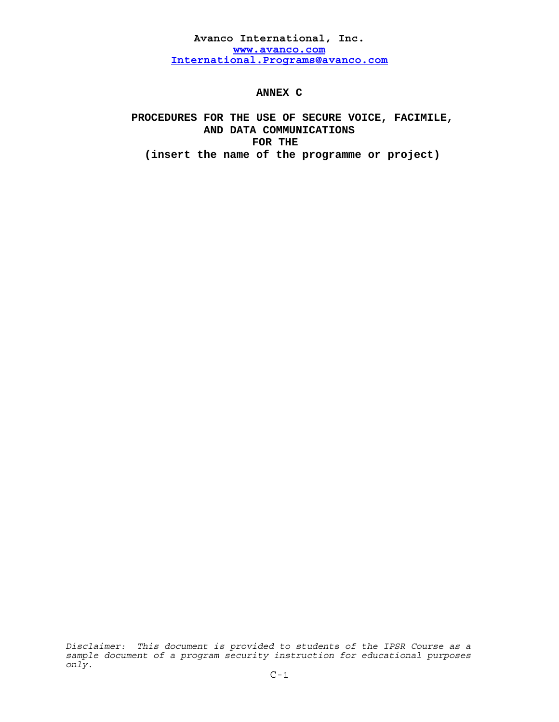**ANNEX C** 

# **PROCEDURES FOR THE USE OF SECURE VOICE, FACIMILE, AND DATA COMMUNICATIONS FOR THE (insert the name of the programme or project)**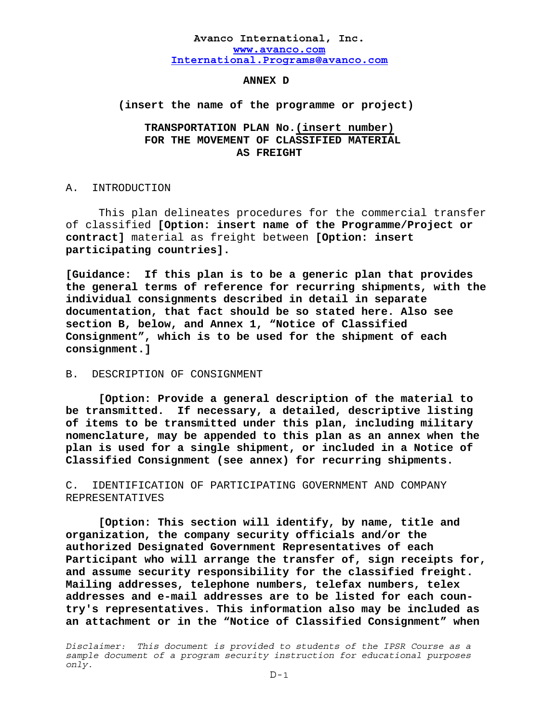#### **ANNEX D**

### **(insert the name of the programme or project)**

## **TRANSPORTATION PLAN No.(insert number) FOR THE MOVEMENT OF CLASSIFIED MATERIAL AS FREIGHT**

#### A. INTRODUCTION

 This plan delineates procedures for the commercial transfer of classified **[Option: insert name of the Programme/Project or contract]** material as freight between **[Option: insert participating countries].** 

**[Guidance: If this plan is to be a generic plan that provides the general terms of reference for recurring shipments, with the individual consignments described in detail in separate documentation, that fact should be so stated here. Also see section B, below, and Annex 1, "Notice of Classified Consignment", which is to be used for the shipment of each consignment.]** 

### B. DESCRIPTION OF CONSIGNMENT

**[Option: Provide a general description of the material to be transmitted. If necessary, a detailed, descriptive listing of items to be transmitted under this plan, including military nomenclature, may be appended to this plan as an annex when the plan is used for a single shipment, or included in a Notice of Classified Consignment (see annex) for recurring shipments.** 

C. IDENTIFICATION OF PARTICIPATING GOVERNMENT AND COMPANY REPRESENTATIVES

**[Option: This section will identify, by name, title and organization, the company security officials and/or the authorized Designated Government Representatives of each Participant who will arrange the transfer of, sign receipts for, and assume security responsibility for the classified freight. Mailing addresses, telephone numbers, telefax numbers, telex addresses and e-mail addresses are to be listed for each country's representatives. This information also may be included as an attachment or in the "Notice of Classified Consignment" when**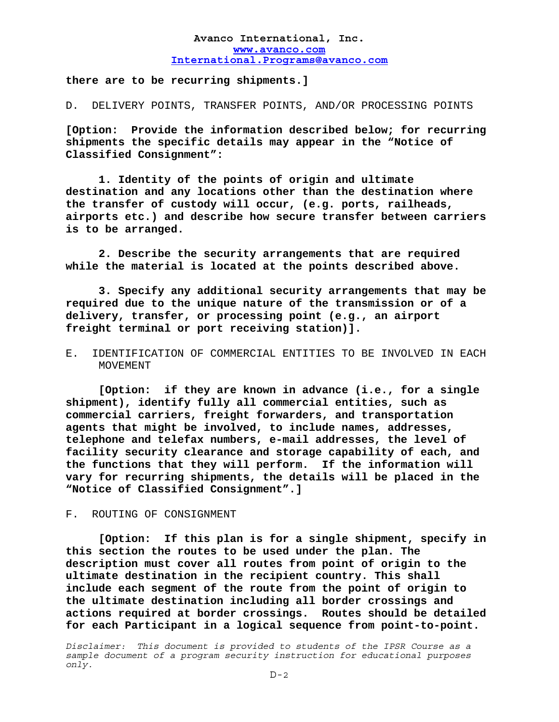**there are to be recurring shipments.]** 

D. DELIVERY POINTS, TRANSFER POINTS, AND/OR PROCESSING POINTS

**[Option: Provide the information described below; for recurring shipments the specific details may appear in the "Notice of Classified Consignment":** 

 **1. Identity of the points of origin and ultimate destination and any locations other than the destination where the transfer of custody will occur, (e.g. ports, railheads, airports etc.) and describe how secure transfer between carriers is to be arranged.** 

 **2. Describe the security arrangements that are required while the material is located at the points described above.** 

 **3. Specify any additional security arrangements that may be required due to the unique nature of the transmission or of a delivery, transfer, or processing point (e.g., an airport freight terminal or port receiving station)].**

## E. IDENTIFICATION OF COMMERCIAL ENTITIES TO BE INVOLVED IN EACH MOVEMENT

**[Option: if they are known in advance (i.e., for a single shipment), identify fully all commercial entities, such as commercial carriers, freight forwarders, and transportation agents that might be involved, to include names, addresses, telephone and telefax numbers, e-mail addresses, the level of facility security clearance and storage capability of each, and the functions that they will perform. If the information will vary for recurring shipments, the details will be placed in the "Notice of Classified Consignment".]** 

### F. ROUTING OF CONSIGNMENT

**[Option: If this plan is for a single shipment, specify in this section the routes to be used under the plan. The description must cover all routes from point of origin to the ultimate destination in the recipient country. This shall include each segment of the route from the point of origin to the ultimate destination including all border crossings and actions required at border crossings. Routes should be detailed for each Participant in a logical sequence from point-to-point.**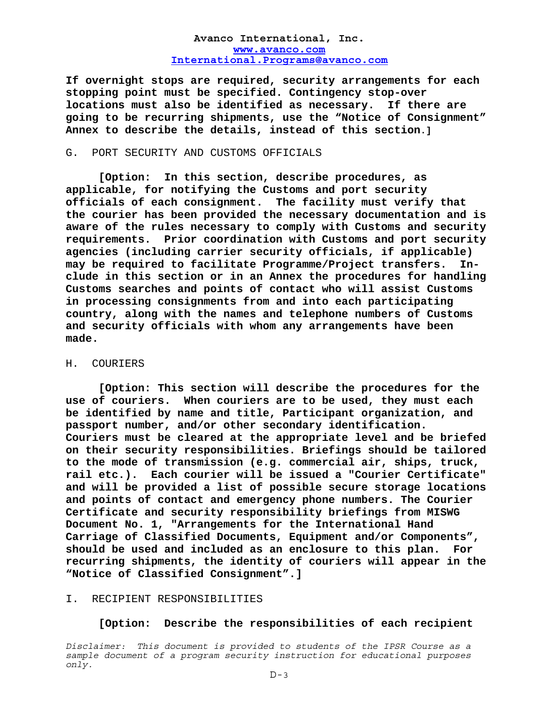**If overnight stops are required, security arrangements for each stopping point must be specified. Contingency stop-over locations must also be identified as necessary. If there are going to be recurring shipments, use the "Notice of Consignment" Annex to describe the details, instead of this section.]** 

### G. PORT SECURITY AND CUSTOMS OFFICIALS

 **[Option: In this section, describe procedures, as applicable, for notifying the Customs and port security officials of each consignment. The facility must verify that the courier has been provided the necessary documentation and is aware of the rules necessary to comply with Customs and security requirements. Prior coordination with Customs and port security agencies (including carrier security officials, if applicable) may be required to facilitate Programme/Project transfers. Include in this section or in an Annex the procedures for handling Customs searches and points of contact who will assist Customs in processing consignments from and into each participating country, along with the names and telephone numbers of Customs and security officials with whom any arrangements have been made.** 

#### H. COURIERS

 **[Option: This section will describe the procedures for the use of couriers. When couriers are to be used, they must each be identified by name and title, Participant organization, and passport number, and/or other secondary identification. Couriers must be cleared at the appropriate level and be briefed on their security responsibilities. Briefings should be tailored to the mode of transmission (e.g. commercial air, ships, truck, rail etc.). Each courier will be issued a "Courier Certificate" and will be provided a list of possible secure storage locations and points of contact and emergency phone numbers. The Courier Certificate and security responsibility briefings from MISWG Document No. 1, "Arrangements for the International Hand Carriage of Classified Documents, Equipment and/or Components", should be used and included as an enclosure to this plan. For recurring shipments, the identity of couriers will appear in the "Notice of Classified Consignment".]** 

### I. RECIPIENT RESPONSIBILITIES

### **[Option: Describe the responsibilities of each recipient**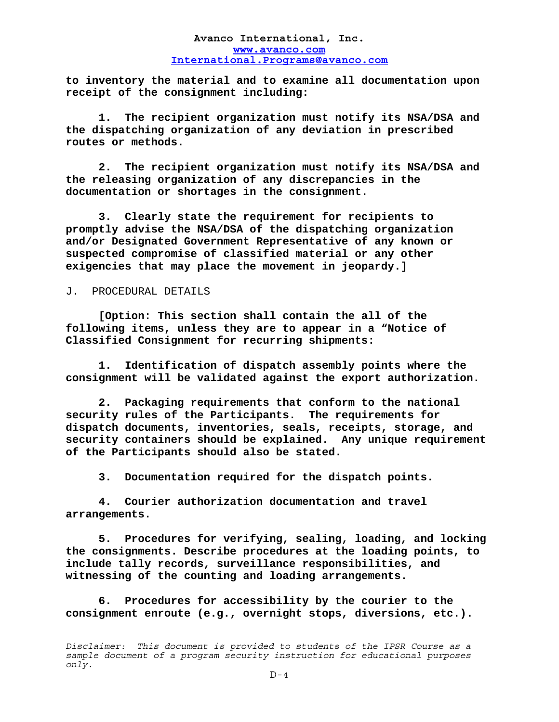**to inventory the material and to examine all documentation upon receipt of the consignment including:** 

 **1. The recipient organization must notify its NSA/DSA and the dispatching organization of any deviation in prescribed routes or methods.** 

 **2. The recipient organization must notify its NSA/DSA and the releasing organization of any discrepancies in the documentation or shortages in the consignment.** 

 **3. Clearly state the requirement for recipients to promptly advise the NSA/DSA of the dispatching organization and/or Designated Government Representative of any known or suspected compromise of classified material or any other exigencies that may place the movement in jeopardy.]**

### J. PROCEDURAL DETAILS

**[Option: This section shall contain the all of the following items, unless they are to appear in a "Notice of Classified Consignment for recurring shipments:** 

**1. Identification of dispatch assembly points where the consignment will be validated against the export authorization.** 

 **2. Packaging requirements that conform to the national security rules of the Participants. The requirements for dispatch documents, inventories, seals, receipts, storage, and security containers should be explained. Any unique requirement of the Participants should also be stated.** 

 **3. Documentation required for the dispatch points.** 

 **4. Courier authorization documentation and travel arrangements.** 

 **5. Procedures for verifying, sealing, loading, and locking the consignments. Describe procedures at the loading points, to include tally records, surveillance responsibilities, and witnessing of the counting and loading arrangements.** 

 **6. Procedures for accessibility by the courier to the consignment enroute (e.g., overnight stops, diversions, etc.).** 

*Disclaimer: This document is provided to students of the IPSR Course as a sample document of a program security instruction for educational purposes only.*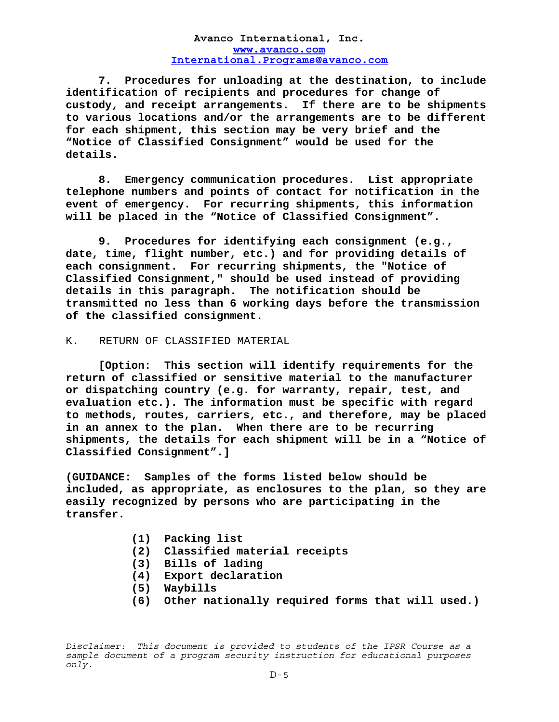**7. Procedures for unloading at the destination, to include identification of recipients and procedures for change of custody, and receipt arrangements. If there are to be shipments to various locations and/or the arrangements are to be different for each shipment, this section may be very brief and the "Notice of Classified Consignment" would be used for the details.** 

 **8. Emergency communication procedures. List appropriate telephone numbers and points of contact for notification in the event of emergency. For recurring shipments, this information will be placed in the "Notice of Classified Consignment".** 

 **9. Procedures for identifying each consignment (e.g., date, time, flight number, etc.) and for providing details of each consignment. For recurring shipments, the "Notice of Classified Consignment," should be used instead of providing details in this paragraph. The notification should be transmitted no less than 6 working days before the transmission of the classified consignment.**

### K. RETURN OF CLASSIFIED MATERIAL

**[Option: This section will identify requirements for the return of classified or sensitive material to the manufacturer or dispatching country (e.g. for warranty, repair, test, and evaluation etc.). The information must be specific with regard to methods, routes, carriers, etc., and therefore, may be placed in an annex to the plan. When there are to be recurring shipments, the details for each shipment will be in a "Notice of Classified Consignment".]** 

**(GUIDANCE: Samples of the forms listed below should be included, as appropriate, as enclosures to the plan, so they are easily recognized by persons who are participating in the transfer.** 

- **(1) Packing list**
- **(2) Classified material receipts**
- **(3) Bills of lading**
- **(4) Export declaration**
- **(5) Waybills**
- **(6) Other nationally required forms that will used.)**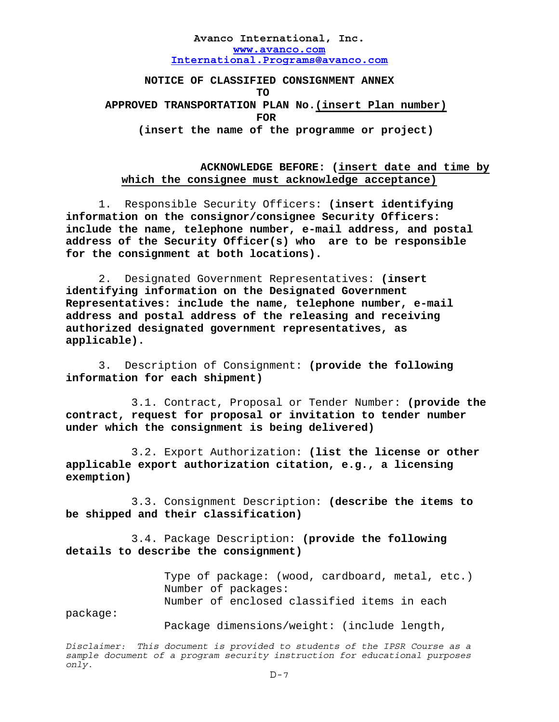**NOTICE OF CLASSIFIED CONSIGNMENT ANNEX TO APPROVED TRANSPORTATION PLAN No.(insert Plan number)** *FOR*  **(insert the name of the programme or project)** 

## **ACKNOWLEDGE BEFORE: (insert date and time by which the consignee must acknowledge acceptance)**

 1. Responsible Security Officers: **(insert identifying information on the consignor/consignee Security Officers: include the name, telephone number, e-mail address, and postal address of the Security Officer(s) who are to be responsible for the consignment at both locations).**

 2. Designated Government Representatives: **(insert identifying information on the Designated Government Representatives: include the name, telephone number, e-mail address and postal address of the releasing and receiving authorized designated government representatives, as applicable).**

 3. Description of Consignment: **(provide the following information for each shipment)** 

 3.1. Contract, Proposal or Tender Number: **(provide the contract, request for proposal or invitation to tender number under which the consignment is being delivered)** 

 3.2. Export Authorization: **(list the license or other applicable export authorization citation, e.g., a licensing exemption)** 

 3.3. Consignment Description: **(describe the items to be shipped and their classification)** 

3.4. Package Description: **(provide the following details to describe the consignment)**

> Type of package: (wood, cardboard, metal, etc.) Number of packages: Number of enclosed classified items in each

package:

Package dimensions/weight: (include length,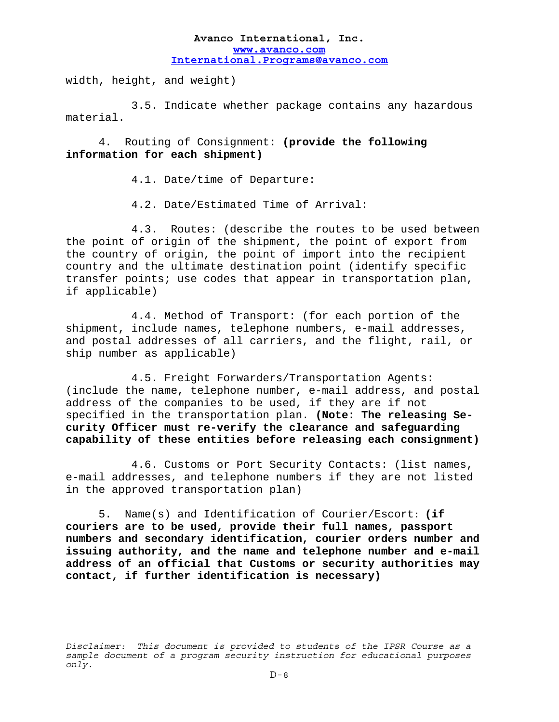width, height, and weight)

 3.5. Indicate whether package contains any hazardous material.

 4. Routing of Consignment: **(provide the following information for each shipment)** 

4.1. Date/time of Departure:

4.2. Date/Estimated Time of Arrival:

 4.3. Routes: (describe the routes to be used between the point of origin of the shipment, the point of export from the country of origin, the point of import into the recipient country and the ultimate destination point (identify specific transfer points; use codes that appear in transportation plan, if applicable)

 4.4. Method of Transport: (for each portion of the shipment, include names, telephone numbers, e-mail addresses, and postal addresses of all carriers, and the flight, rail, or ship number as applicable)

 4.5. Freight Forwarders/Transportation Agents: (include the name, telephone number, e-mail address, and postal address of the companies to be used, if they are if not specified in the transportation plan. **(Note: The releasing Security Officer must re-verify the clearance and safeguarding capability of these entities before releasing each consignment)** 

 4.6. Customs or Port Security Contacts: (list names, e-mail addresses, and telephone numbers if they are not listed in the approved transportation plan)

 5. Name(s) and Identification of Courier/Escort: **(if couriers are to be used, provide their full names, passport numbers and secondary identification, courier orders number and issuing authority, and the name and telephone number and e-mail address of an official that Customs or security authorities may contact, if further identification is necessary)** 

*Disclaimer: This document is provided to students of the IPSR Course as a sample document of a program security instruction for educational purposes only.*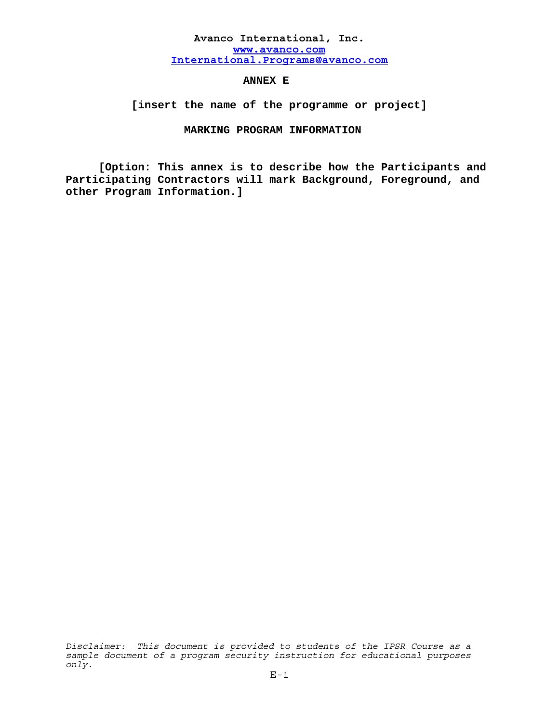## **ANNEX E**

 **[insert the name of the programme or project]** 

## **MARKING PROGRAM INFORMATION**

 **[Option: This annex is to describe how the Participants and Participating Contractors will mark Background, Foreground, and other Program Information.]**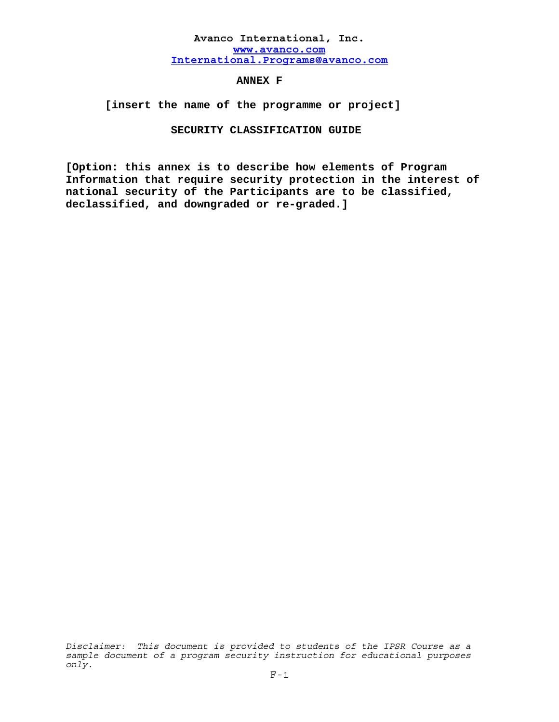**ANNEX F** 

 **[insert the name of the programme or project]** 

### **SECURITY CLASSIFICATION GUIDE**

**[Option: this annex is to describe how elements of Program Information that require security protection in the interest of national security of the Participants are to be classified, declassified, and downgraded or re-graded.]**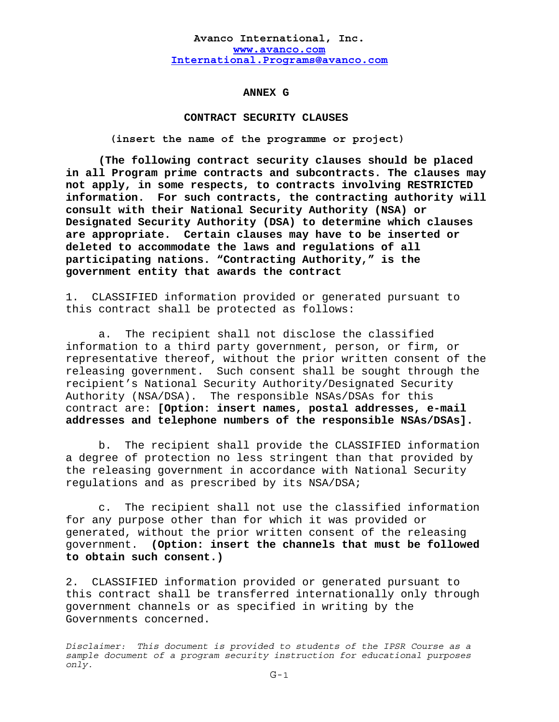#### **ANNEX G**

### **CONTRACT SECURITY CLAUSES**

**(insert the name of the programme or project)** 

**(The following contract security clauses should be placed in all Program prime contracts and subcontracts. The clauses may not apply, in some respects, to contracts involving RESTRICTED information. For such contracts, the contracting authority will consult with their National Security Authority (NSA) or Designated Security Authority (DSA) to determine which clauses are appropriate. Certain clauses may have to be inserted or deleted to accommodate the laws and regulations of all participating nations. "Contracting Authority," is the government entity that awards the contract** 

1. CLASSIFIED information provided or generated pursuant to this contract shall be protected as follows:

a. The recipient shall not disclose the classified information to a third party government, person, or firm, or representative thereof, without the prior written consent of the releasing government. Such consent shall be sought through the recipient's National Security Authority/Designated Security Authority (NSA/DSA). The responsible NSAs/DSAs for this contract are: **[Option: insert names, postal addresses, e-mail addresses and telephone numbers of the responsible NSAs/DSAs].** 

 b. The recipient shall provide the CLASSIFIED information a degree of protection no less stringent than that provided by the releasing government in accordance with National Security regulations and as prescribed by its NSA/DSA;

 c. The recipient shall not use the classified information for any purpose other than for which it was provided or generated, without the prior written consent of the releasing government. **(Option: insert the channels that must be followed to obtain such consent.)** 

2. CLASSIFIED information provided or generated pursuant to this contract shall be transferred internationally only through government channels or as specified in writing by the Governments concerned.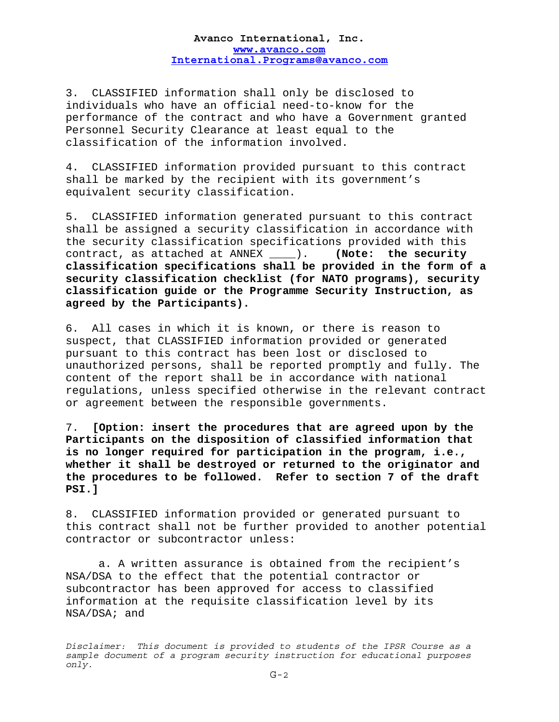3. CLASSIFIED information shall only be disclosed to individuals who have an official need-to-know for the performance of the contract and who have a Government granted Personnel Security Clearance at least equal to the classification of the information involved.

4. CLASSIFIED information provided pursuant to this contract shall be marked by the recipient with its government's equivalent security classification.

5. CLASSIFIED information generated pursuant to this contract shall be assigned a security classification in accordance with the security classification specifications provided with this contract, as attached at ANNEX \_\_\_\_). **(Note: the security classification specifications shall be provided in the form of a security classification checklist (for NATO programs), security classification guide or the Programme Security Instruction, as agreed by the Participants).** 

6. All cases in which it is known, or there is reason to suspect, that CLASSIFIED information provided or generated pursuant to this contract has been lost or disclosed to unauthorized persons, shall be reported promptly and fully. The content of the report shall be in accordance with national regulations, unless specified otherwise in the relevant contract or agreement between the responsible governments.

7. **[Option: insert the procedures that are agreed upon by the Participants on the disposition of classified information that is no longer required for participation in the program, i.e., whether it shall be destroyed or returned to the originator and the procedures to be followed. Refer to section 7 of the draft PSI.]** 

8. CLASSIFIED information provided or generated pursuant to this contract shall not be further provided to another potential contractor or subcontractor unless:

 a. A written assurance is obtained from the recipient's NSA/DSA to the effect that the potential contractor or subcontractor has been approved for access to classified information at the requisite classification level by its NSA/DSA; and

*Disclaimer: This document is provided to students of the IPSR Course as a sample document of a program security instruction for educational purposes only.*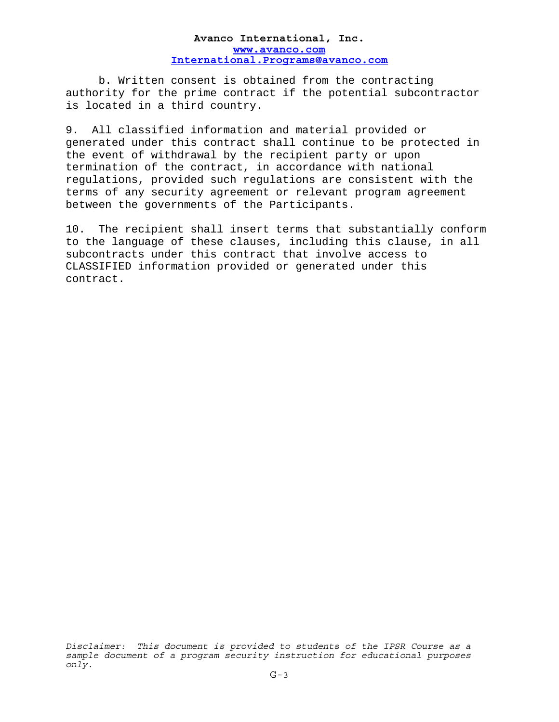b. Written consent is obtained from the contracting authority for the prime contract if the potential subcontractor is located in a third country.

9. All classified information and material provided or generated under this contract shall continue to be protected in the event of withdrawal by the recipient party or upon termination of the contract, in accordance with national regulations, provided such regulations are consistent with the terms of any security agreement or relevant program agreement between the governments of the Participants.

10. The recipient shall insert terms that substantially conform to the language of these clauses, including this clause, in all subcontracts under this contract that involve access to CLASSIFIED information provided or generated under this contract.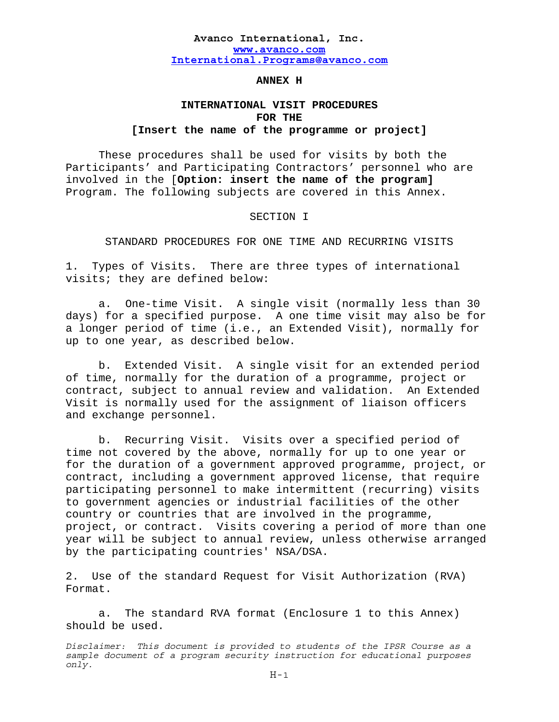## **ANNEX H**

# **INTERNATIONAL VISIT PROCEDURES FOR THE [Insert the name of the programme or project]**

 These procedures shall be used for visits by both the Participants' and Participating Contractors' personnel who are involved in the [**Option: insert the name of the program]**  Program. The following subjects are covered in this Annex.

### SECTION I

STANDARD PROCEDURES FOR ONE TIME AND RECURRING VISITS

1. Types of Visits. There are three types of international visits; they are defined below:

a. One-time Visit. A single visit (normally less than 30 days) for a specified purpose. A one time visit may also be for a longer period of time (i.e., an Extended Visit), normally for up to one year, as described below.

b. Extended Visit. A single visit for an extended period of time, normally for the duration of a programme, project or contract, subject to annual review and validation. An Extended Visit is normally used for the assignment of liaison officers and exchange personnel.

 b. Recurring Visit. Visits over a specified period of time not covered by the above, normally for up to one year or for the duration of a government approved programme, project, or contract, including a government approved license, that require participating personnel to make intermittent (recurring) visits to government agencies or industrial facilities of the other country or countries that are involved in the programme, project, or contract. Visits covering a period of more than one year will be subject to annual review, unless otherwise arranged by the participating countries' NSA/DSA.

2. Use of the standard Request for Visit Authorization (RVA) Format.

 a. The standard RVA format (Enclosure 1 to this Annex) should be used.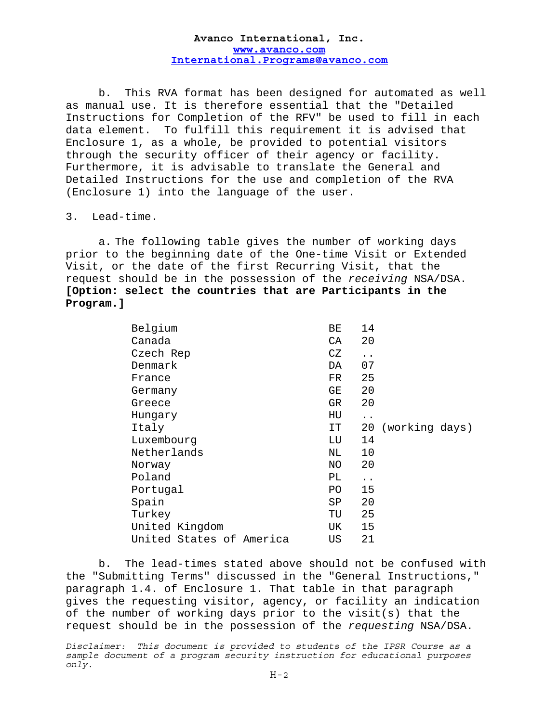b. This RVA format has been designed for automated as well as manual use. It is therefore essential that the "Detailed Instructions for Completion of the RFV" be used to fill in each data element. To fulfill this requirement it is advised that Enclosure 1, as a whole, be provided to potential visitors through the security officer of their agency or facility. Furthermore, it is advisable to translate the General and Detailed Instructions for the use and completion of the RVA (Enclosure 1) into the language of the user.

## 3. Lead-time.

a. The following table gives the number of working days prior to the beginning date of the One-time Visit or Extended Visit, or the date of the first Recurring Visit, that the request should be in the possession of the *receiving* NSA/DSA. **[Option: select the countries that are Participants in the Program.]** 

| Belgium                  | 14<br>ВE                   |                |
|--------------------------|----------------------------|----------------|
| Canada                   | 20<br>СA                   |                |
| Czech Rep                | CZ<br>$\ddot{\phantom{0}}$ |                |
| Denmark                  | 07<br>DA                   |                |
| France                   | 25<br>FR.                  |                |
| Germany                  | 20<br>GE                   |                |
| Greece                   | 20<br>GR.                  |                |
| Hungary                  | HU<br>$\ddot{\phantom{0}}$ |                |
| Italy                    | 20<br>IT.                  | (working days) |
| Luxembourg               | 14<br>LU                   |                |
| Netherlands              | 10<br>NL.                  |                |
| Norway                   | 20<br>ΝO                   |                |
| Poland                   | PL<br>$\ddot{\phantom{0}}$ |                |
| Portugal                 | 15<br>PO.                  |                |
| Spain                    | 20<br>SP                   |                |
| Turkey                   | 25<br>TU                   |                |
| United Kingdom           | 15<br>UK                   |                |
| United States of America | 21<br>US                   |                |

 b. The lead-times stated above should not be confused with the "Submitting Terms" discussed in the "General Instructions," paragraph 1.4. of Enclosure 1. That table in that paragraph gives the requesting visitor, agency, or facility an indication of the number of working days prior to the visit(s) that the request should be in the possession of the *requesting* NSA/DSA.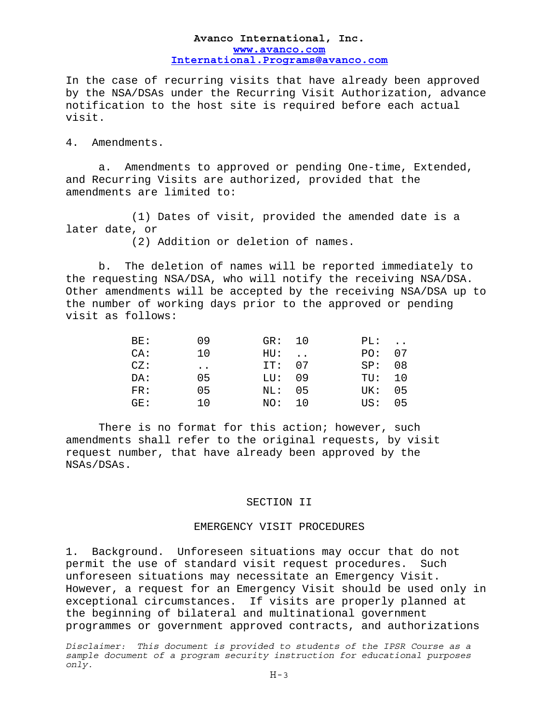In the case of recurring visits that have already been approved by the NSA/DSAs under the Recurring Visit Authorization, advance notification to the host site is required before each actual visit.

4. Amendments.

 a. Amendments to approved or pending One-time, Extended, and Recurring Visits are authorized, provided that the amendments are limited to:

 (1) Dates of visit, provided the amended date is a later date, or

(2) Addition or deletion of names.

 b. The deletion of names will be reported immediately to the requesting NSA/DSA, who will notify the receiving NSA/DSA. Other amendments will be accepted by the receiving NSA/DSA up to the number of working days prior to the approved or pending visit as follows:

| BE:           | 09                   |                | GR: 10 | PL: | $\ddot{\phantom{0}}$ |
|---------------|----------------------|----------------|--------|-----|----------------------|
| CA:           | 10                   |                | HU:    |     | PO: 07               |
| CZ:           | $\ddot{\phantom{0}}$ |                | IT: 07 |     | SP: 08               |
| DA:           | 05                   |                | LU: 09 |     | TU: 10               |
| FR:           | 05                   | $\texttt{NL}:$ | 05     | UK: | 05                   |
| $G_{\rm F}$ : | 10                   |                | NO: 10 | US: | 05                   |

There is no format for this action; however, such amendments shall refer to the original requests, by visit request number, that have already been approved by the NSAs/DSAs.

# SECTION II

### EMERGENCY VISIT PROCEDURES

1. Background. Unforeseen situations may occur that do not permit the use of standard visit request procedures. Such unforeseen situations may necessitate an Emergency Visit. However, a request for an Emergency Visit should be used only in exceptional circumstances. If visits are properly planned at the beginning of bilateral and multinational government programmes or government approved contracts, and authorizations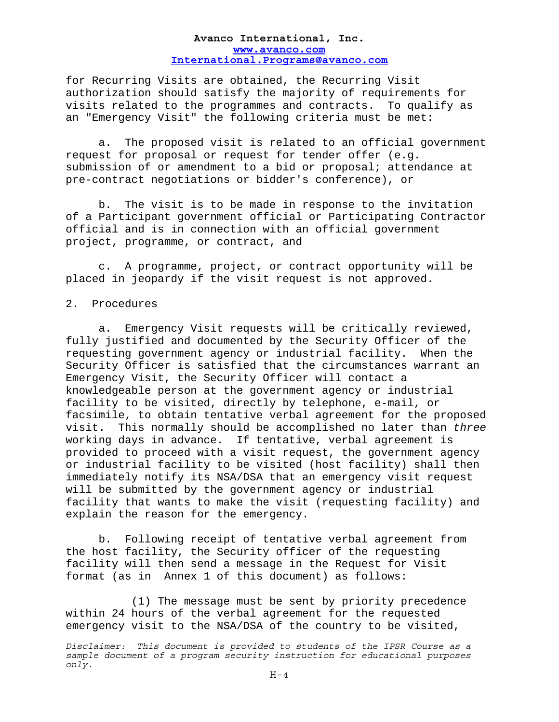for Recurring Visits are obtained, the Recurring Visit authorization should satisfy the majority of requirements for visits related to the programmes and contracts. To qualify as an "Emergency Visit" the following criteria must be met:

 a. The proposed visit is related to an official government request for proposal or request for tender offer (e.g. submission of or amendment to a bid or proposal; attendance at pre-contract negotiations or bidder's conference), or

 b. The visit is to be made in response to the invitation of a Participant government official or Participating Contractor official and is in connection with an official government project, programme, or contract, and

 c. A programme, project, or contract opportunity will be placed in jeopardy if the visit request is not approved.

### 2. Procedures

 a. Emergency Visit requests will be critically reviewed, fully justified and documented by the Security Officer of the requesting government agency or industrial facility. When the Security Officer is satisfied that the circumstances warrant an Emergency Visit, the Security Officer will contact a knowledgeable person at the government agency or industrial facility to be visited, directly by telephone, e-mail, or facsimile, to obtain tentative verbal agreement for the proposed visit. This normally should be accomplished no later than *three* working days in advance. If tentative, verbal agreement is provided to proceed with a visit request, the government agency or industrial facility to be visited (host facility) shall then immediately notify its NSA/DSA that an emergency visit request will be submitted by the government agency or industrial facility that wants to make the visit (requesting facility) and explain the reason for the emergency.

 b. Following receipt of tentative verbal agreement from the host facility, the Security officer of the requesting facility will then send a message in the Request for Visit format (as in Annex 1 of this document) as follows:

 (1) The message must be sent by priority precedence within 24 hours of the verbal agreement for the requested emergency visit to the NSA/DSA of the country to be visited,

*Disclaimer: This document is provided to students of the IPSR Course as a sample document of a program security instruction for educational purposes only.*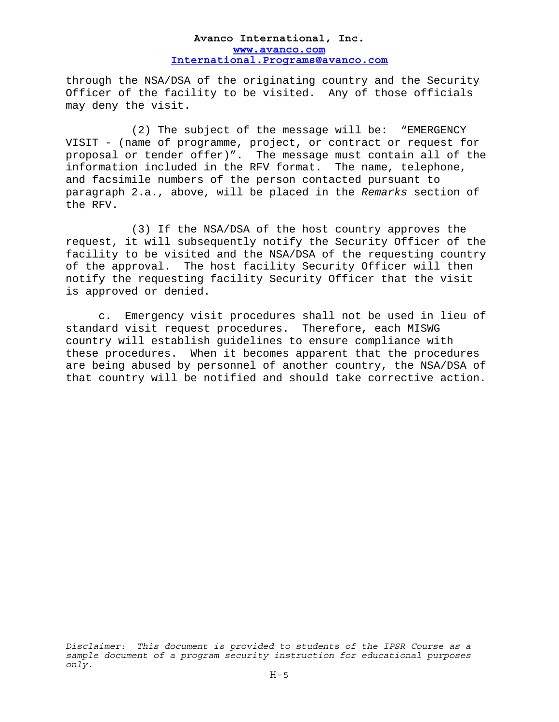through the NSA/DSA of the originating country and the Security Officer of the facility to be visited. Any of those officials may deny the visit.

 (2) The subject of the message will be: "EMERGENCY VISIT - (name of programme, project, or contract or request for proposal or tender offer)". The message must contain all of the information included in the RFV format. The name, telephone, and facsimile numbers of the person contacted pursuant to paragraph 2.a., above, will be placed in the *Remarks* section of the RFV.

 (3) If the NSA/DSA of the host country approves the request, it will subsequently notify the Security Officer of the facility to be visited and the NSA/DSA of the requesting country of the approval. The host facility Security Officer will then notify the requesting facility Security Officer that the visit is approved or denied.

 c. Emergency visit procedures shall not be used in lieu of standard visit request procedures. Therefore, each MISWG country will establish guidelines to ensure compliance with these procedures. When it becomes apparent that the procedures are being abused by personnel of another country, the NSA/DSA of that country will be notified and should take corrective action.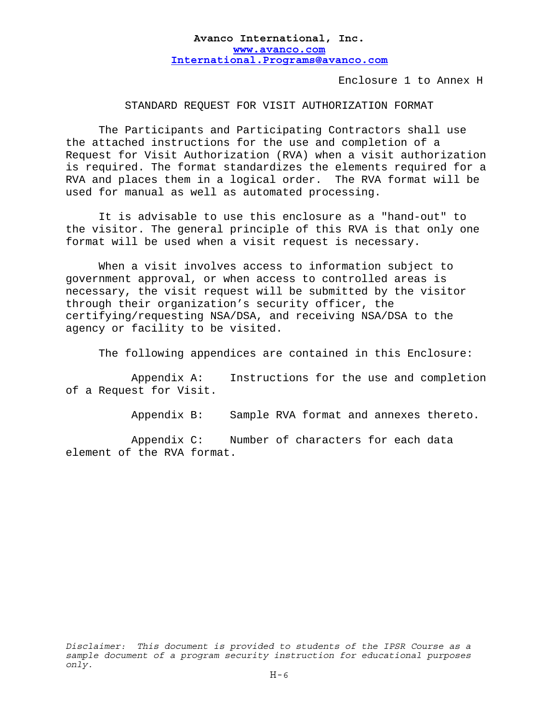Enclosure 1 to Annex H

STANDARD REQUEST FOR VISIT AUTHORIZATION FORMAT

 The Participants and Participating Contractors shall use the attached instructions for the use and completion of a Request for Visit Authorization (RVA) when a visit authorization is required. The format standardizes the elements required for a RVA and places them in a logical order. The RVA format will be used for manual as well as automated processing.

 It is advisable to use this enclosure as a "hand-out" to the visitor. The general principle of this RVA is that only one format will be used when a visit request is necessary.

 When a visit involves access to information subject to government approval, or when access to controlled areas is necessary, the visit request will be submitted by the visitor through their organization's security officer, the certifying/requesting NSA/DSA, and receiving NSA/DSA to the agency or facility to be visited.

The following appendices are contained in this Enclosure:

 Appendix A: Instructions for the use and completion of a Request for Visit.

Appendix B: Sample RVA format and annexes thereto.

 Appendix C: Number of characters for each data element of the RVA format.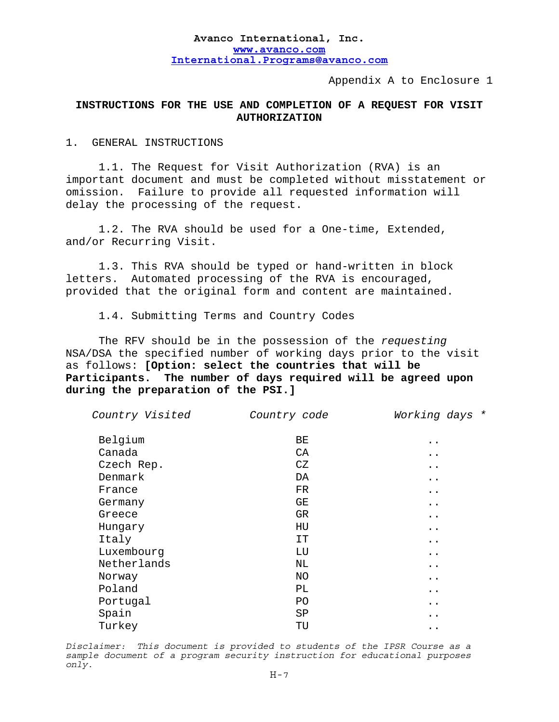Appendix A to Enclosure 1

# **INSTRUCTIONS FOR THE USE AND COMPLETION OF A REQUEST FOR VISIT AUTHORIZATION**

### 1. GENERAL INSTRUCTIONS

 1.1. The Request for Visit Authorization (RVA) is an important document and must be completed without misstatement or omission. Failure to provide all requested information will delay the processing of the request.

1.2. The RVA should be used for a One-time, Extended, and/or Recurring Visit.

 1.3. This RVA should be typed or hand-written in block letters. Automated processing of the RVA is encouraged, provided that the original form and content are maintained.

1.4. Submitting Terms and Country Codes

 The RFV should be in the possession of the *requesting* NSA/DSA the specified number of working days prior to the visit as follows: **[Option: select the countries that will be Participants. The number of days required will be agreed upon during the preparation of the PSI.]** 

| Country Visited | Country code | Working days *       |
|-----------------|--------------|----------------------|
| Belgium         | BE           | $\ddot{\phantom{0}}$ |
| Canada          | CA           | $\ddot{\phantom{0}}$ |
| Czech Rep.      | CZ           | $\ddot{\phantom{0}}$ |
| Denmark         | DA           | $\ddot{\phantom{0}}$ |
| France          | FR           | $\ddot{\phantom{0}}$ |
| Germany         | GE           | $\ddot{\phantom{0}}$ |
| Greece          | GR           | $\ddot{\phantom{0}}$ |
| Hungary         | HU           | $\ddot{\phantom{0}}$ |
| Italy           | IT.          | $\ddot{\phantom{0}}$ |
| Luxembourg      | LU           | $\ddot{\phantom{0}}$ |
| Netherlands     | NL           | $\ddot{\phantom{0}}$ |
| Norway          | ΝO           | $\ddot{\phantom{0}}$ |
| Poland          | PL           | $\ddot{\phantom{0}}$ |
| Portugal        | PO.          | $\ddot{\phantom{0}}$ |
| Spain           | SP           | $\ddot{\phantom{0}}$ |
| Turkey          | TU           | $\ddot{\phantom{0}}$ |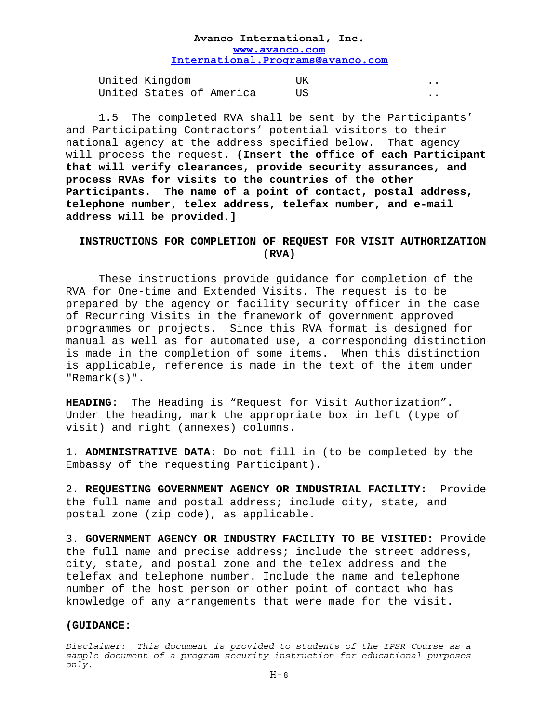| United Kingdom           |  |  |
|--------------------------|--|--|
| United States of America |  |  |

 1.5 The completed RVA shall be sent by the Participants' and Participating Contractors' potential visitors to their national agency at the address specified below. That agency will process the request. **(Insert the office of each Participant that will verify clearances, provide security assurances, and process RVAs for visits to the countries of the other Participants. The name of a point of contact, postal address, telephone number, telex address, telefax number, and e-mail address will be provided.]**

# **INSTRUCTIONS FOR COMPLETION OF REQUEST FOR VISIT AUTHORIZATION (RVA)**

 These instructions provide guidance for completion of the RVA for One-time and Extended Visits. The request is to be prepared by the agency or facility security officer in the case of Recurring Visits in the framework of government approved programmes or projects. Since this RVA format is designed for manual as well as for automated use, a corresponding distinction is made in the completion of some items. When this distinction is applicable, reference is made in the text of the item under "Remark(s)".

**HEADING**: The Heading is "Request for Visit Authorization". Under the heading, mark the appropriate box in left (type of visit) and right (annexes) columns.

1. **ADMINISTRATIVE DATA**: Do not fill in (to be completed by the Embassy of the requesting Participant).

2. **REQUESTING GOVERNMENT AGENCY OR INDUSTRIAL FACILITY:** Provide the full name and postal address; include city, state, and postal zone (zip code), as applicable.

3. **GOVERNMENT AGENCY OR INDUSTRY FACILITY TO BE VISITED:** Provide the full name and precise address; include the street address, city, state, and postal zone and the telex address and the telefax and telephone number. Include the name and telephone number of the host person or other point of contact who has knowledge of any arrangements that were made for the visit.

### **(GUIDANCE:**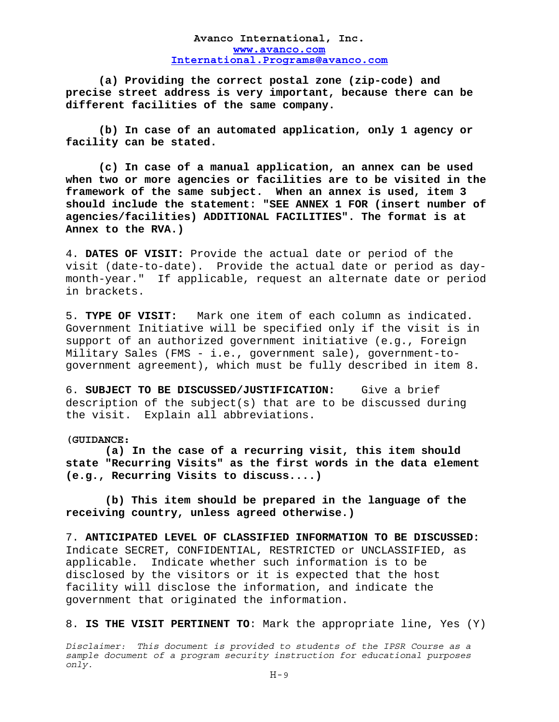**(a) Providing the correct postal zone (zip-code) and precise street address is very important, because there can be different facilities of the same company.** 

**(b) In case of an automated application, only 1 agency or facility can be stated.** 

**(c) In case of a manual application, an annex can be used when two or more agencies or facilities are to be visited in the framework of the same subject. When an annex is used, item 3 should include the statement: "SEE ANNEX 1 FOR (insert number of agencies/facilities) ADDITIONAL FACILITIES". The format is at Annex to the RVA.)**

4. **DATES OF VISIT:** Provide the actual date or period of the visit (date-to-date). Provide the actual date or period as daymonth-year." If applicable, request an alternate date or period in brackets.

5. **TYPE OF VISIT:** Mark one item of each column as indicated. Government Initiative will be specified only if the visit is in support of an authorized government initiative (e.g., Foreign Military Sales (FMS - i.e., government sale), government-togovernment agreement), which must be fully described in item 8.

6. **SUBJECT TO BE DISCUSSED/JUSTIFICATION:** Give a brief description of the subject(s) that are to be discussed during the visit. Explain all abbreviations.

**(GUIDANCE:** 

**(a) In the case of a recurring visit, this item should state "Recurring Visits" as the first words in the data element (e.g., Recurring Visits to discuss....)** 

 **(b) This item should be prepared in the language of the receiving country, unless agreed otherwise.)**

7. **ANTICIPATED LEVEL OF CLASSIFIED INFORMATION TO BE DISCUSSED:** Indicate SECRET, CONFIDENTIAL, RESTRICTED or UNCLASSIFIED, as applicable. Indicate whether such information is to be disclosed by the visitors or it is expected that the host facility will disclose the information, and indicate the government that originated the information.

8. **IS THE VISIT PERTINENT TO**: Mark the appropriate line, Yes (Y)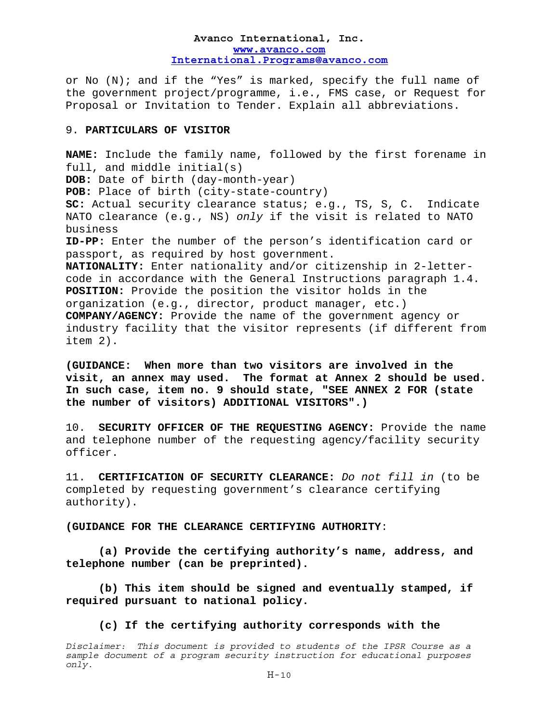or No  $(N)$ ; and if the "Yes" is marked, specify the full name of the government project/programme, i.e., FMS case, or Request for Proposal or Invitation to Tender. Explain all abbreviations.

### 9. **PARTICULARS OF VISITOR**

**NAME:** Include the family name, followed by the first forename in full, and middle initial(s) **DOB:** Date of birth (day-month-year) **POB:** Place of birth (city-state-country) **SC:** Actual security clearance status; e.g., TS, S, C. Indicate NATO clearance (e.g., NS) *only* if the visit is related to NATO business **ID-PP:** Enter the number of the person's identification card or passport, as required by host government. **NATIONALITY:** Enter nationality and/or citizenship in 2-lettercode in accordance with the General Instructions paragraph 1.4. **POSITION:** Provide the position the visitor holds in the organization (e.g., director, product manager, etc.) **COMPANY/AGENCY:** Provide the name of the government agency or industry facility that the visitor represents (if different from item 2).

**(GUIDANCE: When more than two visitors are involved in the visit, an annex may used. The format at Annex 2 should be used. In such case, item no. 9 should state, "SEE ANNEX 2 FOR (state the number of visitors) ADDITIONAL VISITORS".)** 

10. **SECURITY OFFICER OF THE REQUESTING AGENCY:** Provide the name and telephone number of the requesting agency/facility security officer.

11. **CERTIFICATION OF SECURITY CLEARANCE:** *Do not fill in* (to be completed by requesting government's clearance certifying authority).

### **(GUIDANCE FOR THE CLEARANCE CERTIFYING AUTHORITY**:

 **(a) Provide the certifying authority's name, address, and telephone number (can be preprinted).** 

 **(b) This item should be signed and eventually stamped, if required pursuant to national policy.** 

 **(c) If the certifying authority corresponds with the** 

*Disclaimer: This document is provided to students of the IPSR Course as a sample document of a program security instruction for educational purposes only.*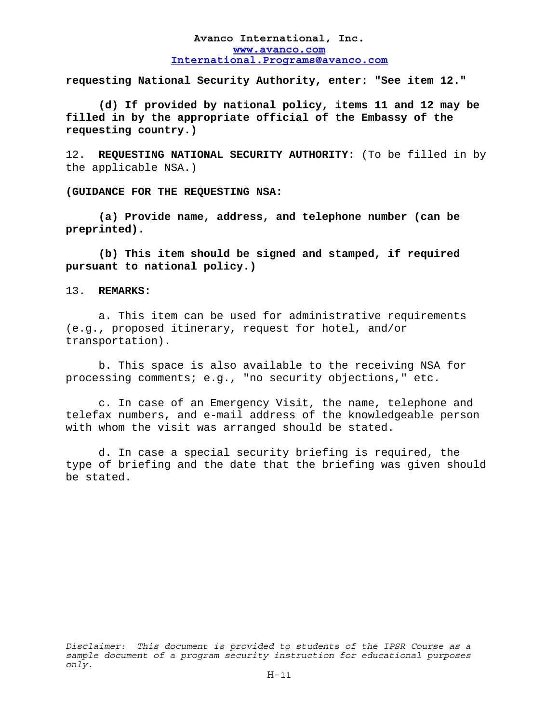**requesting National Security Authority, enter: "See item 12."** 

**(d) If provided by national policy, items 11 and 12 may be filled in by the appropriate official of the Embassy of the requesting country.)**

12. **REQUESTING NATIONAL SECURITY AUTHORITY:** (To be filled in by the applicable NSA.)

**(GUIDANCE FOR THE REQUESTING NSA:** 

**(a) Provide name, address, and telephone number (can be preprinted).** 

 **(b) This item should be signed and stamped, if required pursuant to national policy.)** 

### 13. **REMARKS:**

 a. This item can be used for administrative requirements (e.g., proposed itinerary, request for hotel, and/or transportation).

 b. This space is also available to the receiving NSA for processing comments; e.g., "no security objections," etc.

 c. In case of an Emergency Visit, the name, telephone and telefax numbers, and e-mail address of the knowledgeable person with whom the visit was arranged should be stated.

 d. In case a special security briefing is required, the type of briefing and the date that the briefing was given should be stated.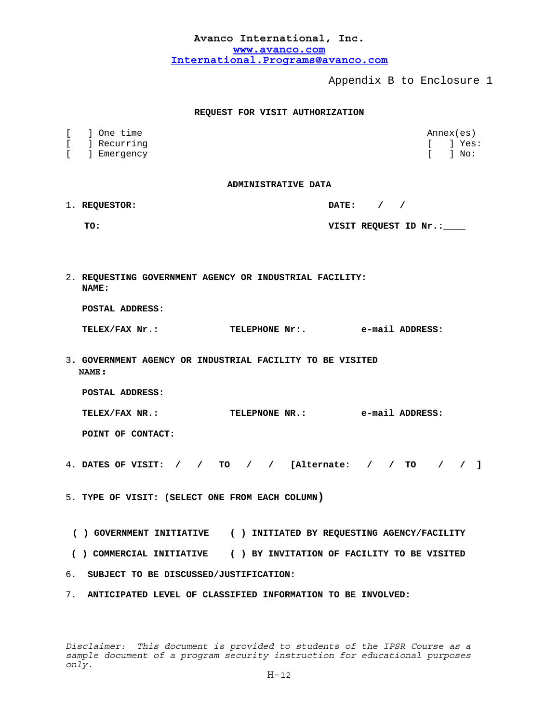| Avanco International, Inc.        |  |
|-----------------------------------|--|
| www.avanco.com                    |  |
| International.Programs@avanco.com |  |

Appendix B to Enclosure 1

### **REQUEST FOR VISIT AUTHORIZATION**

| $\lbrack$ | ] One time                                                          | Annex(es)                             |
|-----------|---------------------------------------------------------------------|---------------------------------------|
| [<br>ſ    | ] Recurring<br>] Emergency                                          | ] Yes:<br>F.<br>$\mathbb{R}$<br>l No: |
|           |                                                                     |                                       |
|           | ADMINISTRATIVE DATA                                                 |                                       |
|           | 1. REQUESTOR:                                                       | DATE: $/$ /                           |
|           | TO:                                                                 | VISIT REQUEST ID Nr.:                 |
|           |                                                                     |                                       |
|           |                                                                     |                                       |
|           | 2. REQUESTING GOVERNMENT AGENCY OR INDUSTRIAL FACILITY:<br>NAME:    |                                       |
|           | POSTAL ADDRESS:                                                     |                                       |
|           | TELEX/FAX Nr.:                                                      | TELEPHONE Nr:.<br>e-mail ADDRESS:     |
|           | 3. GOVERNMENT AGENCY OR INDUSTRIAL FACILITY TO BE VISITED<br>NAME:  |                                       |
|           | POSTAL ADDRESS:                                                     |                                       |
|           | TELEPNONE NR.:<br>e-mail ADDRESS:<br>TELEX/FAX NR.:                 |                                       |
|           | POINT OF CONTACT:                                                   |                                       |
|           | 4. DATES OF VISIT: $/$ / TO $/$ / [Alternate: $/$ / TO $/$ / ]      |                                       |
|           | 5. TYPE OF VISIT: (SELECT ONE FROM EACH COLUMN)                     |                                       |
|           | () GOVERNMENT INITIATIVE () INITIATED BY REQUESTING AGENCY/FACILITY |                                       |
|           | () COMMERCIAL INITIATIVE () BY INVITATION OF FACILITY TO BE VISITED |                                       |
| 6.        | SUBJECT TO BE DISCUSSED/JUSTIFICATION:                              |                                       |

7. **ANTICIPATED LEVEL OF CLASSIFIED INFORMATION TO BE INVOLVED:**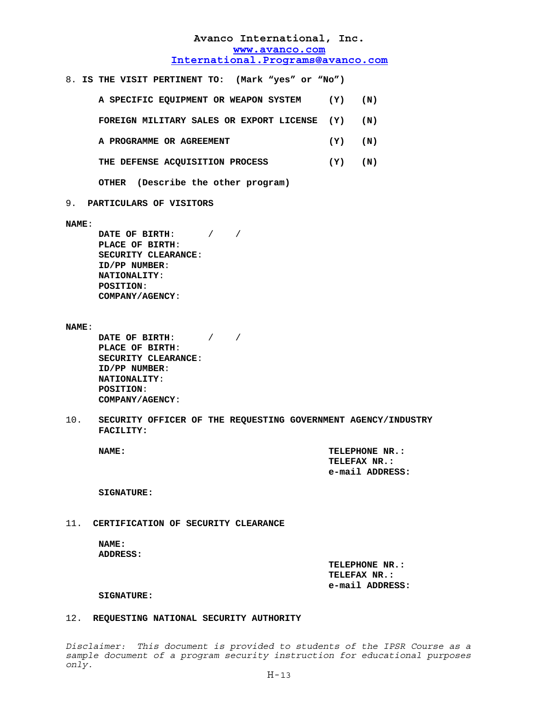8. **IS THE VISIT PERTINENT TO: (Mark "yes" or "No")**

 **A SPECIFIC EQUIPMENT OR WEAPON SYSTEM (Y) (N) FOREIGN MILITARY SALES OR EXPORT LICENSE (Y) (N)**

- 
- **A PROGRAMME OR AGREEMENT (Y) (N)**
- **THE DEFENSE ACQUISITION PROCESS (Y) (N)**

 **OTHER (Describe the other program)** 

9. **PARTICULARS OF VISITORS**

**NAME**:

**DATE OF BIRTH**: / /  **PLACE OF BIRTH**:  **SECURITY CLEARANCE**:  **ID/PP NUMBER**:  **NATIONALITY**:  **POSITION**: **COMPANY/AGENCY**:

**NAME**:

**DATE OF BIRTH**: / /  **PLACE OF BIRTH**:  **SECURITY CLEARANCE**:  **ID/PP NUMBER**:  **NATIONALITY**:  **POSITION**: **COMPANY/AGENCY**:

10. **SECURITY OFFICER OF THE REQUESTING GOVERNMENT AGENCY/INDUSTRY FACILITY:**

**NAME: TELEPHONE NR.: TELEFAX NR.: e-mail ADDRESS:**

**SIGNATURE:**

11. **CERTIFICATION OF SECURITY CLEARANCE**

### **NAME: ADDRESS:**

 **TELEPHONE NR.: TELEFAX NR.: e-mail ADDRESS:** 

#### **SIGNATURE:**

#### 12. **REQUESTING NATIONAL SECURITY AUTHORITY**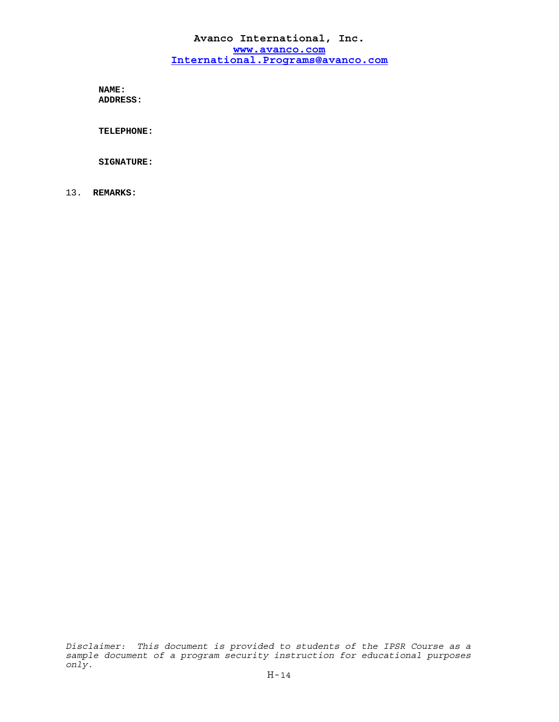**NAME: ADDRESS:**

 **TELEPHONE:**

**SIGNATURE:**

13. **REMARKS:**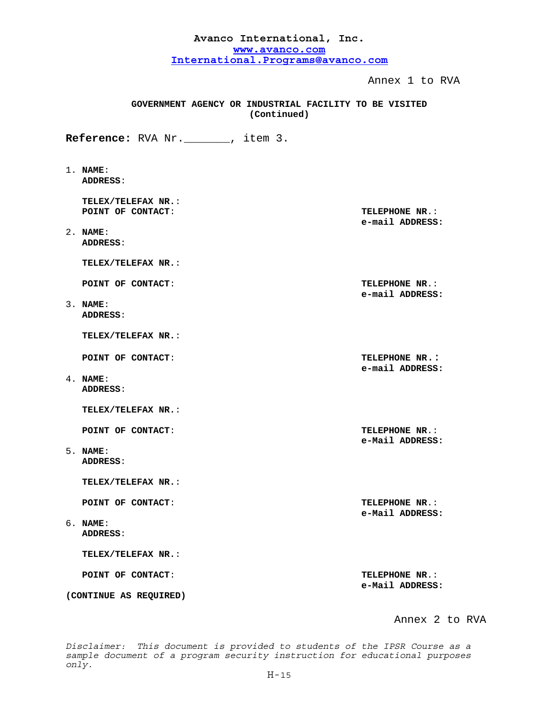| Avanco International, Inc. |                                                                       |                                          |  |  |
|----------------------------|-----------------------------------------------------------------------|------------------------------------------|--|--|
| www.avanco.com             |                                                                       |                                          |  |  |
|                            | International.Programs@avanco.com                                     |                                          |  |  |
|                            |                                                                       | Annex 1 to RVA                           |  |  |
|                            | GOVERNMENT AGENCY OR INDUSTRIAL FACILITY TO BE VISITED<br>(Continued) |                                          |  |  |
|                            | Reference: RVA Nr. ______, item 3.                                    |                                          |  |  |
|                            | $1.$ NAME:<br>ADDRESS:                                                |                                          |  |  |
|                            | TELEX/TELEFAX NR.:<br>POINT OF CONTACT:                               | TELEPHONE NR.:<br>e-mail ADDRESS:        |  |  |
|                            | $2.$ NAME:<br>ADDRESS:                                                |                                          |  |  |
|                            | TELEX/TELEFAX NR.:                                                    |                                          |  |  |
|                            | POINT OF CONTACT:                                                     | TELEPHONE NR.:<br>e-mail ADDRESS:        |  |  |
|                            | $3.$ NAME:<br>ADDRESS:                                                |                                          |  |  |
|                            | TELEX/TELEFAX NR.:                                                    |                                          |  |  |
|                            | POINT OF CONTACT:                                                     | TELEPHONE NR.:<br>e-mail ADDRESS:        |  |  |
|                            | $4.$ NAME:<br>ADDRESS:                                                |                                          |  |  |
|                            | TELEX/TELEFAX NR.:                                                    |                                          |  |  |
|                            | POINT OF CONTACT:                                                     | <b>TELEPHONE NR.:</b><br>e-Mail ADDRESS: |  |  |
|                            | $5.$ NAME:<br>ADDRESS:                                                |                                          |  |  |
|                            | TELEX/TELEFAX NR.:                                                    |                                          |  |  |
|                            | POINT OF CONTACT:                                                     | TELEPHONE NR.:<br>e-Mail ADDRESS:        |  |  |
|                            | $6.$ NAME:<br>ADDRESS:                                                |                                          |  |  |
|                            | TELEX/TELEFAX NR.:                                                    |                                          |  |  |
|                            | POINT OF CONTACT:                                                     | <b>TELEPHONE NR.:</b><br>e-Mail ADDRESS: |  |  |
|                            | (CONTINUE AS REQUIRED)                                                |                                          |  |  |

Annex 2 to RVA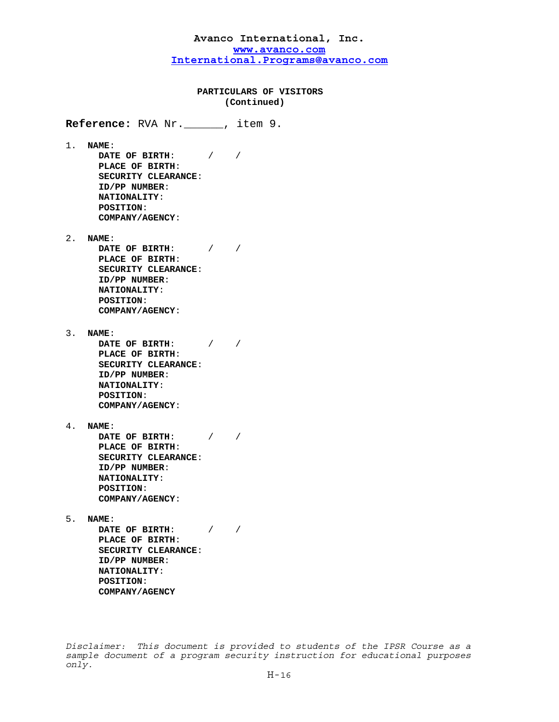### **PARTICULARS OF VISITORS (Continued)**

**Reference:** RVA Nr.\_\_\_\_\_\_, item 9.

1. **NAME**: **DATE OF BIRTH**: / /  **PLACE OF BIRTH**:  **SECURITY CLEARANCE**:  **ID/PP NUMBER**:  **NATIONALITY**:  **POSITION**: **COMPANY/AGENCY**:

2. **NAME**:

**DATE OF BIRTH**: / /  **PLACE OF BIRTH**:  **SECURITY CLEARANCE**:  **ID/PP NUMBER**:  **NATIONALITY**:  **POSITION**: **COMPANY/AGENCY**:

3. **NAME**:

**DATE OF BIRTH**: / /  **PLACE OF BIRTH**:  **SECURITY CLEARANCE**:  **ID/PP NUMBER**:  **NATIONALITY**:  **POSITION**: **COMPANY/AGENCY**:

4. **NAME**:

**DATE OF BIRTH**: / /  **PLACE OF BIRTH**:  **SECURITY CLEARANCE**:  **ID/PP NUMBER**:  **NATIONALITY**:  **POSITION**: **COMPANY/AGENCY**:

5. **NAME**:

**DATE OF BIRTH**: / /  **PLACE OF BIRTH**: **SECURITY CLEARANCE**:  **ID/PP NUMBER**:  **NATIONALITY**:  **POSITION**: **COMPANY/AGENCY**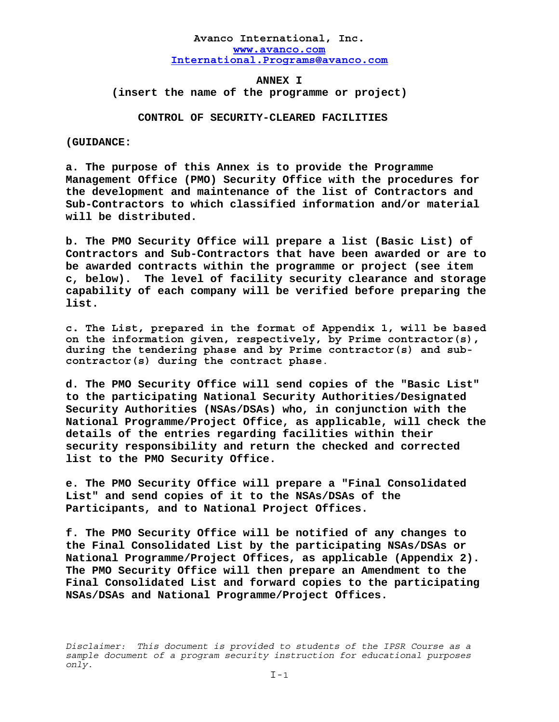**ANNEX I (insert the name of the programme or project)** 

 **CONTROL OF SECURITY-CLEARED FACILITIES**

**(GUIDANCE:** 

**a. The purpose of this Annex is to provide the Programme Management Office (PMO) Security Office with the procedures for the development and maintenance of the list of Contractors and Sub-Contractors to which classified information and/or material will be distributed.** 

**b. The PMO Security Office will prepare a list (Basic List) of Contractors and Sub-Contractors that have been awarded or are to be awarded contracts within the programme or project (see item c, below). The level of facility security clearance and storage capability of each company will be verified before preparing the list.** 

**c. The List, prepared in the format of Appendix 1, will be based on the information given, respectively, by Prime contractor(s), during the tendering phase and by Prime contractor(s) and subcontractor(s) during the contract phase**.

**d. The PMO Security Office will send copies of the "Basic List" to the participating National Security Authorities/Designated Security Authorities (NSAs/DSAs) who, in conjunction with the National Programme/Project Office, as applicable, will check the details of the entries regarding facilities within their security responsibility and return the checked and corrected list to the PMO Security Office.** 

**e. The PMO Security Office will prepare a "Final Consolidated List" and send copies of it to the NSAs/DSAs of the Participants, and to National Project Offices.** 

**f. The PMO Security Office will be notified of any changes to the Final Consolidated List by the participating NSAs/DSAs or National Programme/Project Offices, as applicable (Appendix 2). The PMO Security Office will then prepare an Amendment to the Final Consolidated List and forward copies to the participating NSAs/DSAs and National Programme/Project Offices.**

*Disclaimer: This document is provided to students of the IPSR Course as a sample document of a program security instruction for educational purposes only.*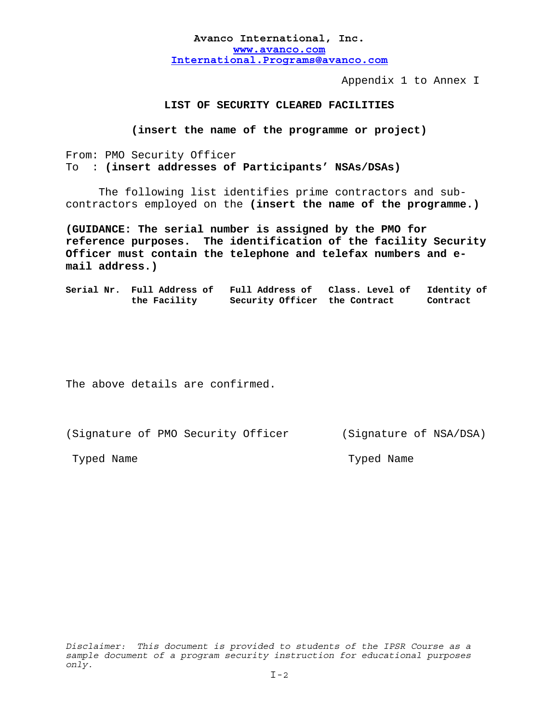Appendix 1 to Annex I

### **LIST OF SECURITY CLEARED FACILITIES**

**(insert the name of the programme or project)** 

From: PMO Security Officer To : **(insert addresses of Participants' NSAs/DSAs)**

 The following list identifies prime contractors and subcontractors employed on the **(insert the name of the programme.)**

**(GUIDANCE: The serial number is assigned by the PMO for reference purposes. The identification of the facility Security Officer must contain the telephone and telefax numbers and email address.)** 

**Serial Nr. Full Address of Full Address of Class. Level of Identity of the Facility Security Officer the Contract Contract** 

The above details are confirmed.

(Signature of PMO Security Officer (Signature of NSA/DSA)

Typed Name Typed Name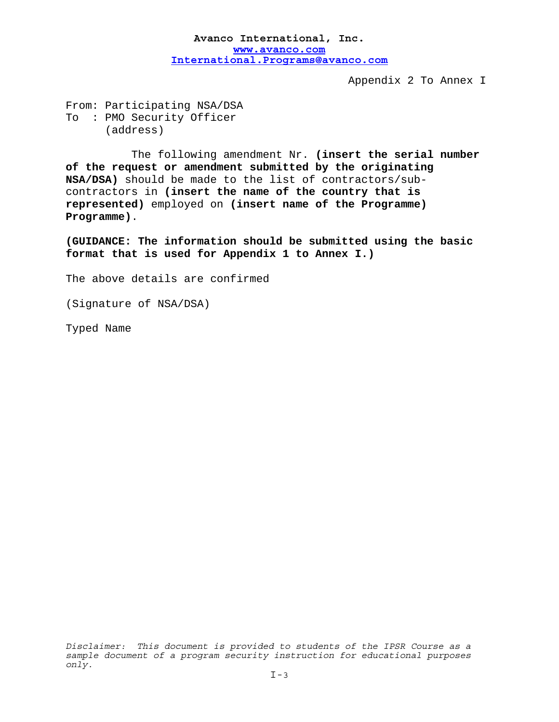Appendix 2 To Annex I

From: Participating NSA/DSA To : PMO Security Officer (address)

 The following amendment Nr. **(insert the serial number of the request or amendment submitted by the originating NSA/DSA)** should be made to the list of contractors/subcontractors in **(insert the name of the country that is represented)** employed on **(insert name of the Programme) Programme)**.

**(GUIDANCE: The information should be submitted using the basic format that is used for Appendix 1 to Annex I.)** 

The above details are confirmed

(Signature of NSA/DSA)

Typed Name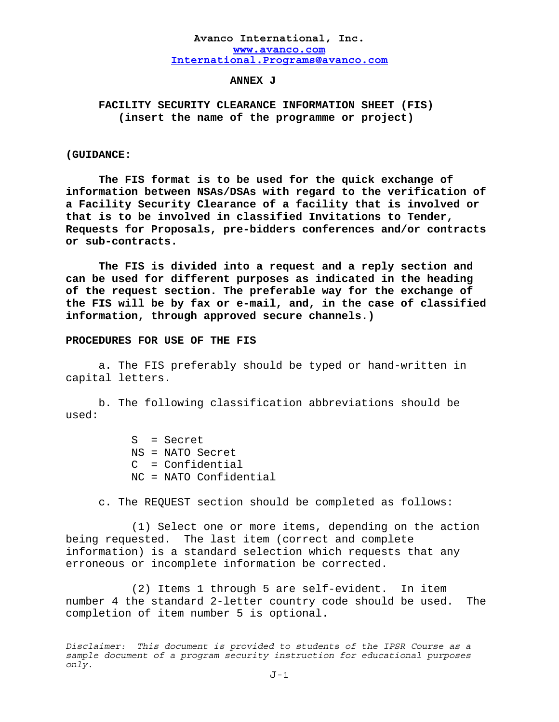### **ANNEX J**

# **FACILITY SECURITY CLEARANCE INFORMATION SHEET (FIS) (insert the name of the programme or project)**

### **(GUIDANCE:**

**The FIS format is to be used for the quick exchange of information between NSAs/DSAs with regard to the verification of a Facility Security Clearance of a facility that is involved or that is to be involved in classified Invitations to Tender, Requests for Proposals, pre-bidders conferences and/or contracts or sub-contracts.** 

 **The FIS is divided into a request and a reply section and can be used for different purposes as indicated in the heading of the request section. The preferable way for the exchange of the FIS will be by fax or e-mail, and, in the case of classified information, through approved secure channels.)** 

### **PROCEDURES FOR USE OF THE FIS**

a. The FIS preferably should be typed or hand-written in capital letters.

b. The following classification abbreviations should be used:

> S = Secret NS = NATO Secret C = Confidential NC = NATO Confidential

c. The REQUEST section should be completed as follows:

 (1) Select one or more items, depending on the action being requested. The last item (correct and complete information) is a standard selection which requests that any erroneous or incomplete information be corrected.

 (2) Items 1 through 5 are self-evident. In item number 4 the standard 2-letter country code should be used. The completion of item number 5 is optional.

*Disclaimer: This document is provided to students of the IPSR Course as a sample document of a program security instruction for educational purposes only.*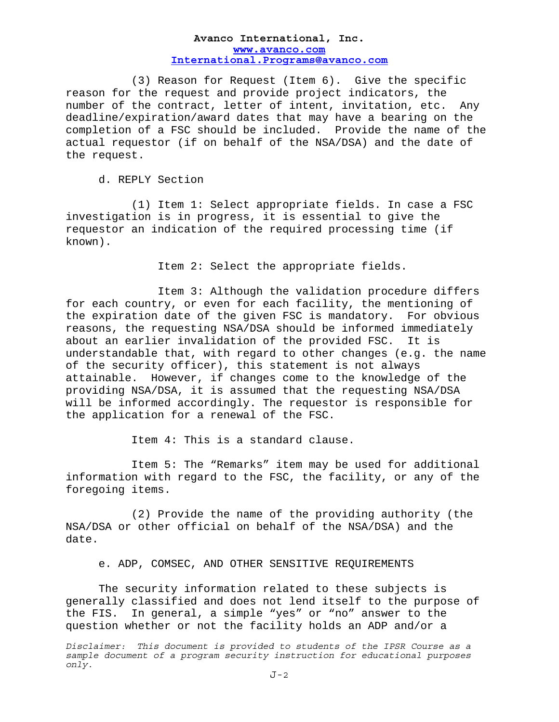(3) Reason for Request (Item 6). Give the specific reason for the request and provide project indicators, the number of the contract, letter of intent, invitation, etc. Any deadline/expiration/award dates that may have a bearing on the completion of a FSC should be included. Provide the name of the actual requestor (if on behalf of the NSA/DSA) and the date of the request.

d. REPLY Section

 (1) Item 1: Select appropriate fields. In case a FSC investigation is in progress, it is essential to give the requestor an indication of the required processing time (if known).

Item 2: Select the appropriate fields.

 Item 3: Although the validation procedure differs for each country, or even for each facility, the mentioning of the expiration date of the given FSC is mandatory. For obvious reasons, the requesting NSA/DSA should be informed immediately about an earlier invalidation of the provided FSC. It is understandable that, with regard to other changes (e.g. the name of the security officer), this statement is not always attainable. However, if changes come to the knowledge of the providing NSA/DSA, it is assumed that the requesting NSA/DSA will be informed accordingly. The requestor is responsible for the application for a renewal of the FSC.

Item 4: This is a standard clause.

 Item 5: The "Remarks" item may be used for additional information with regard to the FSC, the facility, or any of the foregoing items.

 (2) Provide the name of the providing authority (the NSA/DSA or other official on behalf of the NSA/DSA) and the date.

e. ADP, COMSEC, AND OTHER SENSITIVE REQUIREMENTS

 The security information related to these subjects is generally classified and does not lend itself to the purpose of the FIS. In general, a simple "yes" or "no" answer to the question whether or not the facility holds an ADP and/or a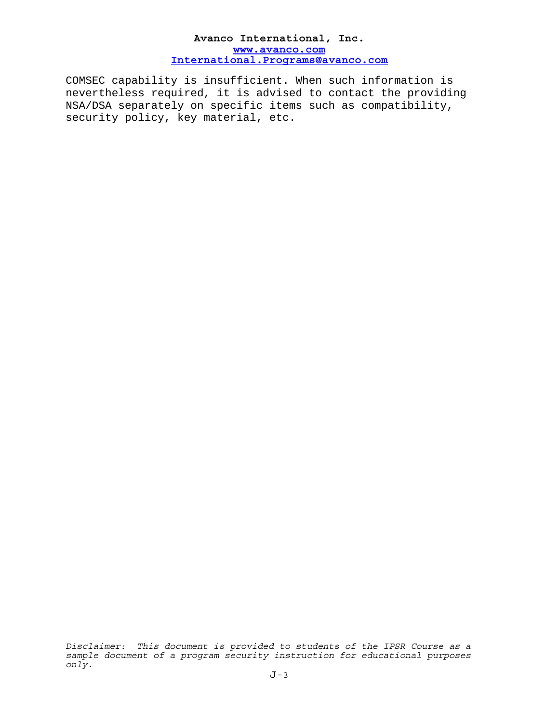COMSEC capability is insufficient. When such information is nevertheless required, it is advised to contact the providing NSA/DSA separately on specific items such as compatibility, security policy, key material, etc.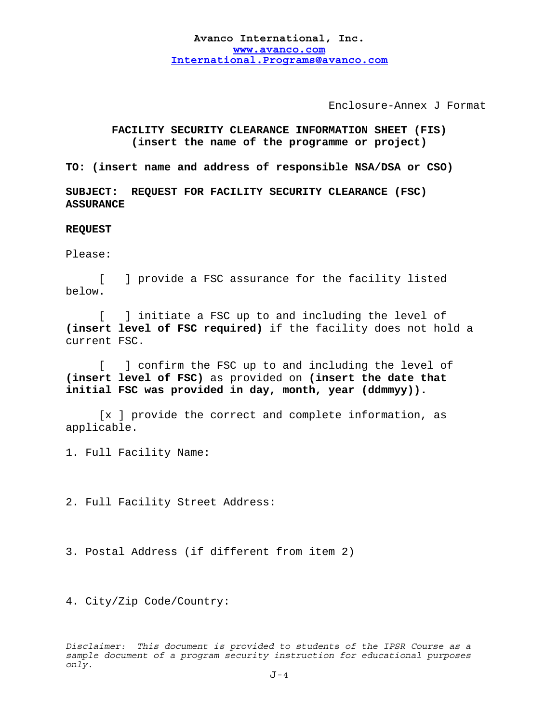Enclosure-Annex J Format

# **FACILITY SECURITY CLEARANCE INFORMATION SHEET (FIS) (insert the name of the programme or project)**

**TO: (insert name and address of responsible NSA/DSA or CSO)**

**SUBJECT: REQUEST FOR FACILITY SECURITY CLEARANCE (FSC) ASSURANCE** 

**REQUEST** 

Please:

 [ ] provide a FSC assurance for the facility listed below.

[ ] initiate a FSC up to and including the level of **(insert level of FSC required)** if the facility does not hold a current FSC.

 [ ] confirm the FSC up to and including the level of **(insert level of FSC)** as provided on **(insert the date that initial FSC was provided in day, month, year (ddmmyy)).**

 [x ] provide the correct and complete information, as applicable.

1. Full Facility Name:

2. Full Facility Street Address:

3. Postal Address (if different from item 2)

4. City/Zip Code/Country: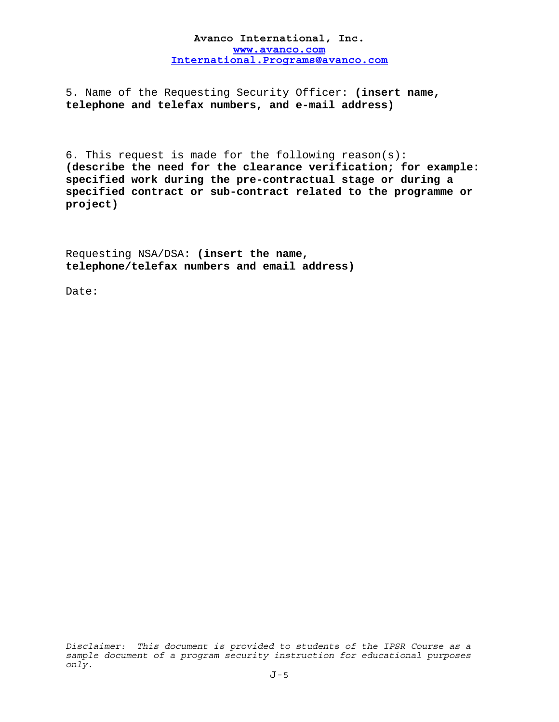5. Name of the Requesting Security Officer: **(insert name, telephone and telefax numbers, and e-mail address)**

6. This request is made for the following reason(s): **(describe the need for the clearance verification; for example: specified work during the pre-contractual stage or during a specified contract or sub-contract related to the programme or project)**

Requesting NSA/DSA: **(insert the name, telephone/telefax numbers and email address)**

Date: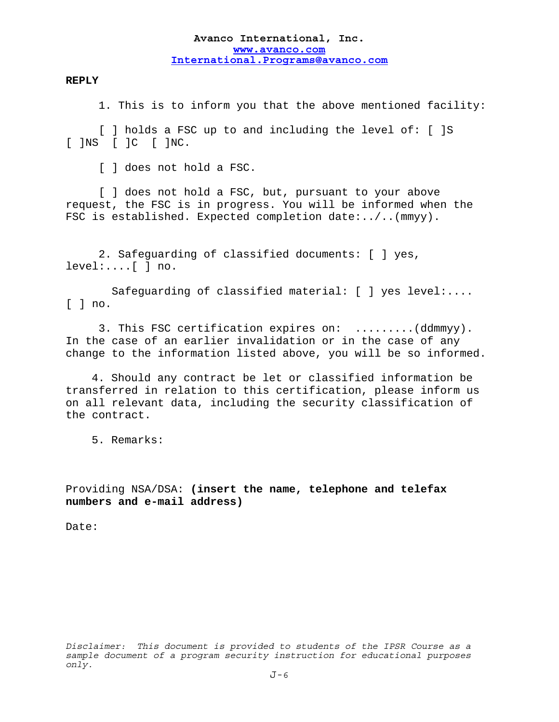### **REPLY**

1. This is to inform you that the above mentioned facility:

[ ] holds a FSC up to and including the level of: [ ]S [ ]NS [ ]C [ ]NC.

[ ] does not hold a FSC.

[ ] does not hold a FSC, but, pursuant to your above request, the FSC is in progress. You will be informed when the FSC is established. Expected completion date:../..(mmyy).

2. Safeguarding of classified documents: [ ] yes, level:....[ ] no.

 Safeguarding of classified material: [ ] yes level:....  $\lceil$   $\rceil$  no.

3. This FSC certification expires on: .........(ddmmyy). In the case of an earlier invalidation or in the case of any change to the information listed above, you will be so informed.

4. Should any contract be let or classified information be transferred in relation to this certification, please inform us on all relevant data, including the security classification of the contract.

5. Remarks:

Providing NSA/DSA: **(insert the name, telephone and telefax numbers and e-mail address)**

Date: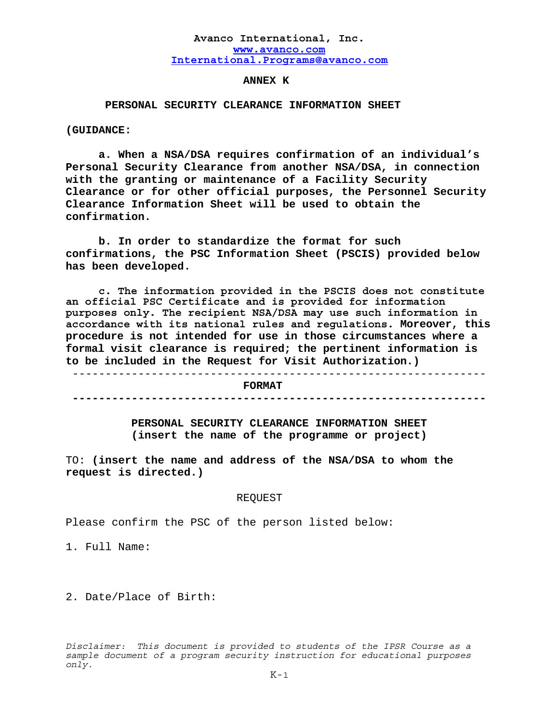### **ANNEX K**

## **PERSONAL SECURITY CLEARANCE INFORMATION SHEET**

**(GUIDANCE:** 

**a. When a NSA/DSA requires confirmation of an individual's Personal Security Clearance from another NSA/DSA, in connection with the granting or maintenance of a Facility Security Clearance or for other official purposes, the Personnel Security Clearance Information Sheet will be used to obtain the confirmation.** 

**b. In order to standardize the format for such confirmations, the PSC Information Sheet (PSCIS) provided below has been developed.** 

**c. The information provided in the PSCIS does not constitute an official PSC Certificate and is provided for information purposes only. The recipient NSA/DSA may use such information in accordance with its national rules and regulations. Moreover, this procedure is not intended for use in those circumstances where a formal visit clearance is required; the pertinent information is to be included in the Request for Visit Authorization.)** 

 --------------------------------------------------------------- **FORMAT ---------------------------------------------------------------** 

> **PERSONAL SECURITY CLEARANCE INFORMATION SHEET (insert the name of the programme or project)**

TO: **(insert the name and address of the NSA/DSA to whom the request is directed.)** 

#### REQUEST

Please confirm the PSC of the person listed below:

1. Full Name:

2. Date/Place of Birth: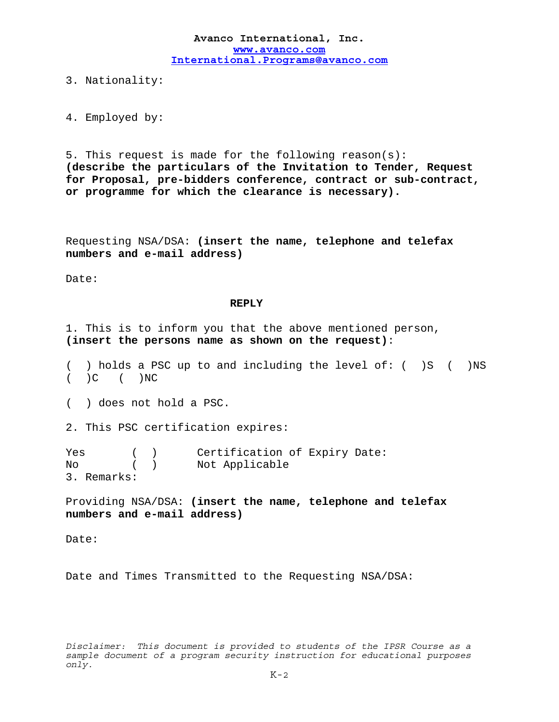3. Nationality:

4. Employed by:

5. This request is made for the following reason(s): **(describe the particulars of the Invitation to Tender, Request for Proposal, pre-bidders conference, contract or sub-contract, or programme for which the clearance is necessary).** 

Requesting NSA/DSA: **(insert the name, telephone and telefax numbers and e-mail address)**

Date:

### **REPLY**

1. This is to inform you that the above mentioned person, **(insert the persons name as shown on the request)**:

( ) holds a PSC up to and including the level of: ( )S ( )NS  $( )C ( )NC$ 

( ) does not hold a PSC.

2. This PSC certification expires:

Yes ( ) Certification of Expiry Date: No ( ) Not Applicable 3. Remarks:

Providing NSA/DSA: **(insert the name, telephone and telefax numbers and e-mail address)**

Date:

Date and Times Transmitted to the Requesting NSA/DSA: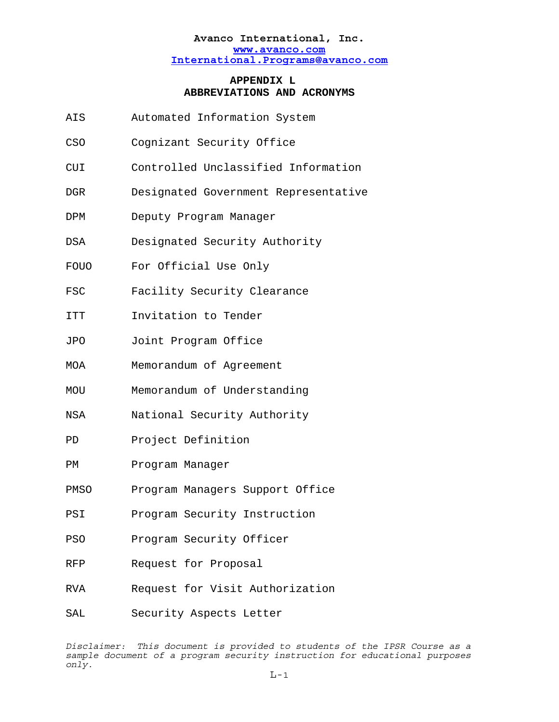# **APPENDIX L ABBREVIATIONS AND ACRONYMS**

- AIS Automated Information System
- CSO Cognizant Security Office
- CUI Controlled Unclassified Information
- DGR Designated Government Representative
- DPM Deputy Program Manager
- DSA Designated Security Authority
- FOUO For Official Use Only
- FSC Facility Security Clearance
- ITT Invitation to Tender
- JPO Joint Program Office
- MOA Memorandum of Agreement
- MOU Memorandum of Understanding
- NSA National Security Authority
- PD Project Definition
- PM Program Manager
- PMSO Program Managers Support Office
- PSI Program Security Instruction
- PSO Program Security Officer
- RFP Request for Proposal
- RVA Request for Visit Authorization
- SAL Security Aspects Letter